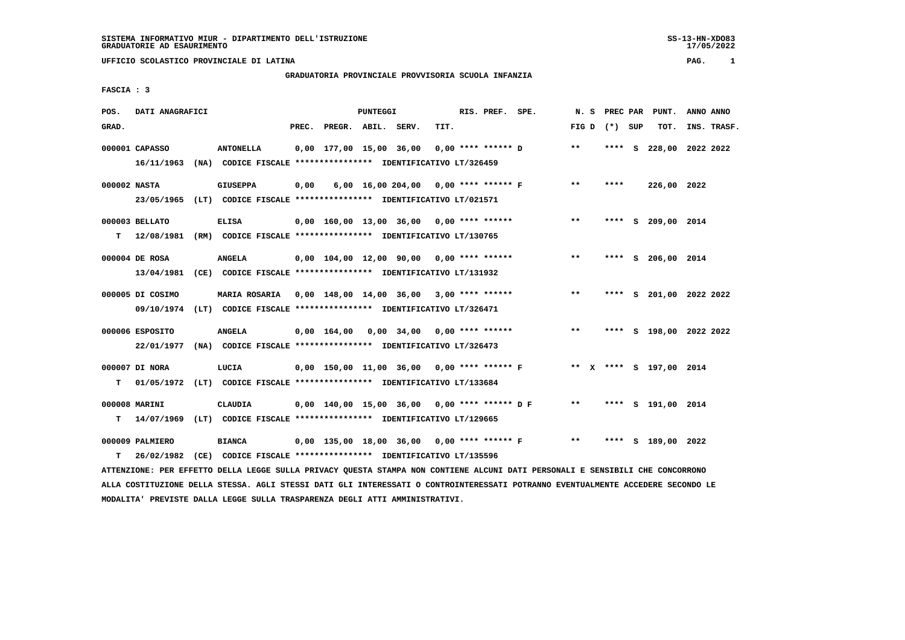# **GRADUATORIA PROVINCIALE PROVVISORIA SCUOLA INFANZIA**

 **FASCIA : 3**

| POS.         | DATI ANAGRAFICI  |                                                                                                                               |      |                          | <b>PUNTEGGI</b> |                                                                           |      | RIS. PREF. SPE. |                                                                    |              |         | N. S PREC PAR PUNT.     | ANNO ANNO   |
|--------------|------------------|-------------------------------------------------------------------------------------------------------------------------------|------|--------------------------|-----------------|---------------------------------------------------------------------------|------|-----------------|--------------------------------------------------------------------|--------------|---------|-------------------------|-------------|
| GRAD.        |                  |                                                                                                                               |      | PREC. PREGR. ABIL. SERV. |                 |                                                                           | TIT. |                 |                                                                    | FIG D        | (*) SUP | TOT.                    | INS. TRASF. |
|              | 000001 CAPASSO   | <b>ANTONELLA</b>                                                                                                              |      |                          |                 | $0,00$ 177,00 15,00 36,00 0,00 **** ****** D                              |      |                 |                                                                    | $\star\star$ |         | **** S 228,00 2022 2022 |             |
|              |                  | 16/11/1963 (NA) CODICE FISCALE **************** IDENTIFICATIVO LT/326459                                                      |      |                          |                 |                                                                           |      |                 |                                                                    |              |         |                         |             |
| 000002 NASTA |                  | <b>GIUSEPPA</b>                                                                                                               | 0,00 |                          |                 | 6,00 16,00 204,00 0,00 **** ****** F                                      |      |                 |                                                                    | $***$        | ****    | 226,00 2022             |             |
|              |                  | 23/05/1965 (LT) CODICE FISCALE *************** IDENTIFICATIVO LT/021571                                                       |      |                          |                 |                                                                           |      |                 |                                                                    |              |         |                         |             |
|              | 000003 BELLATO   | <b>ELISA</b>                                                                                                                  |      |                          |                 | $0,00$ 160,00 13,00 36,00 0,00 **** ******                                |      |                 |                                                                    | $* *$        |         | **** S 209,00 2014      |             |
| т            |                  | 12/08/1981 (RM) CODICE FISCALE *************** IDENTIFICATIVO LT/130765                                                       |      |                          |                 |                                                                           |      |                 |                                                                    |              |         |                         |             |
|              | 000004 DE ROSA   | <b>ANGELA</b>                                                                                                                 |      |                          |                 | $0,00$ 104,00 12,00 90,00 0,00 **** ******                                |      |                 |                                                                    | $***$        |         | **** S 206,00 2014      |             |
|              | 13/04/1981       | (CE) CODICE FISCALE **************** IDENTIFICATIVO LT/131932                                                                 |      |                          |                 |                                                                           |      |                 |                                                                    |              |         |                         |             |
|              | 000005 DI COSIMO | MARIA ROSARIA 0,00 148,00 14,00 36,00 3,00 **** ******                                                                        |      |                          |                 |                                                                           |      |                 |                                                                    | $***$        |         | **** S 201,00 2022 2022 |             |
|              | 09/10/1974       | (LT) CODICE FISCALE **************** IDENTIFICATIVO LT/326471                                                                 |      |                          |                 |                                                                           |      |                 |                                                                    |              |         |                         |             |
|              | 000006 ESPOSITO  | <b>ANGELA</b>                                                                                                                 |      |                          |                 | $0.00 \quad 164.00 \quad 0.00 \quad 34.00 \quad 0.00 \quad *** \quad ***$ |      |                 |                                                                    | $***$        |         | **** S 198,00 2022 2022 |             |
|              | 22/01/1977       | (NA) CODICE FISCALE **************** IDENTIFICATIVO LT/326473                                                                 |      |                          |                 |                                                                           |      |                 |                                                                    |              |         |                         |             |
|              | 000007 DI NORA   | LUCIA                                                                                                                         |      |                          |                 |                                                                           |      |                 | 0,00 150,00 11,00 36,00 0,00 **** ****** F ** X **** S 197,00 2014 |              |         |                         |             |
| т            |                  | 01/05/1972 (LT) CODICE FISCALE **************** IDENTIFICATIVO LT/133684                                                      |      |                          |                 |                                                                           |      |                 |                                                                    |              |         |                         |             |
|              | 000008 MARINI    | CLAUDIA                                                                                                                       |      |                          |                 | 0,00 140,00 15,00 36,00 0,00 **** ****** D F                              |      |                 |                                                                    | $***$        |         | **** S 191,00 2014      |             |
| т            |                  | 14/07/1969 (LT) CODICE FISCALE **************** IDENTIFICATIVO LT/129665                                                      |      |                          |                 |                                                                           |      |                 |                                                                    |              |         |                         |             |
|              | 000009 PALMIERO  | <b>BIANCA</b>                                                                                                                 |      |                          |                 | 0,00 135,00 18,00 36,00 0,00 **** ****** F                                |      |                 |                                                                    | $***$        |         | **** S 189,00 2022      |             |
| т            | 26/02/1982       | (CE) CODICE FISCALE **************** IDENTIFICATIVO LT/135596                                                                 |      |                          |                 |                                                                           |      |                 |                                                                    |              |         |                         |             |
|              |                  | ATTENZIONE: PER EFFETTO DELLA LEGGE SULLA PRIVACY QUESTA STAMPA NON CONTIENE ALCUNI DATI PERSONALI E SENSIBILI CHE CONCORRONO |      |                          |                 |                                                                           |      |                 |                                                                    |              |         |                         |             |

 **ALLA COSTITUZIONE DELLA STESSA. AGLI STESSI DATI GLI INTERESSATI O CONTROINTERESSATI POTRANNO EVENTUALMENTE ACCEDERE SECONDO LE MODALITA' PREVISTE DALLA LEGGE SULLA TRASPARENZA DEGLI ATTI AMMINISTRATIVI.**

SS-13-HN-XDO83<br>17/05/2022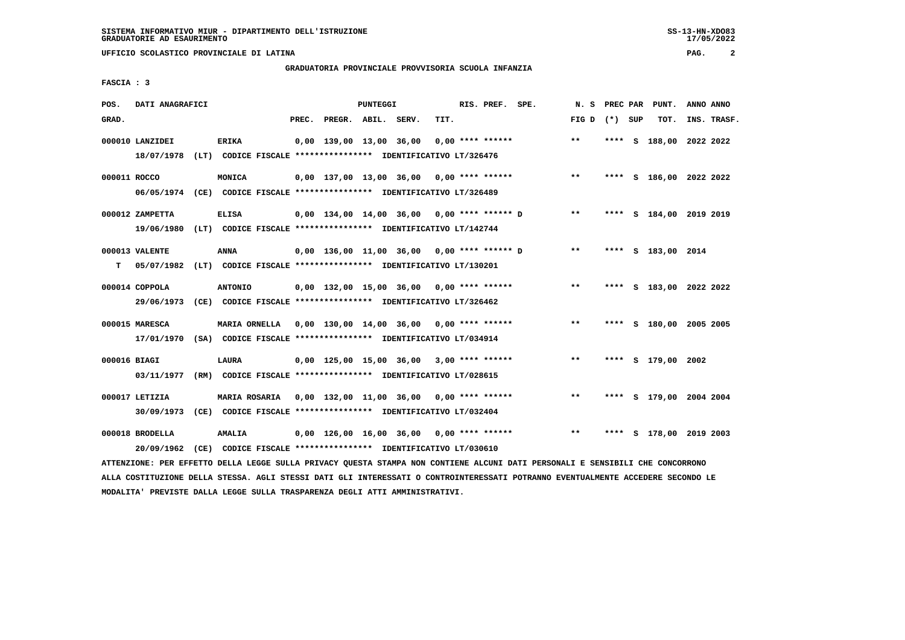# **GRADUATORIA PROVINCIALE PROVVISORIA SCUOLA INFANZIA**

 **FASCIA : 3**

| POS.         | DATI ANAGRAFICI               |                                                                               |       |                         | PUNTEGGI |                                            |      | RIS. PREF. SPE.    |                                            | N.S               |  | PREC PAR PUNT.          | ANNO ANNO |             |
|--------------|-------------------------------|-------------------------------------------------------------------------------|-------|-------------------------|----------|--------------------------------------------|------|--------------------|--------------------------------------------|-------------------|--|-------------------------|-----------|-------------|
| GRAD.        |                               |                                                                               | PREC. | PREGR. ABIL. SERV.      |          |                                            | TIT. |                    |                                            | FIG $D$ $(*)$ SUP |  | TOT.                    |           | INS. TRASF. |
|              | 000010 LANZIDEI<br>18/07/1978 | <b>ERIKA</b><br>(LT) CODICE FISCALE **************** IDENTIFICATIVO LT/326476 |       | 0,00 139,00 13,00 36,00 |          |                                            |      | $0.00$ **** ****** |                                            | $***$             |  | **** S 188,00 2022 2022 |           |             |
|              |                               |                                                                               |       |                         |          |                                            |      |                    |                                            |                   |  |                         |           |             |
| 000011 ROCCO |                               | MONICA                                                                        |       |                         |          | 0,00 137,00 13,00 36,00 0,00 **** ******   |      |                    |                                            | $***$             |  | **** S 186,00 2022 2022 |           |             |
|              |                               | 06/05/1974 (CE) CODICE FISCALE *************** IDENTIFICATIVO LT/326489       |       |                         |          |                                            |      |                    |                                            |                   |  |                         |           |             |
|              | 000012 ZAMPETTA               | <b>ELISA</b>                                                                  |       |                         |          |                                            |      |                    | 0,00 134,00 14,00 36,00 0,00 **** ****** D | $\star\star$      |  | **** S 184,00 2019 2019 |           |             |
|              |                               | 19/06/1980 (LT) CODICE FISCALE *************** IDENTIFICATIVO LT/142744       |       |                         |          |                                            |      |                    |                                            |                   |  |                         |           |             |
|              | 000013 VALENTE                | ANNA                                                                          |       |                         |          |                                            |      |                    | 0,00 136,00 11,00 36,00 0,00 **** ****** D | $***$             |  | **** S 183,00 2014      |           |             |
| т            |                               | 05/07/1982 (LT) CODICE FISCALE **************** IDENTIFICATIVO LT/130201      |       |                         |          |                                            |      |                    |                                            |                   |  |                         |           |             |
|              |                               |                                                                               |       |                         |          |                                            |      |                    |                                            |                   |  |                         |           |             |
|              | 000014 COPPOLA                | <b>ANTONIO</b>                                                                |       |                         |          | $0.00$ 132.00 15.00 36.00 0.00 **** ****** |      |                    |                                            | $***$             |  | **** S 183,00 2022 2022 |           |             |
|              |                               | 29/06/1973 (CE) CODICE FISCALE *************** IDENTIFICATIVO LT/326462       |       |                         |          |                                            |      |                    |                                            |                   |  |                         |           |             |
|              | 000015 MARESCA                | <b>MARIA ORNELLA</b>                                                          |       |                         |          | 0,00 130,00 14,00 36,00 0,00 **** ******   |      |                    |                                            | $**$              |  | **** S 180,00 2005 2005 |           |             |
|              |                               | 17/01/1970 (SA) CODICE FISCALE *************** IDENTIFICATIVO LT/034914       |       |                         |          |                                            |      |                    |                                            |                   |  |                         |           |             |
| 000016 BIAGI |                               | LAURA                                                                         |       |                         |          | $0.00$ 125.00 15.00 36.00 3.00 **** ****** |      |                    |                                            | $***$             |  | **** S 179,00 2002      |           |             |
|              | 03/11/1977                    | (RM) CODICE FISCALE *************** IDENTIFICATIVO LT/028615                  |       |                         |          |                                            |      |                    |                                            |                   |  |                         |           |             |
|              | 000017 LETIZIA                | <b>MARIA ROSARIA</b>                                                          |       |                         |          | $0,00$ 132,00 11,00 36,00 0,00 **** ****** |      |                    |                                            | $* *$             |  | **** S 179,00 2004 2004 |           |             |
|              | 30/09/1973                    | (CE) CODICE FISCALE *************** IDENTIFICATIVO LT/032404                  |       |                         |          |                                            |      |                    |                                            |                   |  |                         |           |             |
|              |                               |                                                                               |       |                         |          |                                            |      |                    |                                            |                   |  |                         |           |             |
|              | 000018 BRODELLA               | <b>AMALIA</b>                                                                 |       |                         |          | 0,00 126,00 16,00 36,00 0,00 **** ******   |      |                    |                                            | $***$             |  | **** S 178,00 2019 2003 |           |             |
|              | 20/09/1962                    | (CE) CODICE FISCALE **************** IDENTIFICATIVO LT/030610                 |       |                         |          |                                            |      |                    |                                            |                   |  |                         |           |             |

 **ATTENZIONE: PER EFFETTO DELLA LEGGE SULLA PRIVACY QUESTA STAMPA NON CONTIENE ALCUNI DATI PERSONALI E SENSIBILI CHE CONCORRONO ALLA COSTITUZIONE DELLA STESSA. AGLI STESSI DATI GLI INTERESSATI O CONTROINTERESSATI POTRANNO EVENTUALMENTE ACCEDERE SECONDO LE MODALITA' PREVISTE DALLA LEGGE SULLA TRASPARENZA DEGLI ATTI AMMINISTRATIVI.**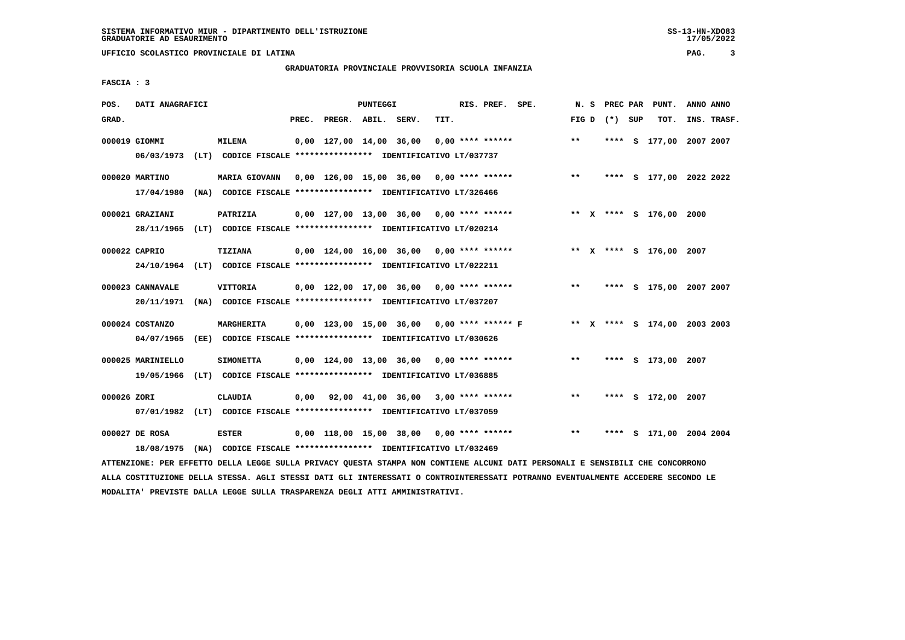# **GRADUATORIA PROVINCIALE PROVVISORIA SCUOLA INFANZIA**

 $17/05/2022$ 

 **FASCIA : 3**

| POS.        | DATI ANAGRAFICI              |                                                                                                                               |       |                         | <b>PUNTEGGI</b> |                                                   |      | RIS. PREF. SPE.    |                                                                                | N.S   |                 | PREC PAR PUNT.          | ANNO ANNO |             |
|-------------|------------------------------|-------------------------------------------------------------------------------------------------------------------------------|-------|-------------------------|-----------------|---------------------------------------------------|------|--------------------|--------------------------------------------------------------------------------|-------|-----------------|-------------------------|-----------|-------------|
| GRAD.       |                              |                                                                                                                               | PREC. | PREGR. ABIL. SERV.      |                 |                                                   | TIT. |                    |                                                                                |       | FIG D $(*)$ SUP | TOT.                    |           | INS. TRASF. |
|             | 000019 GIOMMI<br>06/03/1973  | <b>MILENA</b><br>(LT) CODICE FISCALE **************** IDENTIFICATIVO LT/037737                                                |       | 0,00 127,00 14,00 36,00 |                 |                                                   |      | $0.00$ **** ****** |                                                                                | $***$ |                 | **** S 177,00 2007 2007 |           |             |
|             |                              |                                                                                                                               |       |                         |                 |                                                   |      |                    |                                                                                |       |                 |                         |           |             |
|             | 000020 MARTINO<br>17/04/1980 | MARIA GIOVANN 0,00 126,00 15,00 36,00 0,00 **** ******<br>(NA) CODICE FISCALE **************** IDENTIFICATIVO LT/326466       |       |                         |                 |                                                   |      |                    |                                                                                | $***$ |                 | **** S 177,00 2022 2022 |           |             |
|             |                              |                                                                                                                               |       |                         |                 |                                                   |      |                    |                                                                                |       |                 |                         |           |             |
|             | 000021 GRAZIANI              | PATRIZIA<br>28/11/1965 (LT) CODICE FISCALE *************** IDENTIFICATIVO LT/020214                                           |       |                         |                 | 0,00 127,00 13,00 36,00 0,00 **** ******          |      |                    |                                                                                |       |                 | ** X **** S 176,00 2000 |           |             |
|             |                              |                                                                                                                               |       |                         |                 |                                                   |      |                    |                                                                                |       |                 |                         |           |             |
|             | 000022 CAPRIO                | <b>TIZIANA</b>                                                                                                                |       |                         |                 | $0,00$ 124,00 16,00 36,00 0,00 **** ******        |      |                    |                                                                                |       |                 | ** X **** S 176,00 2007 |           |             |
|             |                              | 24/10/1964 (LT) CODICE FISCALE *************** IDENTIFICATIVO LT/022211                                                       |       |                         |                 |                                                   |      |                    |                                                                                |       |                 |                         |           |             |
|             | 000023 CANNAVALE             | VITTORIA                                                                                                                      |       |                         |                 | $0,00$ 122,00 17,00 36,00 0,00 **** ******        |      |                    |                                                                                | $***$ |                 | **** S 175,00 2007 2007 |           |             |
|             | 20/11/1971                   | (NA) CODICE FISCALE **************** IDENTIFICATIVO LT/037207                                                                 |       |                         |                 |                                                   |      |                    |                                                                                |       |                 |                         |           |             |
|             | 000024 COSTANZO              | <b>MARGHERITA</b>                                                                                                             |       |                         |                 |                                                   |      |                    | 0,00 123,00 15,00 36,00  0,00 **** ****** F      **  X **** S 174,00 2003 2003 |       |                 |                         |           |             |
|             |                              | 04/07/1965 (EE) CODICE FISCALE *************** IDENTIFICATIVO LT/030626                                                       |       |                         |                 |                                                   |      |                    |                                                                                |       |                 |                         |           |             |
|             | 000025 MARINIELLO            | <b>SIMONETTA</b>                                                                                                              |       |                         |                 | $0,00$ 124,00 13,00 36,00 0,00 **** ******        |      |                    |                                                                                | $* *$ |                 | **** S 173,00 2007      |           |             |
|             |                              | 19/05/1966 (LT) CODICE FISCALE *************** IDENTIFICATIVO LT/036885                                                       |       |                         |                 |                                                   |      |                    |                                                                                |       |                 |                         |           |             |
| 000026 ZORI |                              | <b>CLAUDIA</b>                                                                                                                |       |                         |                 | $0,00$ $92,00$ $41,00$ $36,00$ $3,00$ **** ****** |      |                    |                                                                                | $***$ |                 | **** S 172,00 2007      |           |             |
|             |                              | 07/01/1982 (LT) CODICE FISCALE *************** IDENTIFICATIVO LT/037059                                                       |       |                         |                 |                                                   |      |                    |                                                                                |       |                 |                         |           |             |
|             | 000027 DE ROSA               | <b>ESTER</b>                                                                                                                  |       |                         |                 |                                                   |      |                    | $0,00$ 118,00 15,00 38,00 0,00 **** ****** *** **                              |       |                 | **** S 171,00 2004 2004 |           |             |
|             | 18/08/1975                   | (NA) CODICE FISCALE **************** IDENTIFICATIVO LT/032469                                                                 |       |                         |                 |                                                   |      |                    |                                                                                |       |                 |                         |           |             |
|             |                              | ATTENZIONE: PER EFFETTO DELLA LEGGE SULLA PRIVACY QUESTA STAMPA NON CONTIENE ALCUNI DATI PERSONALI E SENSIBILI CHE CONCORRONO |       |                         |                 |                                                   |      |                    |                                                                                |       |                 |                         |           |             |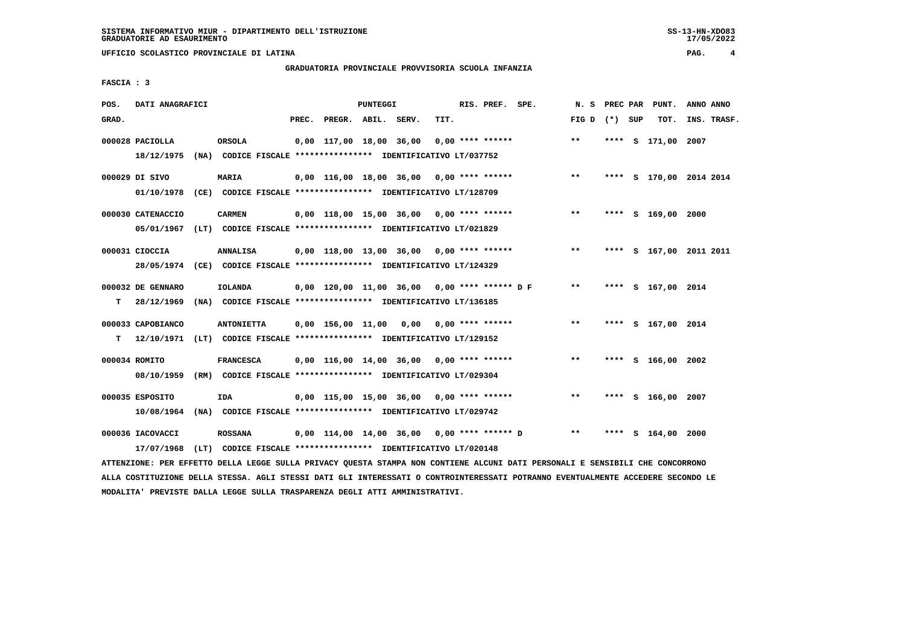# **GRADUATORIA PROVINCIALE PROVVISORIA SCUOLA INFANZIA**

 $17/05/2022$ 

 **FASCIA : 3**

| POS.  | DATI ANAGRAFICI   |                                                                                               |       |                                              | PUNTEGGI |      | RIS. PREF. SPE.      | N.S             | PREC PAR | PUNT.                   | ANNO ANNO |             |
|-------|-------------------|-----------------------------------------------------------------------------------------------|-------|----------------------------------------------|----------|------|----------------------|-----------------|----------|-------------------------|-----------|-------------|
| GRAD. |                   |                                                                                               | PREC. | PREGR. ABIL. SERV.                           |          | TIT. |                      | FIG D $(*)$ SUP |          | TOT.                    |           | INS. TRASF. |
|       | 000028 PACIOLLA   | ORSOLA<br>18/12/1975 (NA) CODICE FISCALE *************** IDENTIFICATIVO LT/037752             |       | 0,00 117,00 18,00 36,00                      |          |      | $0.00$ **** ******   | $***$           |          | **** S 171,00 2007      |           |             |
|       | 000029 DI SIVO    | <b>MARIA</b><br>01/10/1978 (CE) CODICE FISCALE *************** IDENTIFICATIVO LT/128709       |       | $0,00$ 116,00 18,00 36,00 0,00 **** ******   |          |      |                      | $***$           |          | **** S 170,00 2014 2014 |           |             |
|       | 000030 CATENACCIO | <b>CARMEN</b><br>05/01/1967 (LT) CODICE FISCALE *************** IDENTIFICATIVO LT/021829      |       | $0.00$ 118.00 15.00 36.00 0.00 **** ******   |          |      |                      | $***$           |          | **** S 169,00 2000      |           |             |
|       | 000031 CIOCCIA    | <b>ANNALISA</b><br>28/05/1974 (CE) CODICE FISCALE *************** IDENTIFICATIVO LT/124329    |       | $0,00$ 118,00 13,00 36,00 0,00 **** ******   |          |      |                      | $* *$           |          | **** S 167,00 2011 2011 |           |             |
| т     | 000032 DE GENNARO | <b>IOLANDA</b><br>28/12/1969 (NA) CODICE FISCALE *************** IDENTIFICATIVO LT/136185     |       | 0,00 120,00 11,00 36,00 0,00 **** ****** D F |          |      |                      | $***$           |          | **** S 167,00 2014      |           |             |
| T.    | 000033 CAPOBIANCO | <b>ANTONIETTA</b><br>12/10/1971 (LT) CODICE FISCALE **************** IDENTIFICATIVO LT/129152 |       | $0,00$ 156,00 11,00 0,00 0,00 **** ******    |          |      |                      | **              |          | **** S 167,00 2014      |           |             |
|       | 000034 ROMITO     | <b>FRANCESCA</b><br>08/10/1959 (RM) CODICE FISCALE *************** IDENTIFICATIVO LT/029304   |       | $0,00$ 116,00 14,00 36,00 0,00 **** ******   |          |      |                      | $***$           |          | **** S 166,00 2002      |           |             |
|       | 000035 ESPOSITO   | IDA<br>10/08/1964 (NA) CODICE FISCALE **************** IDENTIFICATIVO LT/029742               |       | $0.00$ 115.00 15.00 36.00 0.00 **** ******   |          |      |                      | **              |          | **** S 166,00 2007      |           |             |
|       | 000036 IACOVACCI  | <b>ROSSANA</b><br>17/07/1968 (LT) CODICE FISCALE *************** IDENTIFICATIVO LT/020148     |       | 0,00 114,00 14,00 36,00                      |          |      | $0.00$ **** ****** D | **              | ****     | S 164,00 2000           |           |             |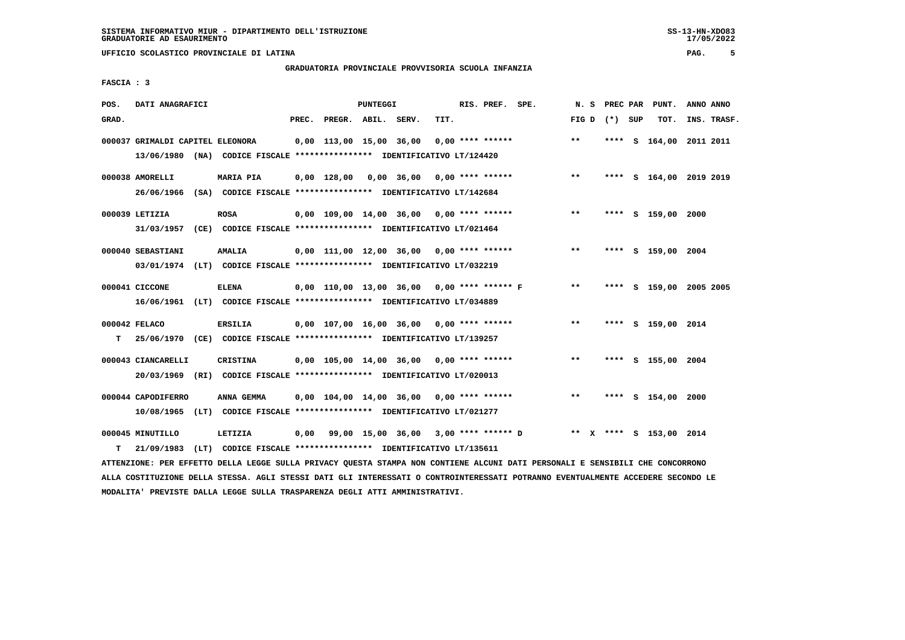## **GRADUATORIA PROVINCIALE PROVVISORIA SCUOLA INFANZIA**

 $17/05/2022$ 

 **FASCIA : 3**

| POS.  | DATI ANAGRAFICI                                                                                              |      |                  |  |                          | PUNTEGGI |                                                          |      | RIS. PREF. SPE.    |                                                                   | N.S          |                 | PREC PAR | PUNT.                   | ANNO ANNO |             |
|-------|--------------------------------------------------------------------------------------------------------------|------|------------------|--|--------------------------|----------|----------------------------------------------------------|------|--------------------|-------------------------------------------------------------------|--------------|-----------------|----------|-------------------------|-----------|-------------|
| GRAD. |                                                                                                              |      |                  |  | PREC. PREGR. ABIL. SERV. |          |                                                          | TIT. |                    |                                                                   |              | FIG D $(*)$ SUP |          | TOT.                    |           | INS. TRASF. |
|       | 000037 GRIMALDI CAPITEL ELEONORA<br>13/06/1980 (NA) CODICE FISCALE **************** IDENTIFICATIVO LT/124420 |      |                  |  |                          |          | 0,00 113,00 15,00 36,00                                  |      | $0.00$ **** ****** |                                                                   | $***$        |                 |          | **** S 164,00 2011 2011 |           |             |
|       | 000038 AMORELLI<br>26/06/1966 (SA) CODICE FISCALE *************** IDENTIFICATIVO LT/142684                   |      | <b>MARIA PIA</b> |  |                          |          | 0,00 128,00 0,00 36,00                                   |      |                    | $0.00$ **** ******                                                | $\star\star$ |                 |          | **** S 164,00 2019 2019 |           |             |
|       | 000039 LETIZIA<br>31/03/1957 (CE) CODICE FISCALE *************** IDENTIFICATIVO LT/021464                    |      | <b>ROSA</b>      |  |                          |          | 0,00 109,00 14,00 36,00 0,00 **** ******                 |      |                    |                                                                   | $\star\star$ |                 |          | **** S 159,00 2000      |           |             |
|       | 000040 SEBASTIANI<br>03/01/1974 (LT) CODICE FISCALE *************** IDENTIFICATIVO LT/032219                 |      | <b>AMALIA</b>    |  |                          |          | $0,00$ 111,00 12,00 36,00 0,00 **** ******               |      |                    |                                                                   | $***$        |                 |          | **** S 159,00 2004      |           |             |
|       | 000041 CICCONE<br>16/06/1961 (LT) CODICE FISCALE *************** IDENTIFICATIVO LT/034889                    |      | <b>ELENA</b>     |  |                          |          | 0,00 110,00 13,00 36,00 0,00 **** ****** F               |      |                    |                                                                   | $***$        |                 |          | **** S 159,00 2005 2005 |           |             |
| т     | 000042 FELACO<br>25/06/1970 (CE) CODICE FISCALE **************** IDENTIFICATIVO LT/139257                    |      | ERSILIA          |  |                          |          | $0,00$ 107,00 16,00 36,00 0,00 **** ******               |      |                    |                                                                   | $**$         |                 |          | **** S 159,00 2014      |           |             |
|       | 000043 CIANCARELLI<br>20/03/1969 (RI) CODICE FISCALE *************** IDENTIFICATIVO LT/020013                |      | <b>CRISTINA</b>  |  |                          |          | $0.00$ 105.00 14.00 36.00 0.00 **** ******               |      |                    |                                                                   | $***$        |                 |          | **** S 155,00 2004      |           |             |
|       | 000044 CAPODIFERRO<br>10/08/1965 (LT) CODICE FISCALE *************** IDENTIFICATIVO LT/021277                |      | ANNA GEMMA       |  |                          |          | $0,00$ $104,00$ $14,00$ $36,00$ $0,00$ $***$ **** ****** |      |                    |                                                                   | $***$        |                 |          | **** S 154,00 2000      |           |             |
| т     | 000045 MINUTILLO<br>21/09/1983                                                                               | (LT) | LETIZIA          |  |                          |          | CODICE FISCALE **************** IDENTIFICATIVO LT/135611 |      |                    | 0,00 99,00 15,00 36,00 3,00 **** ****** D ** X **** S 153,00 2014 |              |                 |          |                         |           |             |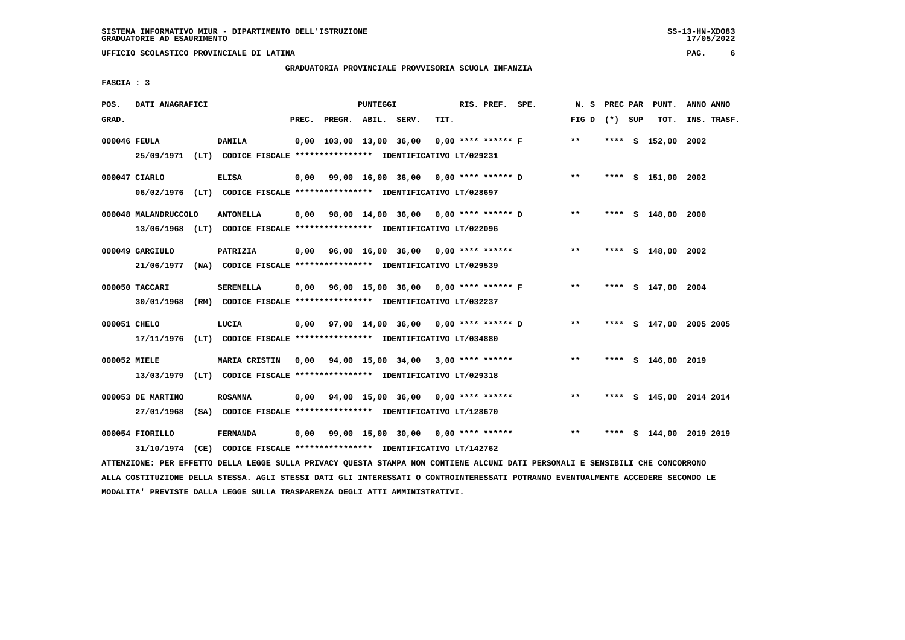## **GRADUATORIA PROVINCIALE PROVVISORIA SCUOLA INFANZIA**

 $17/05/2022$ 

 **FASCIA : 3**

| POS.         | DATI ANAGRAFICI      |                                                                                                                               |       |                    | PUNTEGGI |                                             |      | RIS. PREF. SPE. |                                                |                 |  | N. S PREC PAR PUNT. | ANNO ANNO               |
|--------------|----------------------|-------------------------------------------------------------------------------------------------------------------------------|-------|--------------------|----------|---------------------------------------------|------|-----------------|------------------------------------------------|-----------------|--|---------------------|-------------------------|
| GRAD.        |                      |                                                                                                                               | PREC. | PREGR. ABIL. SERV. |          |                                             | TIT. |                 |                                                | FIG D $(*)$ SUP |  | тот.                | INS. TRASF.             |
| 000046 FEULA |                      | DANILA<br>25/09/1971 (LT) CODICE FISCALE *************** IDENTIFICATIVO LT/029231                                             |       |                    |          | 0,00 103,00 13,00 36,00                     |      |                 | $0.00$ **** ****** F                           | $**$            |  | **** S 152,00 2002  |                         |
|              | 000047 CIARLO        | <b>ELISA</b><br>06/02/1976 (LT) CODICE FISCALE *************** IDENTIFICATIVO LT/028697                                       |       |                    |          |                                             |      |                 | $0,00$ 99,00 16,00 36,00 0,00 **** ****** D ** |                 |  | **** S 151,00 2002  |                         |
|              | 000048 MALANDRUCCOLO | <b>ANTONELLA</b><br>13/06/1968 (LT) CODICE FISCALE **************** IDENTIFICATIVO LT/022096                                  |       |                    |          | 0,00 98,00 14,00 36,00 0,00 **** ****** D   |      |                 |                                                | $***$           |  | **** S 148,00 2000  |                         |
|              | 000049 GARGIULO      | PATRIZIA<br>21/06/1977 (NA) CODICE FISCALE **************** IDENTIFICATIVO LT/029539                                          |       |                    |          |                                             |      |                 | $0,00$ 96,00 16,00 36,00 0,00 **** ******      | $***$           |  | **** S 148,00 2002  |                         |
|              | 000050 TACCARI       | <b>SERENELLA</b><br>30/01/1968 (RM) CODICE FISCALE *************** IDENTIFICATIVO LT/032237                                   |       |                    |          | $0,00$ 96,00 15,00 36,00 0,00 **** ****** F |      |                 |                                                | $***$           |  | **** S 147,00 2004  |                         |
| 000051 CHELO |                      | LUCIA<br>17/11/1976 (LT) CODICE FISCALE *************** IDENTIFICATIVO LT/034880                                              |       |                    |          |                                             |      |                 | 0,00 97,00 14,00 36,00 0,00 **** ****** D      | $***$           |  |                     | **** S 147,00 2005 2005 |
| 000052 MIELE |                      | MARIA CRISTIN<br>13/03/1979 (LT) CODICE FISCALE *************** IDENTIFICATIVO LT/029318                                      |       |                    |          | 0,00 94,00 15,00 34,00 3,00 **** ******     |      |                 |                                                | $* *$           |  | **** S 146,00 2019  |                         |
|              | 000053 DE MARTINO    | <b>ROSANNA</b><br>27/01/1968 (SA) CODICE FISCALE *************** IDENTIFICATIVO LT/128670                                     |       |                    |          | $0,00$ 94,00 15,00 36,00 0,00 **** ******   |      |                 |                                                | $***$           |  |                     | **** S 145,00 2014 2014 |
|              | 000054 FIORILLO      | <b>FERNANDA</b><br>31/10/1974 (CE) CODICE FISCALE *************** IDENTIFICATIVO LT/142762                                    |       |                    |          |                                             |      |                 | 0,00 99,00 15,00 30,00 0,00 **** ******        | $***$           |  |                     | **** S 144,00 2019 2019 |
|              |                      | ATTENZIONE: PER EFFETTO DELLA LEGGE SULLA PRIVACY QUESTA STAMPA NON CONTIENE ALCUNI DATI PERSONALI E SENSIBILI CHE CONCORRONO |       |                    |          |                                             |      |                 |                                                |                 |  |                     |                         |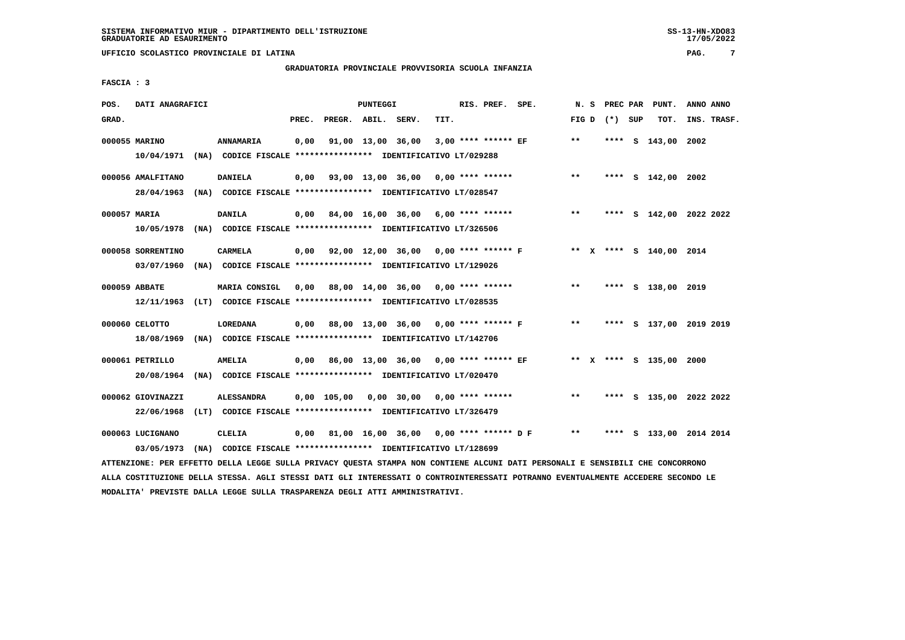# **GRADUATORIA PROVINCIALE PROVVISORIA SCUOLA INFANZIA**

 **FASCIA : 3**

| POS.  | DATI ANAGRAFICI   |                                                                                                                               |       |                    | <b>PUNTEGGI</b> |                                                        |      | RIS. PREF. SPE. |                                           |       |                 | N. S PREC PAR PUNT.     | ANNO ANNO               |
|-------|-------------------|-------------------------------------------------------------------------------------------------------------------------------|-------|--------------------|-----------------|--------------------------------------------------------|------|-----------------|-------------------------------------------|-------|-----------------|-------------------------|-------------------------|
| GRAD. |                   |                                                                                                                               | PREC. | PREGR. ABIL. SERV. |                 |                                                        | TIT. |                 |                                           |       | FIG D $(*)$ SUP | TOT.                    | INS. TRASF.             |
|       | 000055 MARINO     | ANNAMARIA                                                                                                                     | 0,00  |                    |                 | 91,00 13,00 36,00 3,00 **** ****** EF                  |      |                 |                                           | $**$  |                 | **** S 143,00 2002      |                         |
|       |                   | 10/04/1971 (NA) CODICE FISCALE *************** IDENTIFICATIVO LT/029288                                                       |       |                    |                 |                                                        |      |                 |                                           |       |                 |                         |                         |
|       | 000056 AMALFITANO | <b>DANIELA</b>                                                                                                                |       |                    |                 | $0,00$ $93,00$ $13,00$ $36,00$ $0,00$ $***$ **** ***** |      |                 |                                           | $***$ |                 | **** S 142,00 2002      |                         |
|       |                   | 28/04/1963 (NA) CODICE FISCALE *************** IDENTIFICATIVO LT/028547                                                       |       |                    |                 |                                                        |      |                 |                                           |       |                 |                         |                         |
|       | 000057 MARIA      | <b>DANILA</b>                                                                                                                 |       |                    |                 | $0,00$ 84,00 16,00 36,00 6,00 **** ******              |      |                 |                                           | $***$ |                 |                         | **** S 142,00 2022 2022 |
|       |                   | 10/05/1978 (NA) CODICE FISCALE *************** IDENTIFICATIVO LT/326506                                                       |       |                    |                 |                                                        |      |                 |                                           |       |                 |                         |                         |
|       | 000058 SORRENTINO | <b>CARMELA</b>                                                                                                                |       |                    |                 | 0,00 92,00 12,00 36,00 0,00 **** ****** F              |      |                 |                                           |       |                 | ** x **** s 140,00 2014 |                         |
|       |                   | 03/07/1960 (NA) CODICE FISCALE *************** IDENTIFICATIVO LT/129026                                                       |       |                    |                 |                                                        |      |                 |                                           |       |                 |                         |                         |
|       | 000059 ABBATE     | MARIA CONSIGL                                                                                                                 | 0,00  |                    |                 | 88,00 14,00 36,00 0,00 **** ******                     |      |                 |                                           | $***$ |                 | **** S 138,00 2019      |                         |
|       |                   | 12/11/1963 (LT) CODICE FISCALE *************** IDENTIFICATIVO LT/028535                                                       |       |                    |                 |                                                        |      |                 |                                           |       |                 |                         |                         |
|       |                   |                                                                                                                               |       |                    |                 |                                                        |      |                 |                                           |       |                 |                         |                         |
|       | 000060 CELOTTO    | <b>LOREDANA</b>                                                                                                               |       |                    |                 |                                                        |      |                 | 0,00 88,00 13,00 36,00 0,00 **** ****** F | $***$ |                 |                         | **** S 137,00 2019 2019 |
|       | 18/08/1969        | (NA) CODICE FISCALE **************** IDENTIFICATIVO LT/142706                                                                 |       |                    |                 |                                                        |      |                 |                                           |       |                 |                         |                         |
|       | 000061 PETRILLO   | <b>AMELIA</b>                                                                                                                 |       |                    |                 | 0,00 86,00 13,00 36,00 0,00 **** ****** EF             |      |                 |                                           |       |                 | ** X **** S 135,00 2000 |                         |
|       |                   | 20/08/1964 (NA) CODICE FISCALE *************** IDENTIFICATIVO LT/020470                                                       |       |                    |                 |                                                        |      |                 |                                           |       |                 |                         |                         |
|       | 000062 GIOVINAZZI | <b>ALESSANDRA</b>                                                                                                             |       |                    |                 | 0,00 105,00 0,00 30,00 0,00 **** ******                |      |                 |                                           | $**$  |                 |                         | **** S 135,00 2022 2022 |
|       |                   | 22/06/1968 (LT) CODICE FISCALE *************** IDENTIFICATIVO LT/326479                                                       |       |                    |                 |                                                        |      |                 |                                           |       |                 |                         |                         |
|       | 000063 LUCIGNANO  | CLELIA                                                                                                                        | 0,00  |                    |                 |                                                        |      |                 | 81,00 16,00 36,00 0,00 **** ****** D F    | $***$ |                 |                         | **** S 133,00 2014 2014 |
|       | 03/05/1973        | (NA) CODICE FISCALE **************** IDENTIFICATIVO LT/128699                                                                 |       |                    |                 |                                                        |      |                 |                                           |       |                 |                         |                         |
|       |                   | ATTENZIONE: PER EFFETTO DELLA LEGGE SULLA PRIVACY QUESTA STAMPA NON CONTIENE ALCUNI DATI PERSONALI E SENSIBILI CHE CONCORRONO |       |                    |                 |                                                        |      |                 |                                           |       |                 |                         |                         |

 **ALLA COSTITUZIONE DELLA STESSA. AGLI STESSI DATI GLI INTERESSATI O CONTROINTERESSATI POTRANNO EVENTUALMENTE ACCEDERE SECONDO LE MODALITA' PREVISTE DALLA LEGGE SULLA TRASPARENZA DEGLI ATTI AMMINISTRATIVI.**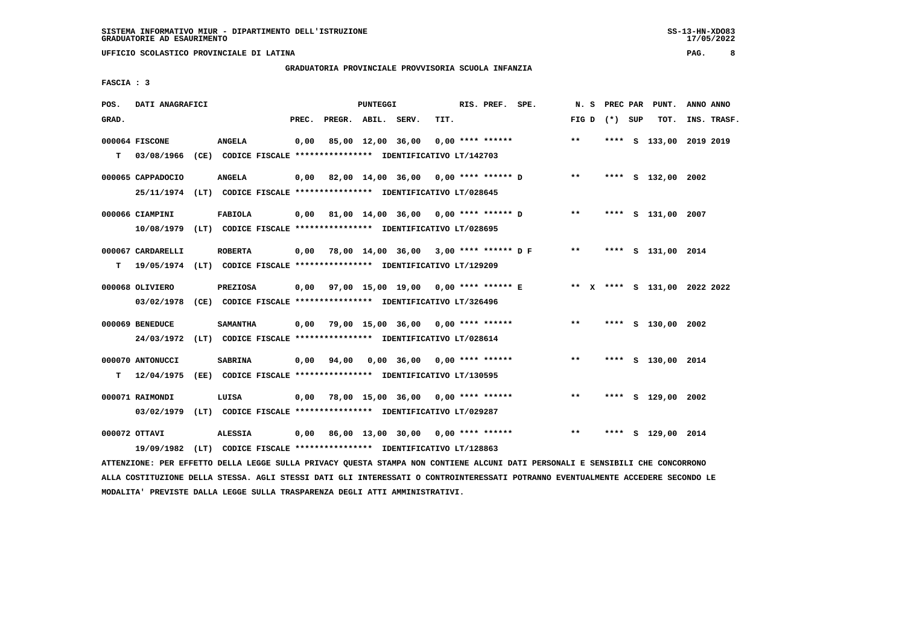# **GRADUATORIA PROVINCIALE PROVVISORIA SCUOLA INFANZIA**

 **FASCIA : 3**

| POS.  | DATI ANAGRAFICI   |                                                                         |       |                    | PUNTEGGI |                                           |      | RIS. PREF. SPE. |                                                                        |                   |  | N. S PREC PAR PUNT. | ANNO ANNO               |  |
|-------|-------------------|-------------------------------------------------------------------------|-------|--------------------|----------|-------------------------------------------|------|-----------------|------------------------------------------------------------------------|-------------------|--|---------------------|-------------------------|--|
| GRAD. |                   |                                                                         | PREC. | PREGR. ABIL. SERV. |          |                                           | TIT. |                 |                                                                        | FIG $D$ $(*)$ SUP |  | тот.                | INS. TRASF.             |  |
|       | 000064 FISCONE    | <b>ANGELA</b>                                                           | 0,00  |                    |          |                                           |      |                 | 85,00 12,00 36,00 0,00 **** ******                                     | $***$             |  |                     | **** S 133,00 2019 2019 |  |
| T.    | 03/08/1966        | (CE) CODICE FISCALE **************** IDENTIFICATIVO LT/142703           |       |                    |          |                                           |      |                 |                                                                        |                   |  |                     |                         |  |
|       | 000065 CAPPADOCIO | <b>ANGELA</b>                                                           |       |                    |          |                                           |      |                 | $0,00$ 82,00 14,00 36,00 0,00 **** ****** D **                         |                   |  | **** S 132,00 2002  |                         |  |
|       |                   | 25/11/1974 (LT) CODICE FISCALE *************** IDENTIFICATIVO LT/028645 |       |                    |          |                                           |      |                 |                                                                        |                   |  |                     |                         |  |
|       | 000066 CIAMPINI   | <b>FABIOLA</b>                                                          |       |                    |          | 0,00 81,00 14,00 36,00 0,00 **** ****** D |      |                 |                                                                        | $\star\star$      |  | **** S 131,00 2007  |                         |  |
|       |                   | 10/08/1979 (LT) CODICE FISCALE *************** IDENTIFICATIVO LT/028695 |       |                    |          |                                           |      |                 |                                                                        |                   |  |                     |                         |  |
|       | 000067 CARDARELLI | <b>ROBERTA</b>                                                          |       |                    |          |                                           |      |                 | $0,00$ 78,00 14,00 36,00 3,00 **** ****** D F                          | $***$             |  | **** S 131,00 2014  |                         |  |
| т     |                   | 19/05/1974 (LT) CODICE FISCALE *************** IDENTIFICATIVO LT/129209 |       |                    |          |                                           |      |                 |                                                                        |                   |  |                     |                         |  |
|       | 000068 OLIVIERO   | <b>PREZIOSA</b>                                                         |       |                    |          |                                           |      |                 | 0,00 97,00 15,00 19,00 0,00 **** ****** E ** X **** S 131,00 2022 2022 |                   |  |                     |                         |  |
|       | 03/02/1978        | (CE) CODICE FISCALE **************** IDENTIFICATIVO LT/326496           |       |                    |          |                                           |      |                 |                                                                        |                   |  |                     |                         |  |
|       |                   |                                                                         |       |                    |          |                                           |      |                 |                                                                        |                   |  |                     |                         |  |
|       | 000069 BENEDUCE   | <b>SAMANTHA</b>                                                         |       |                    |          | $0.00$ 79.00 15.00 36.00 0.00 **** ****** |      |                 |                                                                        | $***$             |  | **** S 130,00 2002  |                         |  |
|       | 24/03/1972        | (LT) CODICE FISCALE **************** IDENTIFICATIVO LT/028614           |       |                    |          |                                           |      |                 |                                                                        |                   |  |                     |                         |  |
|       | 000070 ANTONUCCI  | <b>SABRINA</b>                                                          |       | 0,00 94,00         |          | $0.00$ 36.00 0.00 **** ******             |      |                 |                                                                        | $**$              |  | **** S 130,00 2014  |                         |  |
| т     | 12/04/1975        | (EE) CODICE FISCALE **************** IDENTIFICATIVO LT/130595           |       |                    |          |                                           |      |                 |                                                                        |                   |  |                     |                         |  |
|       | 000071 RAIMONDI   | LUISA                                                                   | 0,00  |                    |          | 78,00 15,00 36,00 0,00 **** ******        |      |                 |                                                                        | $***$             |  | **** S 129,00 2002  |                         |  |
|       | 03/02/1979        | (LT) CODICE FISCALE **************** IDENTIFICATIVO LT/029287           |       |                    |          |                                           |      |                 |                                                                        |                   |  |                     |                         |  |
|       | 000072 OTTAVI     | <b>ALESSIA</b>                                                          |       |                    |          | $0,00$ 86,00 13,00 30,00 0,00 **** ****** |      |                 |                                                                        | $* *$             |  | **** S 129,00 2014  |                         |  |
|       | 19/09/1982        | (LT) CODICE FISCALE **************** IDENTIFICATIVO LT/128863           |       |                    |          |                                           |      |                 |                                                                        |                   |  |                     |                         |  |

 **ATTENZIONE: PER EFFETTO DELLA LEGGE SULLA PRIVACY QUESTA STAMPA NON CONTIENE ALCUNI DATI PERSONALI E SENSIBILI CHE CONCORRONO ALLA COSTITUZIONE DELLA STESSA. AGLI STESSI DATI GLI INTERESSATI O CONTROINTERESSATI POTRANNO EVENTUALMENTE ACCEDERE SECONDO LE MODALITA' PREVISTE DALLA LEGGE SULLA TRASPARENZA DEGLI ATTI AMMINISTRATIVI.**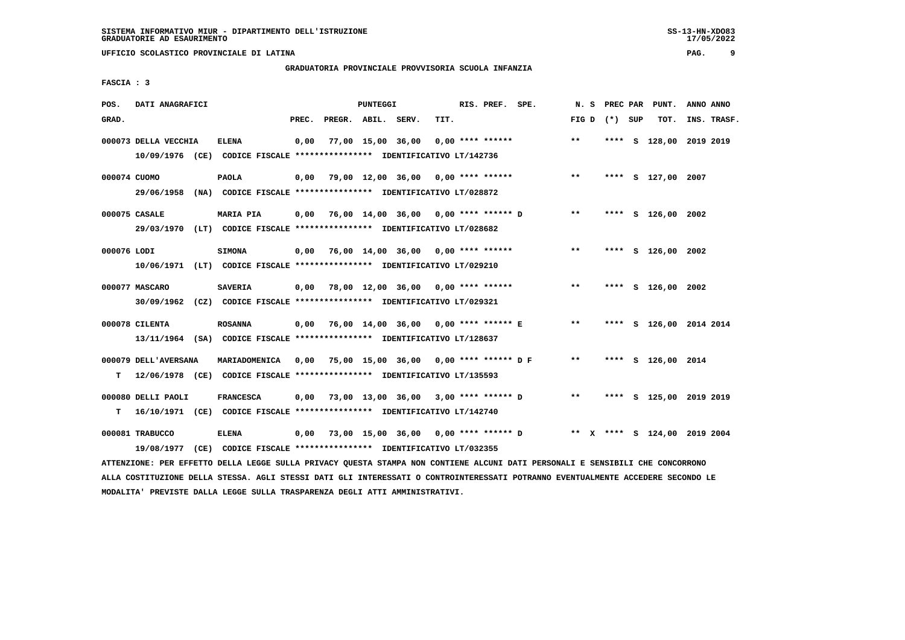# **GRADUATORIA PROVINCIALE PROVVISORIA SCUOLA INFANZIA**

 **FASCIA : 3**

| POS.         | DATI ANAGRAFICI      |                                                                                                                               |       |                    | PUNTEGGI |                                           |      | RIS. PREF. SPE. |                                                                        | N. S              |  | PREC PAR PUNT.          | ANNO ANNO |             |
|--------------|----------------------|-------------------------------------------------------------------------------------------------------------------------------|-------|--------------------|----------|-------------------------------------------|------|-----------------|------------------------------------------------------------------------|-------------------|--|-------------------------|-----------|-------------|
| GRAD.        |                      |                                                                                                                               | PREC. | PREGR. ABIL. SERV. |          |                                           | TIT. |                 |                                                                        | FIG $D$ $(*)$ SUP |  | тот.                    |           | INS. TRASF. |
|              | 000073 DELLA VECCHIA | ELENA                                                                                                                         | 0,00  |                    |          | 77,00 15,00 36,00 0,00 **** ******        |      |                 |                                                                        | $* *$             |  | **** S 128,00 2019 2019 |           |             |
|              |                      | 10/09/1976 (CE) CODICE FISCALE *************** IDENTIFICATIVO LT/142736                                                       |       |                    |          |                                           |      |                 |                                                                        |                   |  |                         |           |             |
| 000074 CUOMO |                      | <b>PAOLA</b>                                                                                                                  |       |                    |          | $0,00$ 79,00 12,00 36,00 0,00 **** ****** |      |                 |                                                                        | $***$             |  | **** S 127,00 2007      |           |             |
|              |                      | 29/06/1958 (NA) CODICE FISCALE *************** IDENTIFICATIVO LT/028872                                                       |       |                    |          |                                           |      |                 |                                                                        |                   |  |                         |           |             |
|              | 000075 CASALE        | <b>MARIA PIA</b>                                                                                                              |       |                    |          |                                           |      |                 | 0,00 76,00 14,00 36,00 0,00 **** ****** D                              | $***$             |  | **** S 126,00 2002      |           |             |
|              |                      | 29/03/1970 (LT) CODICE FISCALE *************** IDENTIFICATIVO LT/028682                                                       |       |                    |          |                                           |      |                 |                                                                        |                   |  |                         |           |             |
| 000076 LODI  |                      | <b>SIMONA</b>                                                                                                                 |       |                    |          |                                           |      |                 | $0,00$ 76,00 14,00 36,00 0,00 **** ******                              | $***$             |  | **** S 126,00 2002      |           |             |
|              |                      | 10/06/1971 (LT) CODICE FISCALE *************** IDENTIFICATIVO LT/029210                                                       |       |                    |          |                                           |      |                 |                                                                        |                   |  |                         |           |             |
|              | 000077 MASCARO       | <b>SAVERIA</b>                                                                                                                |       |                    |          | $0,00$ 78,00 12,00 36,00 0,00 **** ****** |      |                 |                                                                        | $\star\star$      |  | **** S 126,00 2002      |           |             |
|              |                      | 30/09/1962 (CZ) CODICE FISCALE *************** IDENTIFICATIVO LT/029321                                                       |       |                    |          |                                           |      |                 |                                                                        |                   |  |                         |           |             |
|              | 000078 CILENTA       | <b>ROSANNA</b>                                                                                                                |       |                    |          |                                           |      |                 | 0,00 76,00 14,00 36,00 0,00 **** ****** E ** **                        |                   |  | **** S 126,00 2014 2014 |           |             |
|              |                      | 13/11/1964 (SA) CODICE FISCALE *************** IDENTIFICATIVO LT/128637                                                       |       |                    |          |                                           |      |                 |                                                                        |                   |  |                         |           |             |
|              | 000079 DELL'AVERSANA | MARIADOMENICA                                                                                                                 |       |                    |          |                                           |      |                 | 0,00 75,00 15,00 36,00 0,00 **** ****** D F                            | $***$             |  | **** S 126,00 2014      |           |             |
| т            |                      | 12/06/1978 (CE) CODICE FISCALE **************** IDENTIFICATIVO LT/135593                                                      |       |                    |          |                                           |      |                 |                                                                        |                   |  |                         |           |             |
|              | 000080 DELLI PAOLI   | <b>FRANCESCA</b>                                                                                                              |       |                    |          |                                           |      |                 |                                                                        |                   |  | **** S 125,00 2019 2019 |           |             |
|              |                      | T 16/10/1971 (CE) CODICE FISCALE *************** IDENTIFICATIVO LT/142740                                                     |       |                    |          |                                           |      |                 |                                                                        |                   |  |                         |           |             |
|              | 000081 TRABUCCO      | <b>ELENA</b>                                                                                                                  |       |                    |          |                                           |      |                 | 0,00 73,00 15,00 36,00 0,00 **** ****** D ** X **** S 124,00 2019 2004 |                   |  |                         |           |             |
|              | 19/08/1977           | (CE) CODICE FISCALE **************** IDENTIFICATIVO LT/032355                                                                 |       |                    |          |                                           |      |                 |                                                                        |                   |  |                         |           |             |
|              |                      | ATTENZIONE: PER EFFETTO DELLA LEGGE SULLA PRIVACY QUESTA STAMPA NON CONTIENE ALCUNI DATI PERSONALI E SENSIBILI CHE CONCORRONO |       |                    |          |                                           |      |                 |                                                                        |                   |  |                         |           |             |

 **ALLA COSTITUZIONE DELLA STESSA. AGLI STESSI DATI GLI INTERESSATI O CONTROINTERESSATI POTRANNO EVENTUALMENTE ACCEDERE SECONDO LE MODALITA' PREVISTE DALLA LEGGE SULLA TRASPARENZA DEGLI ATTI AMMINISTRATIVI.**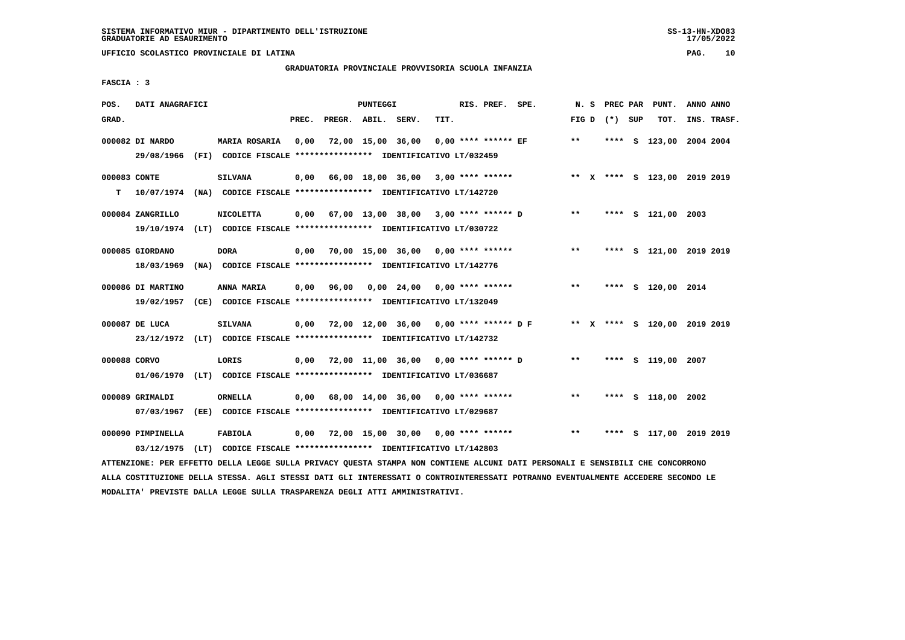# **GRADUATORIA PROVINCIALE PROVVISORIA SCUOLA INFANZIA**

 **FASCIA : 3**

| POS.         | DATI ANAGRAFICI                                                                                                               |                                                                          |                                         |                    | <b>PUNTEGGI</b> |                                                        |      | RIS. PREF. SPE.     |                                                                          |              | N. S | PREC PAR        | PUNT.                        | ANNO ANNO |             |
|--------------|-------------------------------------------------------------------------------------------------------------------------------|--------------------------------------------------------------------------|-----------------------------------------|--------------------|-----------------|--------------------------------------------------------|------|---------------------|--------------------------------------------------------------------------|--------------|------|-----------------|------------------------------|-----------|-------------|
| GRAD.        |                                                                                                                               |                                                                          | PREC.                                   | PREGR. ABIL. SERV. |                 |                                                        | TIT. |                     |                                                                          |              |      | FIG D $(*)$ SUP | TOT.                         |           | INS. TRASF. |
|              | 000082 DI NARDO                                                                                                               | MARIA ROSARIA 0,00                                                       |                                         |                    |                 | 72,00 15,00 36,00                                      |      | 0,00 **** ****** EF |                                                                          | $***$        |      |                 | **** S 123,00 2004 2004      |           |             |
|              |                                                                                                                               | 29/08/1966 (FI) CODICE FISCALE *************** IDENTIFICATIVO LT/032459  |                                         |                    |                 |                                                        |      |                     |                                                                          |              |      |                 |                              |           |             |
| 000083 CONTE |                                                                                                                               | <b>SILVANA</b>                                                           |                                         |                    |                 | $0,00$ 66,00 18,00 36,00 3,00 **** ******              |      |                     |                                                                          |              |      |                 | ** X **** S 123,00 2019 2019 |           |             |
| т            | 10/07/1974 (NA) CODICE FISCALE **************** IDENTIFICATIVO LT/142720                                                      |                                                                          |                                         |                    |                 |                                                        |      |                     |                                                                          |              |      |                 |                              |           |             |
|              | 000084 ZANGRILLO                                                                                                              | <b>NICOLETTA</b>                                                         |                                         |                    |                 |                                                        |      |                     | 0,00 67,00 13,00 38,00 3,00 **** ****** D                                | $\star\star$ |      |                 | **** S 121,00 2003           |           |             |
|              |                                                                                                                               | 19/10/1974 (LT) CODICE FISCALE *************** IDENTIFICATIVO LT/030722  |                                         |                    |                 |                                                        |      |                     |                                                                          |              |      |                 |                              |           |             |
|              | 000085 GIORDANO                                                                                                               | <b>DORA</b>                                                              |                                         |                    |                 | $0,00$ 70,00 15,00 36,00 0,00 **** ******              |      |                     |                                                                          | $* *$        |      |                 | **** S 121,00 2019 2019      |           |             |
|              |                                                                                                                               | 18/03/1969 (NA) CODICE FISCALE **************** IDENTIFICATIVO LT/142776 |                                         |                    |                 |                                                        |      |                     |                                                                          |              |      |                 |                              |           |             |
|              | 000086 DI MARTINO                                                                                                             | ANNA MARIA                                                               |                                         |                    |                 | $0,00$ $96,00$ $0,00$ $24,00$ $0,00$ $***$ **** ****** |      |                     |                                                                          | $***$        |      |                 | **** S 120,00 2014           |           |             |
|              |                                                                                                                               | 19/02/1957 (CE) CODICE FISCALE *************** IDENTIFICATIVO LT/132049  |                                         |                    |                 |                                                        |      |                     |                                                                          |              |      |                 |                              |           |             |
|              | 000087 DE LUCA                                                                                                                | <b>SILVANA</b>                                                           |                                         |                    |                 |                                                        |      |                     | 0,00 72,00 12,00 36,00 0,00 **** ****** D F ** X **** S 120,00 2019 2019 |              |      |                 |                              |           |             |
|              |                                                                                                                               | 23/12/1972 (LT) CODICE FISCALE *************** IDENTIFICATIVO LT/142732  |                                         |                    |                 |                                                        |      |                     |                                                                          |              |      |                 |                              |           |             |
| 000088 CORVO |                                                                                                                               | LORIS                                                                    |                                         |                    |                 |                                                        |      |                     | 0,00 72,00 11,00 36,00 0,00 **** ****** D                                | $***$        |      |                 | **** S 119,00 2007           |           |             |
|              |                                                                                                                               | 01/06/1970 (LT) CODICE FISCALE *************** IDENTIFICATIVO LT/036687  |                                         |                    |                 |                                                        |      |                     |                                                                          |              |      |                 |                              |           |             |
|              | 000089 GRIMALDI                                                                                                               | ORNELLA                                                                  |                                         |                    |                 | $0,00$ 68,00 14,00 36,00 0,00 **** ******              |      |                     |                                                                          | $* *$        |      |                 | **** S 118,00 2002           |           |             |
|              |                                                                                                                               | 07/03/1967 (EE) CODICE FISCALE *************** IDENTIFICATIVO LT/029687  |                                         |                    |                 |                                                        |      |                     |                                                                          |              |      |                 |                              |           |             |
|              | 000090 PIMPINELLA                                                                                                             | FABIOLA                                                                  | 0,00 72,00 15,00 30,00 0,00 **** ****** |                    |                 |                                                        |      |                     |                                                                          | $***$        |      |                 | **** S 117,00 2019 2019      |           |             |
|              |                                                                                                                               | 03/12/1975 (LT) CODICE FISCALE *************** IDENTIFICATIVO LT/142803  |                                         |                    |                 |                                                        |      |                     |                                                                          |              |      |                 |                              |           |             |
|              | ATTENZIONE: PER EFFETTO DELLA LEGGE SULLA PRIVACY QUESTA STAMPA NON CONTIENE ALCUNI DATI PERSONALI E SENSIBILI CHE CONCORRONO |                                                                          |                                         |                    |                 |                                                        |      |                     |                                                                          |              |      |                 |                              |           |             |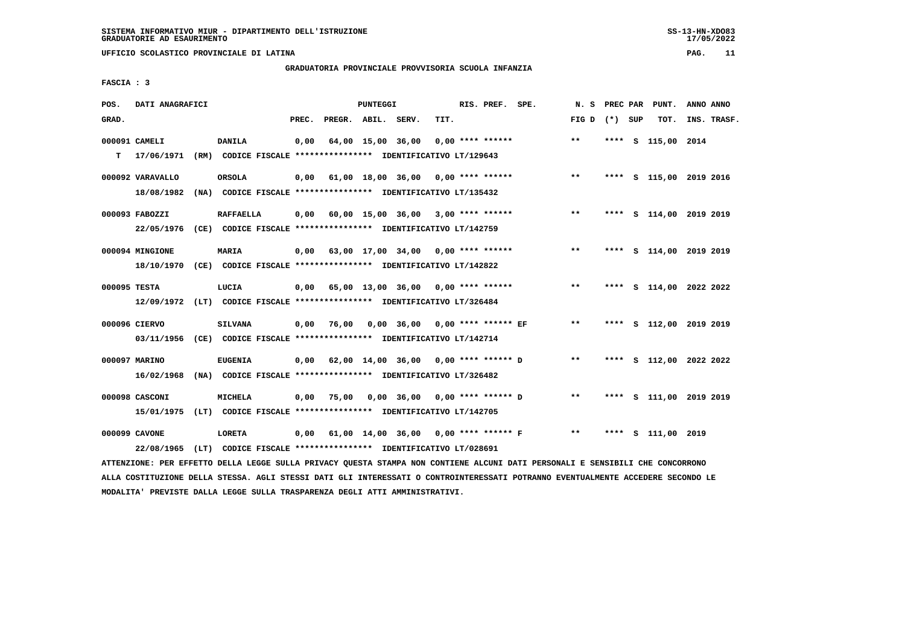## **GRADUATORIA PROVINCIALE PROVVISORIA SCUOLA INFANZIA**

 $17/05/2022$ 

 **FASCIA : 3**

| POS.  | DATI ANAGRAFICI                |                                                                                           |       |                                    | PUNTEGGI          |                                                  |      | RIS. PREF. SPE.    |                      | N. S            |      | PREC PAR PUNT.     | ANNO ANNO               |
|-------|--------------------------------|-------------------------------------------------------------------------------------------|-------|------------------------------------|-------------------|--------------------------------------------------|------|--------------------|----------------------|-----------------|------|--------------------|-------------------------|
| GRAD. |                                |                                                                                           | PREC. | PREGR. ABIL. SERV.                 |                   |                                                  | TIT. |                    |                      | FIG D $(*)$ SUP |      | TOT.               | INS. TRASF.             |
| т     | 000091 CAMELI<br>17/06/1971    | DANILA<br>(RM) CODICE FISCALE **************** IDENTIFICATIVO LT/129643                   | 0,00  |                                    | 64,00 15,00 36,00 |                                                  |      | $0.00$ **** ****** |                      | $* *$           |      | **** S 115,00 2014 |                         |
|       | 000092 VARAVALLO<br>18/08/1982 | <b>ORSOLA</b><br>(NA) CODICE FISCALE **************** IDENTIFICATIVO LT/135432            | 0.00  |                                    |                   | $61,00$ $18,00$ $36,00$ $0,00$ $***$ **** ****** |      |                    |                      | $***$           |      |                    | **** S 115,00 2019 2016 |
|       | 000093 FABOZZI<br>22/05/1976   | <b>RAFFAELLA</b><br>(CE) CODICE FISCALE **************** IDENTIFICATIVO LT/142759         | 0.00  |                                    |                   | $60,00$ 15,00 36,00 3,00 **** ******             |      |                    |                      | **              |      |                    | **** S 114,00 2019 2019 |
|       | 000094 MINGIONE                | <b>MARIA</b><br>18/10/1970 (CE) CODICE FISCALE *************** IDENTIFICATIVO LT/142822   | 0.00  | 63,00 17,00 34,00 0,00 **** ****** |                   |                                                  |      |                    |                      | $***$           |      |                    | **** S 114,00 2019 2019 |
|       | 000095 TESTA                   | LUCIA<br>12/09/1972 (LT) CODICE FISCALE *************** IDENTIFICATIVO LT/326484          |       | 0,00 65,00 13,00 36,00             |                   |                                                  |      | $0.00$ **** ****** |                      | $***$           |      |                    | **** S 114,00 2022 2022 |
|       | 000096 CIERVO                  | <b>SILVANA</b><br>03/11/1956 (CE) CODICE FISCALE *************** IDENTIFICATIVO LT/142714 | 0,00  | 76,00                              |                   | 0,00 36,00 0,00 **** ****** EF                   |      |                    |                      | $***$           |      |                    | **** S 112,00 2019 2019 |
|       | 000097 MARINO<br>16/02/1968    | <b>EUGENIA</b><br>(NA) CODICE FISCALE **************** IDENTIFICATIVO LT/326482           | 0,00  |                                    |                   | 62,00 14,00 36,00 0,00 **** ****** D             |      |                    |                      | $***$           |      |                    | **** S 112,00 2022 2022 |
|       | 000098 CASCONI                 | MICHELA<br>15/01/1975 (LT) CODICE FISCALE *************** IDENTIFICATIVO LT/142705        | 0.00  | 75,00                              |                   | 0,00 36,00 0,00 **** ****** D                    |      |                    |                      | $**$            | **** |                    | S 111,00 2019 2019      |
|       | 000099 CAVONE                  | LORETA<br>22/08/1965 (LT) CODICE FISCALE **************** IDENTIFICATIVO LT/028691        | 0,00  |                                    |                   | 61,00 14,00 36,00                                |      |                    | $0.00$ **** ****** F | $**$            | **** | s 111,00 2019      |                         |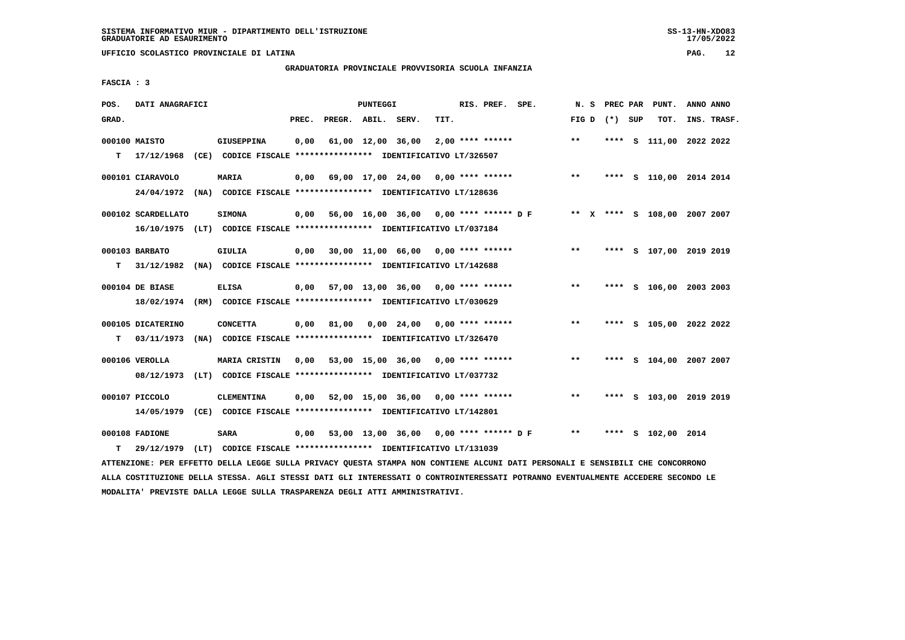## **GRADUATORIA PROVINCIALE PROVVISORIA SCUOLA INFANZIA**

 **FASCIA : 3**

| POS.  | DATI ANAGRAFICI    |      |                                                                          |       |                    | PUNTEGGI          |                                           |      | RIS. PREF. SPE.    |                                            | N. S  |         | PREC PAR PUNT.               | ANNO ANNO |             |
|-------|--------------------|------|--------------------------------------------------------------------------|-------|--------------------|-------------------|-------------------------------------------|------|--------------------|--------------------------------------------|-------|---------|------------------------------|-----------|-------------|
| GRAD. |                    |      |                                                                          | PREC. | PREGR. ABIL. SERV. |                   |                                           | TIT. |                    |                                            | FIG D | (*) SUP | TOT.                         |           | INS. TRASF. |
|       | 000100 MAISTO      |      | <b>GIUSEPPINA</b>                                                        | 0,00  |                    | 61,00 12,00 36,00 |                                           |      | $2,00$ **** ****** |                                            | $***$ |         | **** S 111,00 2022 2022      |           |             |
| T.    | 17/12/1968         |      | (CE) CODICE FISCALE **************** IDENTIFICATIVO LT/326507            |       |                    |                   |                                           |      |                    |                                            |       |         |                              |           |             |
|       | 000101 CIARAVOLO   |      | <b>MARIA</b>                                                             | 0,00  |                    |                   |                                           |      |                    | 69,00 17,00 24,00 0,00 **** ****** *** *** |       |         | **** S 110,00 2014 2014      |           |             |
|       | 24/04/1972         |      | (NA) CODICE FISCALE **************** IDENTIFICATIVO LT/128636            |       |                    |                   |                                           |      |                    |                                            |       |         |                              |           |             |
|       | 000102 SCARDELLATO |      | <b>SIMONA</b>                                                            | 0,00  |                    |                   |                                           |      |                    | 56,00 16,00 36,00 0,00 **** ****** D F     |       |         | ** X **** S 108,00 2007 2007 |           |             |
|       |                    |      | 16/10/1975 (LT) CODICE FISCALE *************** IDENTIFICATIVO LT/037184  |       |                    |                   |                                           |      |                    |                                            |       |         |                              |           |             |
|       | 000103 BARBATO     |      | <b>GIULIA</b>                                                            |       |                    |                   | $0,00$ 30,00 11,00 66,00 0,00 **** ****** |      |                    |                                            | $**$  |         | **** S 107,00 2019 2019      |           |             |
| т     |                    |      | 31/12/1982 (NA) CODICE FISCALE **************** IDENTIFICATIVO LT/142688 |       |                    |                   |                                           |      |                    |                                            |       |         |                              |           |             |
|       |                    |      |                                                                          |       |                    |                   |                                           |      |                    |                                            |       |         |                              |           |             |
|       | 000104 DE BIASE    |      | <b>ELISA</b>                                                             | 0,00  |                    |                   | 57,00 13,00 36,00 0,00 **** ******        |      |                    |                                            | $**$  |         | **** S 106,00 2003 2003      |           |             |
|       |                    |      | 18/02/1974 (RM) CODICE FISCALE **************** IDENTIFICATIVO LT/030629 |       |                    |                   |                                           |      |                    |                                            |       |         |                              |           |             |
|       | 000105 DICATERINO  |      | <b>CONCETTA</b>                                                          | 0,00  | 81,00              |                   | $0.00 \quad 24.00$                        |      | $0.00$ **** ****** |                                            | $***$ |         | **** S 105,00 2022 2022      |           |             |
| т     | 03/11/1973         | (NA) | CODICE FISCALE **************** IDENTIFICATIVO LT/326470                 |       |                    |                   |                                           |      |                    |                                            |       |         |                              |           |             |
|       | 000106 VEROLLA     |      | MARIA CRISTIN                                                            | 0,00  |                    |                   | 53,00 15,00 36,00 0,00 **** ******        |      |                    |                                            | $***$ |         | **** S 104,00 2007 2007      |           |             |
|       | 08/12/1973         |      | (LT) CODICE FISCALE **************** IDENTIFICATIVO LT/037732            |       |                    |                   |                                           |      |                    |                                            |       |         |                              |           |             |
|       |                    |      |                                                                          |       |                    |                   |                                           |      |                    |                                            |       |         |                              |           |             |
|       | 000107 PICCOLO     |      | <b>CLEMENTINA</b>                                                        | 0,00  |                    |                   | 52,00 15,00 36,00 0,00 **** ******        |      |                    |                                            | $***$ |         | **** S 103,00 2019 2019      |           |             |
|       | 14/05/1979         |      | (CE) CODICE FISCALE **************** IDENTIFICATIVO LT/142801            |       |                    |                   |                                           |      |                    |                                            |       |         |                              |           |             |
|       | 000108 FADIONE     |      | <b>SARA</b>                                                              | 0,00  |                    |                   |                                           |      |                    | 53,00 13,00 36,00 0,00 **** ****** D F     | $* *$ |         | **** S 102,00 2014           |           |             |
| т     | 29/12/1979         |      | (LT) CODICE FISCALE **************** IDENTIFICATIVO LT/131039            |       |                    |                   |                                           |      |                    |                                            |       |         |                              |           |             |

 **ATTENZIONE: PER EFFETTO DELLA LEGGE SULLA PRIVACY QUESTA STAMPA NON CONTIENE ALCUNI DATI PERSONALI E SENSIBILI CHE CONCORRONO ALLA COSTITUZIONE DELLA STESSA. AGLI STESSI DATI GLI INTERESSATI O CONTROINTERESSATI POTRANNO EVENTUALMENTE ACCEDERE SECONDO LE MODALITA' PREVISTE DALLA LEGGE SULLA TRASPARENZA DEGLI ATTI AMMINISTRATIVI.**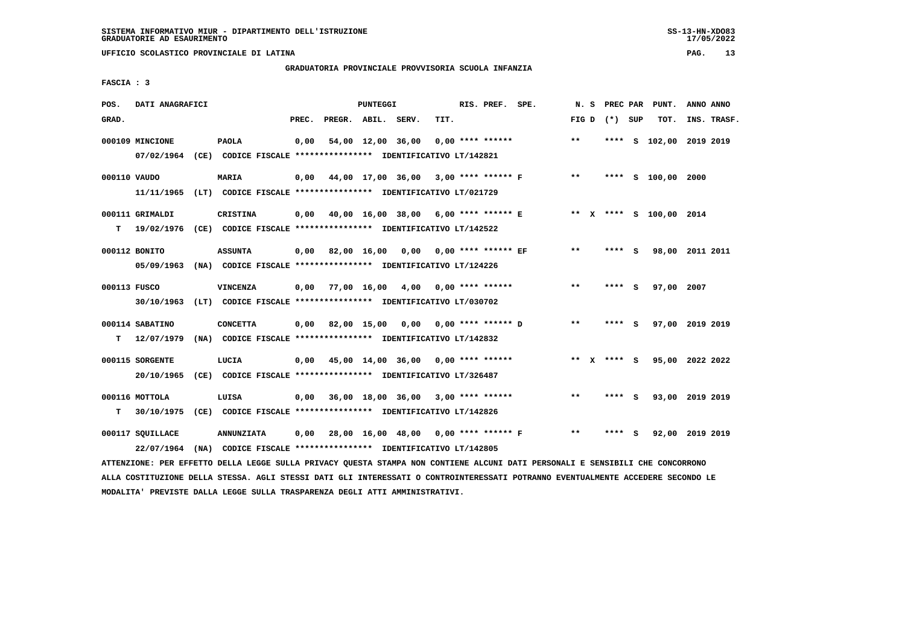**UFFICIO SCOLASTICO PROVINCIALE DI LATINA PAG. 13**

# **GRADUATORIA PROVINCIALE PROVVISORIA SCUOLA INFANZIA**

 **FASCIA : 3**

| POS.         | DATI ANAGRAFICI  |                                                                                                                               |       |                    | PUNTEGGI |                                             |      | RIS. PREF. SPE.    |                                             |       |                 |     | N. S PREC PAR PUNT.         | ANNO ANNO |             |
|--------------|------------------|-------------------------------------------------------------------------------------------------------------------------------|-------|--------------------|----------|---------------------------------------------|------|--------------------|---------------------------------------------|-------|-----------------|-----|-----------------------------|-----------|-------------|
| GRAD.        |                  |                                                                                                                               | PREC. | PREGR. ABIL. SERV. |          |                                             | TIT. |                    |                                             |       | FIG D $(*)$ SUP |     | тот.                        |           | INS. TRASF. |
|              | 000109 MINCIONE  | <b>PAOLA</b><br>07/02/1964 (CE) CODICE FISCALE *************** IDENTIFICATIVO LT/142821                                       | 0,00  |                    |          | 54,00 12,00 36,00                           |      | $0.00$ **** ****** |                                             | **    |                 |     | **** S 102,00 2019 2019     |           |             |
|              |                  |                                                                                                                               |       |                    |          |                                             |      |                    |                                             |       |                 |     |                             |           |             |
| 000110 VAUDO |                  | <b>MARIA</b>                                                                                                                  |       |                    |          | $0,00$ 44,00 17,00 36,00 3,00 **** ****** F |      |                    |                                             | $***$ |                 |     | **** S 100,00 2000          |           |             |
|              |                  | 11/11/1965 (LT) CODICE FISCALE *************** IDENTIFICATIVO LT/021729                                                       |       |                    |          |                                             |      |                    |                                             |       |                 |     |                             |           |             |
|              | 000111 GRIMALDI  | <b>CRISTINA</b>                                                                                                               |       |                    |          |                                             |      |                    | $0,00$ 40,00 16,00 38,00 6,00 **** ****** E |       |                 |     | ** X **** S 100,00 2014     |           |             |
|              |                  | T 19/02/1976 (CE) CODICE FISCALE *************** IDENTIFICATIVO LT/142522                                                     |       |                    |          |                                             |      |                    |                                             |       |                 |     |                             |           |             |
|              | 000112 BONITO    | <b>ASSUNTA</b>                                                                                                                |       |                    |          | $0,00$ 82,00 16,00 0,00 0,00 **** ****** EF |      |                    |                                             | $***$ | $***$ S         |     | 98,00 2011 2011             |           |             |
|              |                  | 05/09/1963 (NA) CODICE FISCALE *************** IDENTIFICATIVO LT/124226                                                       |       |                    |          |                                             |      |                    |                                             |       |                 |     |                             |           |             |
| 000113 FUSCO |                  | VINCENZA                                                                                                                      |       |                    |          | $0,00$ 77,00 16,00 4,00 0,00 **** ******    |      |                    |                                             | $* *$ | **** S          |     | 97,00 2007                  |           |             |
|              |                  | 30/10/1963 (LT) CODICE FISCALE *************** IDENTIFICATIVO LT/030702                                                       |       |                    |          |                                             |      |                    |                                             |       |                 |     |                             |           |             |
|              | 000114 SABATINO  | <b>CONCETTA</b>                                                                                                               |       |                    |          | $0,00$ 82,00 15,00 0,00 0,00 **** ****** D  |      |                    |                                             | $***$ | $***$ S         |     | 97,00 2019 2019             |           |             |
|              |                  | T 12/07/1979 (NA) CODICE FISCALE *************** IDENTIFICATIVO LT/142832                                                     |       |                    |          |                                             |      |                    |                                             |       |                 |     |                             |           |             |
|              | 000115 SORGENTE  | LUCIA                                                                                                                         |       |                    |          | $0,00$ 45,00 14,00 36,00 0,00 **** ******   |      |                    |                                             |       |                 |     | ** X **** S 95,00 2022 2022 |           |             |
|              |                  | 20/10/1965 (CE) CODICE FISCALE *************** IDENTIFICATIVO LT/326487                                                       |       |                    |          |                                             |      |                    |                                             |       |                 |     |                             |           |             |
|              |                  |                                                                                                                               |       |                    |          |                                             |      |                    |                                             |       |                 |     |                             |           |             |
|              | 000116 MOTTOLA   | LUISA                                                                                                                         |       |                    |          | $0.00$ 36,00 18,00 36,00 3,00 **** ******   |      |                    |                                             | $***$ | **** S          |     | 93,00 2019 2019             |           |             |
| т            |                  | 30/10/1975 (CE) CODICE FISCALE *************** IDENTIFICATIVO LT/142826                                                       |       |                    |          |                                             |      |                    |                                             |       |                 |     |                             |           |             |
|              | 000117 SQUILLACE | <b>ANNUNZIATA</b>                                                                                                             |       |                    |          | 0,00 28,00 16,00 48,00 0,00 **** ****** F   |      |                    |                                             | $***$ | ****            | - S | 92,00 2019 2019             |           |             |
|              |                  | 22/07/1964 (NA) CODICE FISCALE *************** IDENTIFICATIVO LT/142805                                                       |       |                    |          |                                             |      |                    |                                             |       |                 |     |                             |           |             |
|              |                  | ATTENZIONE: PER EFFETTO DELLA LEGGE SULLA PRIVACY QUESTA STAMPA NON CONTIENE ALCUNI DATI PERSONALI E SENSIBILI CHE CONCORRONO |       |                    |          |                                             |      |                    |                                             |       |                 |     |                             |           |             |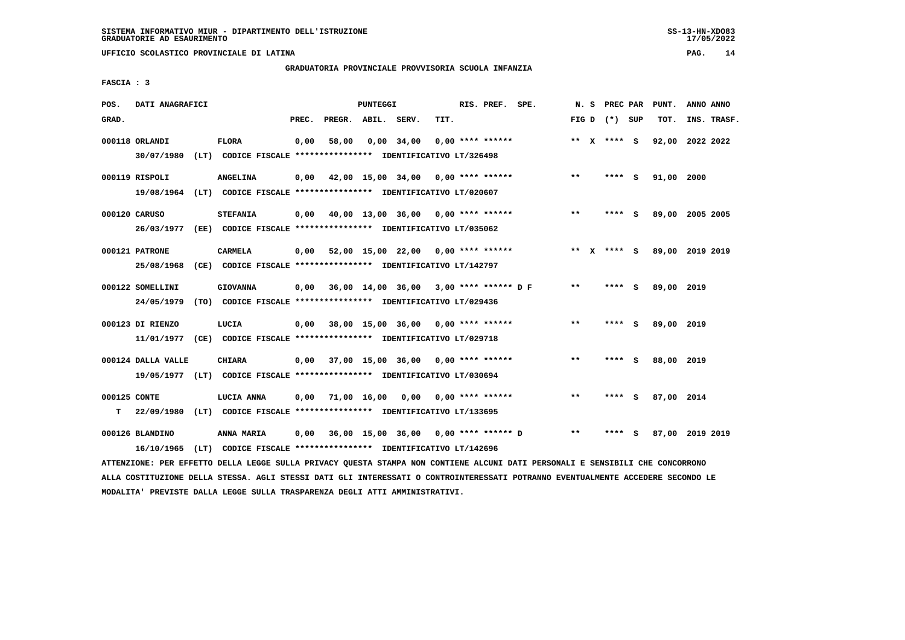**UFFICIO SCOLASTICO PROVINCIALE DI LATINA PAG. 14**

# **GRADUATORIA PROVINCIALE PROVVISORIA SCUOLA INFANZIA**

 **FASCIA : 3**

| POS.         | DATI ANAGRAFICI    |                                                                                                                               |       |                    | PUNTEGGI |                                               |      | RIS. PREF. SPE.    |                                      |              | N. S PREC PAR   | PUNT.           | ANNO ANNO |             |
|--------------|--------------------|-------------------------------------------------------------------------------------------------------------------------------|-------|--------------------|----------|-----------------------------------------------|------|--------------------|--------------------------------------|--------------|-----------------|-----------------|-----------|-------------|
| GRAD.        |                    |                                                                                                                               | PREC. | PREGR. ABIL. SERV. |          |                                               | TIT. |                    |                                      |              | FIG D $(*)$ SUP | TOT.            |           | INS. TRASF. |
|              | 000118 ORLANDI     | <b>FLORA</b><br>30/07/1980 (LT) CODICE FISCALE *************** IDENTIFICATIVO LT/326498                                       | 0,00  | 58,00              |          | 0,00 34,00                                    |      | $0.00$ **** ****** |                                      |              | ** X **** S     | 92,00 2022 2022 |           |             |
|              | 000119 RISPOLI     | <b>ANGELINA</b>                                                                                                               |       |                    |          | $0,00$ 42,00 15,00 34,00 0,00 **** ******     |      |                    |                                      | $***$        | **** S          | 91,00 2000      |           |             |
|              |                    | 19/08/1964 (LT) CODICE FISCALE **************** IDENTIFICATIVO LT/020607                                                      |       |                    |          |                                               |      |                    |                                      |              |                 |                 |           |             |
|              | 000120 CARUSO      | <b>STEFANIA</b>                                                                                                               | 0,00  |                    |          | 40,00 13,00 36,00 0,00 **** ******            |      |                    |                                      | $* *$        | **** S          | 89,00 2005 2005 |           |             |
|              |                    | 26/03/1977 (EE) CODICE FISCALE *************** IDENTIFICATIVO LT/035062                                                       |       |                    |          |                                               |      |                    |                                      |              |                 |                 |           |             |
|              | 000121 PATRONE     | CARMELA                                                                                                                       |       |                    |          | $0,00$ 52,00 15,00 22,00 0,00 **** ******     |      |                    |                                      |              | ** x **** S     | 89,00 2019 2019 |           |             |
|              | 25/08/1968         | (CE) CODICE FISCALE **************** IDENTIFICATIVO LT/142797                                                                 |       |                    |          |                                               |      |                    |                                      |              |                 |                 |           |             |
|              | 000122 SOMELLINI   | <b>GIOVANNA</b>                                                                                                               |       |                    |          | $0,00$ 36,00 14,00 36,00 3,00 **** ****** D F |      |                    |                                      | $***$        | **** S          | 89,00 2019      |           |             |
|              | 24/05/1979         | (TO) CODICE FISCALE **************** IDENTIFICATIVO LT/029436                                                                 |       |                    |          |                                               |      |                    |                                      |              |                 |                 |           |             |
|              | 000123 DI RIENZO   | LUCIA                                                                                                                         |       |                    |          | 0,00 38,00 15,00 36,00 0,00 **** ******       |      |                    |                                      | **           | **** S          | 89,00 2019      |           |             |
|              |                    | 11/01/1977 (CE) CODICE FISCALE *************** IDENTIFICATIVO LT/029718                                                       |       |                    |          |                                               |      |                    |                                      |              |                 |                 |           |             |
|              | 000124 DALLA VALLE | CHIARA                                                                                                                        |       |                    |          | $0,00$ 37,00 15,00 36,00 0,00 **** ******     |      |                    |                                      | $***$        | **** S          | 88,00 2019      |           |             |
|              |                    | 19/05/1977 (LT) CODICE FISCALE *************** IDENTIFICATIVO LT/030694                                                       |       |                    |          |                                               |      |                    |                                      |              |                 |                 |           |             |
| 000125 CONTE |                    | LUCIA ANNA                                                                                                                    |       |                    |          | $0,00$ 71,00 16,00 0,00 0,00 **** ******      |      |                    |                                      | $***$        | $***$ S         | 87,00 2014      |           |             |
| T.           |                    | 22/09/1980 (LT) CODICE FISCALE **************** IDENTIFICATIVO LT/133695                                                      |       |                    |          |                                               |      |                    |                                      |              |                 |                 |           |             |
|              | 000126 BLANDINO    | <b>ANNA MARIA</b>                                                                                                             | 0,00  |                    |          |                                               |      |                    | 36,00 15,00 36,00 0,00 **** ****** D | $\star\star$ | **** S          | 87,00 2019 2019 |           |             |
|              | 16/10/1965         | (LT) CODICE FISCALE **************** IDENTIFICATIVO LT/142696                                                                 |       |                    |          |                                               |      |                    |                                      |              |                 |                 |           |             |
|              |                    | ATTENZIONE: PER EFFETTO DELLA LEGGE SULLA PRIVACY QUESTA STAMPA NON CONTIENE ALCUNI DATI PERSONALI E SENSIBILI CHE CONCORRONO |       |                    |          |                                               |      |                    |                                      |              |                 |                 |           |             |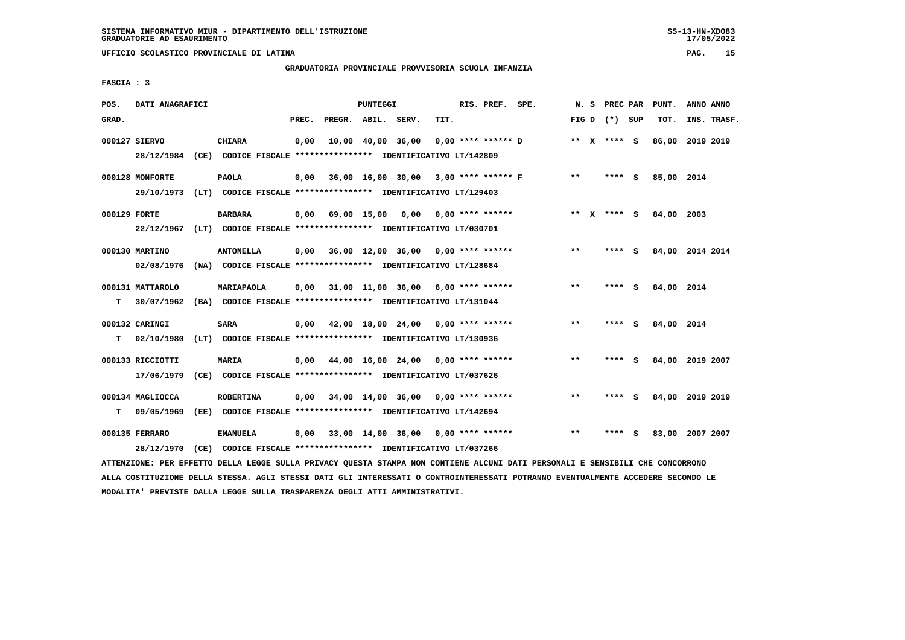**UFFICIO SCOLASTICO PROVINCIALE DI LATINA PAG. 15**

# **GRADUATORIA PROVINCIALE PROVVISORIA SCUOLA INFANZIA**

 **FASCIA : 3**

| POS.         | DATI ANAGRAFICI  |                                                                                                                               |       |                    | PUNTEGGI |                                           |      | RIS. PREF. SPE. |                      | N. S  | PREC PAR        | PUNT.           | ANNO ANNO |             |
|--------------|------------------|-------------------------------------------------------------------------------------------------------------------------------|-------|--------------------|----------|-------------------------------------------|------|-----------------|----------------------|-------|-----------------|-----------------|-----------|-------------|
| GRAD.        |                  |                                                                                                                               | PREC. | PREGR. ABIL. SERV. |          |                                           | TIT. |                 |                      |       | FIG D $(*)$ SUP | TOT.            |           | INS. TRASF. |
|              | 000127 SIERVO    | <b>CHIARA</b>                                                                                                                 | 0,00  |                    |          | 10,00 40,00 36,00                         |      |                 | $0,00$ **** ****** D |       | ** X **** S     | 86,00 2019 2019 |           |             |
|              | 28/12/1984       | (CE) CODICE FISCALE **************** IDENTIFICATIVO LT/142809                                                                 |       |                    |          |                                           |      |                 |                      |       |                 |                 |           |             |
|              |                  |                                                                                                                               |       |                    |          | 36,00 16,00 30,00 3,00 **** ****** F      |      |                 |                      | **    |                 |                 |           |             |
|              | 000128 MONFORTE  | <b>PAOLA</b>                                                                                                                  | 0,00  |                    |          |                                           |      |                 |                      |       | **** S          | 85,00 2014      |           |             |
|              |                  | 29/10/1973 (LT) CODICE FISCALE *************** IDENTIFICATIVO LT/129403                                                       |       |                    |          |                                           |      |                 |                      |       |                 |                 |           |             |
| 000129 FORTE |                  | BARBARA                                                                                                                       | 0,00  |                    |          | 69,00 15,00 0,00 0,00 **** ******         |      |                 |                      |       | ** x **** S     | 84,00 2003      |           |             |
|              |                  | 22/12/1967 (LT) CODICE FISCALE *************** IDENTIFICATIVO LT/030701                                                       |       |                    |          |                                           |      |                 |                      |       |                 |                 |           |             |
|              | 000130 MARTINO   | <b>ANTONELLA</b>                                                                                                              |       |                    |          | $0,00$ 36,00 12,00 36,00 0,00 **** ****** |      |                 |                      | **    | **** S          | 84,00 2014 2014 |           |             |
|              | 02/08/1976       | (NA) CODICE FISCALE **************** IDENTIFICATIVO LT/128684                                                                 |       |                    |          |                                           |      |                 |                      |       |                 |                 |           |             |
|              |                  |                                                                                                                               |       |                    |          |                                           |      |                 |                      |       |                 |                 |           |             |
|              | 000131 MATTAROLO | MARIAPAOLA                                                                                                                    | 0,00  |                    |          | 31,00 11,00 36,00 6,00 **** ******        |      |                 |                      | $***$ | **** S          | 84,00 2014      |           |             |
| т            | 30/07/1962       | (BA) CODICE FISCALE **************** IDENTIFICATIVO LT/131044                                                                 |       |                    |          |                                           |      |                 |                      |       |                 |                 |           |             |
|              | 000132 CARINGI   | <b>SARA</b>                                                                                                                   | 0,00  |                    |          | 42,00 18,00 24,00 0,00 **** ******        |      |                 |                      | **    | **** $S$        | 84,00 2014      |           |             |
|              | 02/10/1980       | (LT) CODICE FISCALE **************** IDENTIFICATIVO LT/130936                                                                 |       |                    |          |                                           |      |                 |                      |       |                 |                 |           |             |
| т            |                  |                                                                                                                               |       |                    |          |                                           |      |                 |                      |       |                 |                 |           |             |
|              | 000133 RICCIOTTI | MARIA                                                                                                                         | 0,00  |                    |          | 44,00 16,00 24,00 0,00 **** ******        |      |                 |                      | $**$  | **** S          | 84,00 2019 2007 |           |             |
|              | 17/06/1979       | (CE) CODICE FISCALE **************** IDENTIFICATIVO LT/037626                                                                 |       |                    |          |                                           |      |                 |                      |       |                 |                 |           |             |
|              | 000134 MAGLIOCCA | <b>ROBERTINA</b>                                                                                                              | 0,00  |                    |          | 34,00 14,00 36,00 0,00 **** ******        |      |                 |                      | $* *$ | **** S          | 84,00 2019 2019 |           |             |
| т            | 09/05/1969       | (EE) CODICE FISCALE **************** IDENTIFICATIVO LT/142694                                                                 |       |                    |          |                                           |      |                 |                      |       |                 |                 |           |             |
|              |                  |                                                                                                                               |       |                    |          |                                           |      |                 |                      |       |                 |                 |           |             |
|              | 000135 FERRARO   | <b>EMANUELA</b>                                                                                                               | 0,00  |                    |          | 33,00 14,00 36,00 0,00 **** ******        |      |                 |                      | $* *$ | **** S          | 83,00 2007 2007 |           |             |
|              | 28/12/1970       | (CE) CODICE FISCALE **************** IDENTIFICATIVO LT/037266                                                                 |       |                    |          |                                           |      |                 |                      |       |                 |                 |           |             |
|              |                  | ATTENZIONE: PER EFFETTO DELLA LEGGE SULLA PRIVACY QUESTA STAMPA NON CONTIENE ALCUNI DATI PERSONALI E SENSIBILI CHE CONCORRONO |       |                    |          |                                           |      |                 |                      |       |                 |                 |           |             |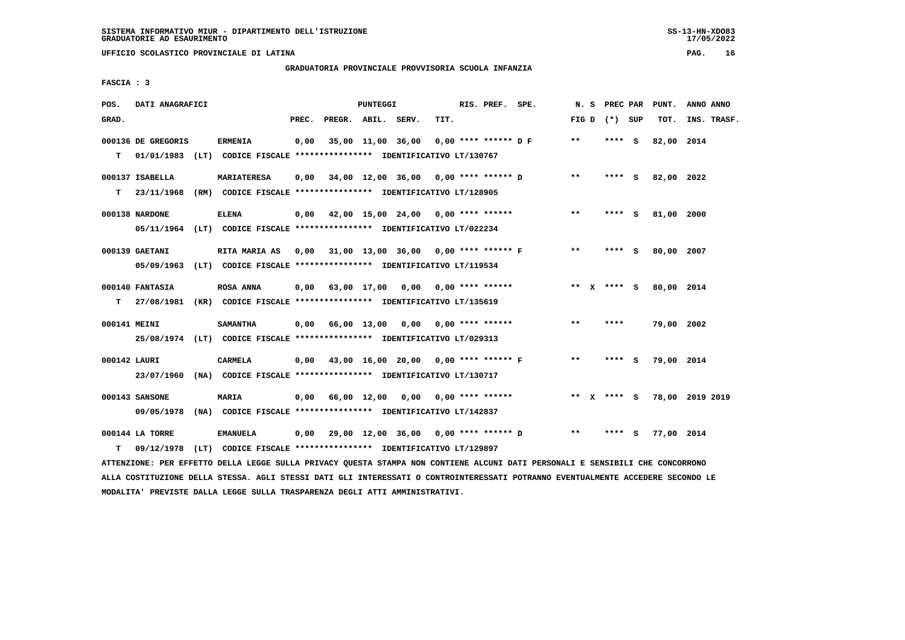# **GRADUATORIA PROVINCIALE PROVVISORIA SCUOLA INFANZIA**

 **FASCIA : 3**

| POS.         | DATI ANAGRAFICI    |                                                                                                                               |       |                    | PUNTEGGI |                                           |      | RIS. PREF. SPE. |                                           |       |                 | N. S PREC PAR PUNT. | ANNO ANNO       |
|--------------|--------------------|-------------------------------------------------------------------------------------------------------------------------------|-------|--------------------|----------|-------------------------------------------|------|-----------------|-------------------------------------------|-------|-----------------|---------------------|-----------------|
| GRAD.        |                    |                                                                                                                               | PREC. | PREGR. ABIL. SERV. |          |                                           | TIT. |                 |                                           |       | FIG D $(*)$ SUP | TOT.                | INS. TRASF.     |
|              | 000136 DE GREGORIS | <b>ERMENIA</b>                                                                                                                | 0,00  |                    |          | 35,00 11,00 36,00 0,00 **** ****** D F    |      |                 |                                           | $***$ | **** S          | 82,00 2014          |                 |
|              |                    | T 01/01/1983 (LT) CODICE FISCALE *************** IDENTIFICATIVO LT/130767                                                     |       |                    |          |                                           |      |                 |                                           |       |                 |                     |                 |
|              | 000137 ISABELLA    | <b>MARIATERESA</b>                                                                                                            | 0,00  |                    |          | 34,00 12,00 36,00 0,00 **** ****** D      |      |                 |                                           | $* *$ | **** S          | 82,00 2022          |                 |
|              |                    | T 23/11/1968 (RM) CODICE FISCALE *************** IDENTIFICATIVO LT/128905                                                     |       |                    |          |                                           |      |                 |                                           |       |                 |                     |                 |
|              | 000138 NARDONE     | <b>ELENA</b>                                                                                                                  |       |                    |          | $0,00$ 42,00 15,00 24,00 0,00 **** ****** |      |                 |                                           | $***$ | **** S          | 81,00 2000          |                 |
|              |                    | 05/11/1964 (LT) CODICE FISCALE *************** IDENTIFICATIVO LT/022234                                                       |       |                    |          |                                           |      |                 |                                           |       |                 |                     |                 |
|              | 000139 GAETANI     | <b>RITA MARIA AS</b>                                                                                                          |       |                    |          |                                           |      |                 | 0,00 31,00 13,00 36,00 0,00 **** ****** F | $* *$ | $***$ S         | 80,00 2007          |                 |
|              | 05/09/1963         | (LT) CODICE FISCALE *************** IDENTIFICATIVO LT/119534                                                                  |       |                    |          |                                           |      |                 |                                           |       |                 |                     |                 |
|              |                    |                                                                                                                               |       |                    |          |                                           |      |                 |                                           |       |                 |                     |                 |
|              | 000140 FANTASIA    | ROSA ANNA                                                                                                                     |       |                    |          | $0,00$ 63,00 17,00 0,00 0,00 **** ******  |      |                 |                                           |       | ** x **** s     | 80,00 2014          |                 |
|              |                    | T 27/08/1981 (KR) CODICE FISCALE *************** IDENTIFICATIVO LT/135619                                                     |       |                    |          |                                           |      |                 |                                           |       |                 |                     |                 |
| 000141 MEINI |                    | <b>SAMANTHA</b>                                                                                                               |       |                    |          | $0,00$ 66,00 13,00 0,00 0,00 **** ******  |      |                 |                                           | $**$  | ****            | 79,00 2002          |                 |
|              |                    | 25/08/1974 (LT) CODICE FISCALE *************** IDENTIFICATIVO LT/029313                                                       |       |                    |          |                                           |      |                 |                                           |       |                 |                     |                 |
| 000142 LAURI |                    | <b>CARMELA</b>                                                                                                                |       |                    |          |                                           |      |                 | 0,00 43,00 16,00 20,00 0,00 **** ****** F | $***$ | $***$ S         | 79,00 2014          |                 |
|              |                    | 23/07/1960 (NA) CODICE FISCALE *************** IDENTIFICATIVO LT/130717                                                       |       |                    |          |                                           |      |                 |                                           |       |                 |                     |                 |
|              | 000143 SANSONE     | <b>MARIA</b>                                                                                                                  |       |                    |          | $0,00$ 66,00 12,00 0,00 0,00 **** ******  |      |                 |                                           |       | ** x **** s     |                     | 78,00 2019 2019 |
|              |                    | 09/05/1978 (NA) CODICE FISCALE *************** IDENTIFICATIVO LT/142837                                                       |       |                    |          |                                           |      |                 |                                           |       |                 |                     |                 |
|              |                    |                                                                                                                               |       |                    |          |                                           |      |                 |                                           |       |                 |                     |                 |
|              | 000144 LA TORRE    | <b>EMANUELA</b>                                                                                                               |       |                    |          |                                           |      |                 | 0,00 29,00 12,00 36,00 0,00 **** ****** D | $* *$ | $***$ S         | 77,00 2014          |                 |
| т            | 09/12/1978         | (LT) CODICE FISCALE **************** IDENTIFICATIVO LT/129897                                                                 |       |                    |          |                                           |      |                 |                                           |       |                 |                     |                 |
|              |                    | ATTENZIONE: PER EFFETTO DELLA LEGGE SULLA PRIVACY QUESTA STAMPA NON CONTIENE ALCUNI DATI PERSONALI E SENSIBILI CHE CONCORRONO |       |                    |          |                                           |      |                 |                                           |       |                 |                     |                 |

 **ALLA COSTITUZIONE DELLA STESSA. AGLI STESSI DATI GLI INTERESSATI O CONTROINTERESSATI POTRANNO EVENTUALMENTE ACCEDERE SECONDO LE MODALITA' PREVISTE DALLA LEGGE SULLA TRASPARENZA DEGLI ATTI AMMINISTRATIVI.**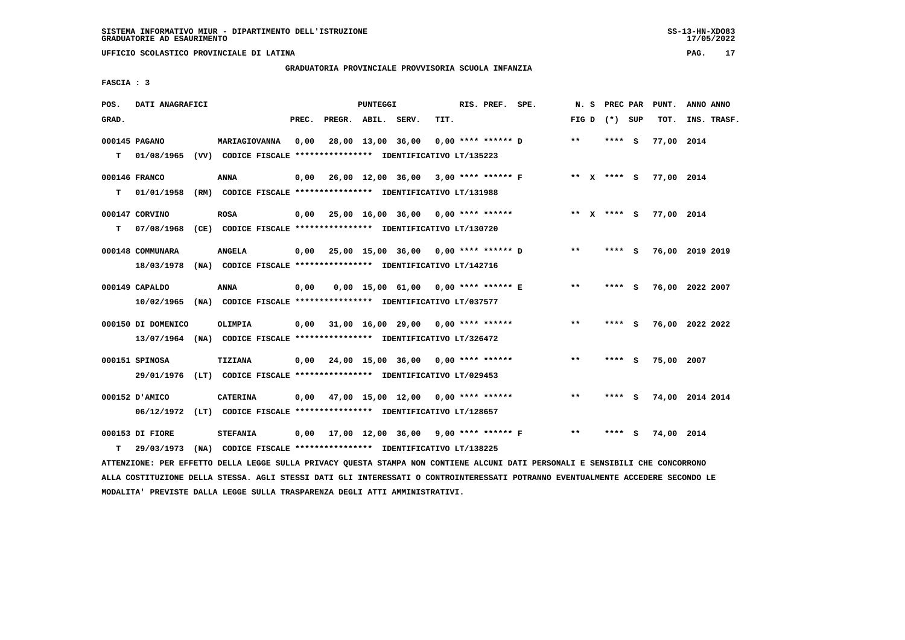**UFFICIO SCOLASTICO PROVINCIALE DI LATINA PAG. 17**

# **GRADUATORIA PROVINCIALE PROVVISORIA SCUOLA INFANZIA**

 **FASCIA : 3**

| POS.  | DATI ANAGRAFICI                                                                               |                 |       |                    | PUNTEGGI |                                                               |      | RIS. PREF. SPE.      |                                                  |       | N.S | PREC PAR        |     | PUNT.      | ANNO ANNO       |  |
|-------|-----------------------------------------------------------------------------------------------|-----------------|-------|--------------------|----------|---------------------------------------------------------------|------|----------------------|--------------------------------------------------|-------|-----|-----------------|-----|------------|-----------------|--|
| GRAD. |                                                                                               |                 | PREC. | PREGR. ABIL. SERV. |          |                                                               | TIT. |                      |                                                  |       |     | FIG D $(*)$ SUP |     | TOT.       | INS. TRASF.     |  |
| т     | 000145 PAGANO<br>01/08/1965 (VV) CODICE FISCALE *************** IDENTIFICATIVO LT/135223      | MARIAGIOVANNA   | 0,00  |                    |          | 28,00 13,00 36,00                                             |      | $0.00$ **** ****** D |                                                  | **    |     | **** S          |     | 77,00 2014 |                 |  |
| т     | 000146 FRANCO<br>01/01/1958                                                                   | <b>ANNA</b>     | 0,00  |                    |          | (RM) CODICE FISCALE **************** IDENTIFICATIVO LT/131988 |      |                      | 26,00 12,00 36,00 3,00 **** ****** F ** X **** S |       |     |                 |     | 77,00 2014 |                 |  |
| т     | 000147 CORVINO<br>07/08/1968 (CE) CODICE FISCALE **************** IDENTIFICATIVO LT/130720    | <b>ROSA</b>     |       |                    |          | $0,00$ 25,00 16,00 36,00 0,00 **** ******                     |      |                      |                                                  |       |     | ** X **** S     |     | 77,00 2014 |                 |  |
|       | 000148 COMMUNARA<br>18/03/1978 (NA) CODICE FISCALE *************** IDENTIFICATIVO LT/142716   | <b>ANGELA</b>   |       |                    |          | $0,00$ 25,00 15,00 36,00 0,00 **** ****** D                   |      |                      |                                                  | $* *$ |     | $***$ S         |     |            | 76,00 2019 2019 |  |
|       | 000149 CAPALDO<br>10/02/1965 (NA) CODICE FISCALE **************** IDENTIFICATIVO LT/037577    | <b>ANNA</b>     | 0,00  |                    |          | $0,00$ 15,00 61,00 0,00 **** ****** E                         |      |                      |                                                  | **    |     | **** S          |     |            | 76,00 2022 2007 |  |
|       | 000150 DI DOMENICO<br>13/07/1964 (NA) CODICE FISCALE *************** IDENTIFICATIVO LT/326472 | <b>OLIMPIA</b>  | 0,00  |                    |          | 31,00 16,00 29,00 0,00 **** ******                            |      |                      |                                                  | $***$ |     | $***$ S         |     |            | 76,00 2022 2022 |  |
|       | 000151 SPINOSA<br>29/01/1976 (LT) CODICE FISCALE *************** IDENTIFICATIVO LT/029453     | <b>TIZIANA</b>  |       |                    |          | $0,00$ 24,00 15,00 36,00 0,00 **** ******                     |      |                      |                                                  | **    |     | **** S          |     | 75,00 2007 |                 |  |
|       | 000152 D'AMICO<br>06/12/1972 (LT) CODICE FISCALE *************** IDENTIFICATIVO LT/128657     | <b>CATERINA</b> |       |                    |          | $0,00$ 47,00 15,00 12,00 0,00 **** ******                     |      |                      |                                                  | $***$ |     | **** S          |     |            | 74,00 2014 2014 |  |
| т     | 000153 DI FIORE<br>29/03/1973 (NA) CODICE FISCALE **************** IDENTIFICATIVO LT/138225   | <b>STEFANIA</b> |       |                    |          | 0,00 17,00 12,00 36,00                                        |      |                      | 9,00 **** ****** F                               | $***$ |     | ****            | - S | 74,00 2014 |                 |  |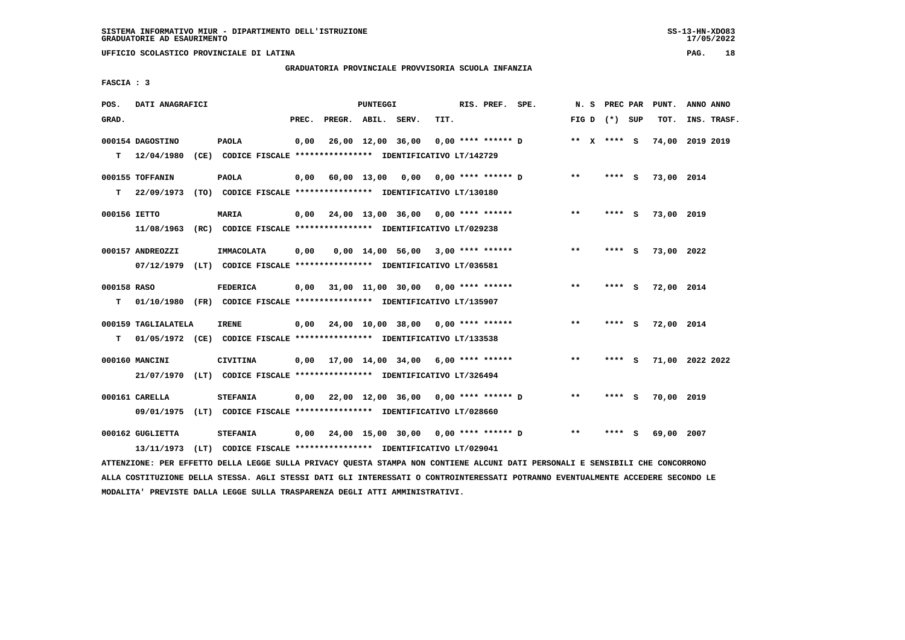# **GRADUATORIA PROVINCIALE PROVVISORIA SCUOLA INFANZIA**

 **FASCIA : 3**

| POS.         | DATI ANAGRAFICI     |                                                                          |       |                    | PUNTEGGI |                                                           |      | RIS. PREF. SPE. | N. S            | <b>PREC PAR</b> |     | PUNT.      | ANNO ANNO       |
|--------------|---------------------|--------------------------------------------------------------------------|-------|--------------------|----------|-----------------------------------------------------------|------|-----------------|-----------------|-----------------|-----|------------|-----------------|
| GRAD.        |                     |                                                                          | PREC. | PREGR. ABIL. SERV. |          |                                                           | TIT. |                 | FIG D $(*)$ SUP |                 |     | TOT.       | INS. TRASF.     |
|              | 000154 DAGOSTINO    | <b>PAOLA</b>                                                             | 0,00  |                    |          | 26,00 12,00 36,00 0,00 **** ****** D                      |      |                 | ** x **** S     |                 |     |            | 74,00 2019 2019 |
|              | $T = 12/04/1980$    | (CE) CODICE FISCALE **************** IDENTIFICATIVO LT/142729            |       |                    |          |                                                           |      |                 |                 |                 |     |            |                 |
|              | 000155 TOFFANIN     | <b>PAOLA</b>                                                             |       |                    |          | 0,00 60,00 13,00 0,00 0,00 **** ****** D                  |      |                 | $* *$           | **** S          |     | 73,00 2014 |                 |
| т            | 22/09/1973          | (TO) CODICE FISCALE **************** IDENTIFICATIVO LT/130180            |       |                    |          |                                                           |      |                 |                 |                 |     |            |                 |
| 000156 IETTO |                     | <b>MARIA</b>                                                             |       |                    |          | $0,00$ $24,00$ $13,00$ $36,00$ $0,00$ $***$ **** ******   |      |                 | $***$           | **** S          |     | 73,00 2019 |                 |
|              |                     | 11/08/1963 (RC) CODICE FISCALE *************** IDENTIFICATIVO LT/029238  |       |                    |          |                                                           |      |                 |                 |                 |     |            |                 |
|              | 000157 ANDREOZZI    | IMMACOLATA                                                               | 0,00  |                    |          | $0,00$ 14,00 56,00 3,00 **** ******                       |      |                 | $* *$           | **** S          |     | 73,00 2022 |                 |
|              |                     | 07/12/1979 (LT) CODICE FISCALE *************** IDENTIFICATIVO LT/036581  |       |                    |          |                                                           |      |                 |                 |                 |     |            |                 |
| 000158 RASO  |                     | <b>FEDERICA</b>                                                          |       |                    |          | $0,00$ 31,00 11,00 30,00 0,00 **** ******                 |      |                 | $***$           | **** S          |     | 72,00 2014 |                 |
| т            |                     | 01/10/1980 (FR) CODICE FISCALE **************** IDENTIFICATIVO LT/135907 |       |                    |          |                                                           |      |                 |                 |                 |     |            |                 |
|              | 000159 TAGLIALATELA | <b>IRENE</b>                                                             |       |                    |          | $0,00$ $24,00$ $10,00$ $38,00$ $0,00$ $***$ **** ******   |      |                 | $**$            | **** S          |     | 72,00 2014 |                 |
| T.           |                     | 01/05/1972 (CE) CODICE FISCALE *************** IDENTIFICATIVO LT/133538  |       |                    |          |                                                           |      |                 |                 |                 |     |            |                 |
|              | 000160 MANCINI      | <b>CIVITINA</b>                                                          |       |                    |          | $0,00$ 17,00 14,00 34,00 6,00 **** ******                 |      |                 | $***$           | **** S          |     |            | 71,00 2022 2022 |
|              |                     | 21/07/1970 (LT) CODICE FISCALE *************** IDENTIFICATIVO LT/326494  |       |                    |          |                                                           |      |                 |                 |                 |     |            |                 |
|              | 000161 CARELLA      | <b>STEFANIA</b>                                                          |       |                    |          | $0,00$ $22,00$ $12,00$ $36,00$ $0,00$ $***$ **** ****** D |      |                 | $***$           | **** S          |     | 70,00 2019 |                 |
|              | 09/01/1975          | (LT) CODICE FISCALE **************** IDENTIFICATIVO LT/028660            |       |                    |          |                                                           |      |                 |                 |                 |     |            |                 |
|              | 000162 GUGLIETTA    | <b>STEFANIA</b>                                                          |       |                    |          | 0,00 24,00 15,00 30,00 0,00 **** ****** D                 |      |                 | $***$           | ****            | - S | 69,00      | 2007            |
|              |                     | 13/11/1973 (LT) CODICE FISCALE *************** IDENTIFICATIVO LT/029041  |       |                    |          |                                                           |      |                 |                 |                 |     |            |                 |
|              |                     |                                                                          |       |                    |          |                                                           |      |                 |                 |                 |     |            |                 |

 **ATTENZIONE: PER EFFETTO DELLA LEGGE SULLA PRIVACY QUESTA STAMPA NON CONTIENE ALCUNI DATI PERSONALI E SENSIBILI CHE CONCORRONO ALLA COSTITUZIONE DELLA STESSA. AGLI STESSI DATI GLI INTERESSATI O CONTROINTERESSATI POTRANNO EVENTUALMENTE ACCEDERE SECONDO LE MODALITA' PREVISTE DALLA LEGGE SULLA TRASPARENZA DEGLI ATTI AMMINISTRATIVI.**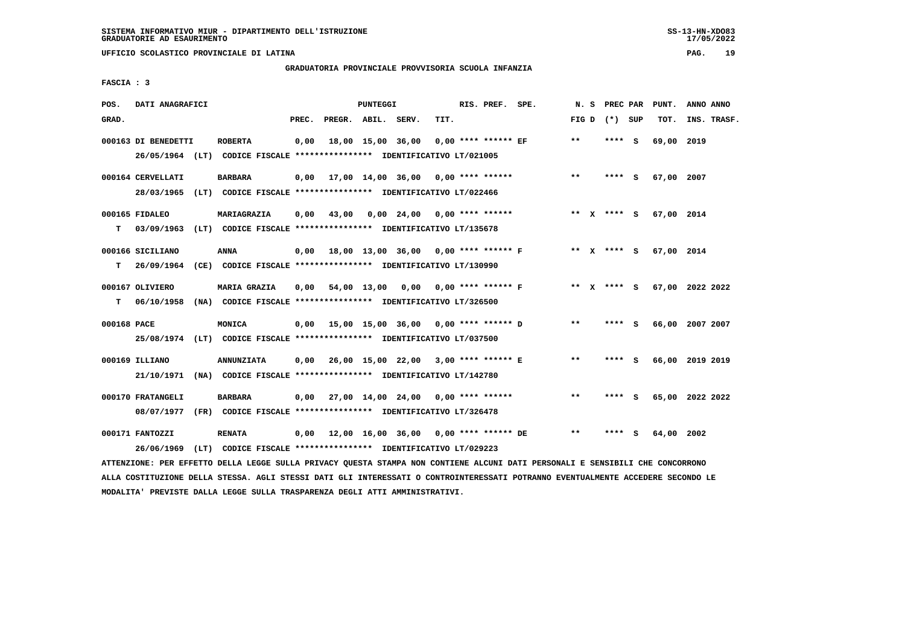# **GRADUATORIA PROVINCIALE PROVVISORIA SCUOLA INFANZIA**

 **FASCIA : 3**

| POS.        | DATI ANAGRAFICI     |                                                                                                                               |       |                    | <b>PUNTEGGI</b> |                                                  |      | RIS. PREF. SPE. |                                     |       | N. S PREC PAR   | PUNT.                       | ANNO ANNO |             |
|-------------|---------------------|-------------------------------------------------------------------------------------------------------------------------------|-------|--------------------|-----------------|--------------------------------------------------|------|-----------------|-------------------------------------|-------|-----------------|-----------------------------|-----------|-------------|
| GRAD.       |                     |                                                                                                                               | PREC. | PREGR. ABIL. SERV. |                 |                                                  | TIT. |                 |                                     |       | FIG D $(*)$ SUP | TOT.                        |           | INS. TRASF. |
|             | 000163 DI BENEDETTI | <b>ROBERTA</b>                                                                                                                | 0,00  |                    |                 | 18,00 15,00 36,00 0,00 **** ****** EF            |      |                 |                                     | $***$ | **** S          | 69,00 2019                  |           |             |
|             |                     | 26/05/1964 (LT) CODICE FISCALE *************** IDENTIFICATIVO LT/021005                                                       |       |                    |                 |                                                  |      |                 |                                     |       |                 |                             |           |             |
|             | 000164 CERVELLATI   | BARBARA                                                                                                                       |       |                    |                 | $0,00$ 17,00 14,00 36,00 0,00 **** ******        |      |                 |                                     | $***$ | **** S          | 67,00 2007                  |           |             |
|             |                     | 28/03/1965 (LT) CODICE FISCALE *************** IDENTIFICATIVO LT/022466                                                       |       |                    |                 |                                                  |      |                 |                                     |       |                 |                             |           |             |
|             | 000165 FIDALEO      | MARIAGRAZIA                                                                                                                   | 0,00  |                    |                 | 43,00 0,00 24,00 0,00 **** ******                |      |                 |                                     |       | ** X **** S     | 67,00 2014                  |           |             |
| т           |                     | 03/09/1963 (LT) CODICE FISCALE *************** IDENTIFICATIVO LT/135678                                                       |       |                    |                 |                                                  |      |                 |                                     |       |                 |                             |           |             |
|             | 000166 SICILIANO    | <b>ANNA</b>                                                                                                                   | 0,00  |                    |                 | 18,00 13,00 36,00 0,00 **** ****** F             |      |                 |                                     |       | ** X **** S     | 67,00 2014                  |           |             |
|             | T 26/09/1964        | (CE) CODICE FISCALE **************** IDENTIFICATIVO LT/130990                                                                 |       |                    |                 |                                                  |      |                 |                                     |       |                 |                             |           |             |
|             | 000167 OLIVIERO     | <b>MARIA GRAZIA</b>                                                                                                           | 0,00  |                    |                 |                                                  |      |                 | 54,00 13,00 0,00 0,00 **** ****** F |       |                 | ** X **** S 67,00 2022 2022 |           |             |
|             | $T = 06/10/1958$    | (NA) CODICE FISCALE **************** IDENTIFICATIVO LT/326500                                                                 |       |                    |                 |                                                  |      |                 |                                     |       |                 |                             |           |             |
| 000168 PACE |                     | MONICA                                                                                                                        |       |                    |                 | $0,00$ 15,00 15,00 36,00 0,00 **** ****** D      |      |                 |                                     | $* *$ | **** S          | 66,00 2007 2007             |           |             |
|             |                     | 25/08/1974 (LT) CODICE FISCALE *************** IDENTIFICATIVO LT/037500                                                       |       |                    |                 |                                                  |      |                 |                                     |       |                 |                             |           |             |
|             | 000169 ILLIANO      | <b>ANNUNZIATA</b>                                                                                                             |       |                    |                 | 0,00  26,00  15,00  22,00  3,00  ****  ******  E |      |                 |                                     | $***$ | **** S          | 66,00 2019 2019             |           |             |
|             |                     | 21/10/1971 (NA) CODICE FISCALE **************** IDENTIFICATIVO LT/142780                                                      |       |                    |                 |                                                  |      |                 |                                     |       |                 |                             |           |             |
|             | 000170 FRATANGELI   | <b>BARBARA</b>                                                                                                                | 0,00  |                    |                 | 27,00 14,00 24,00 0,00 **** ******               |      |                 |                                     | $***$ | **** S          | 65,00 2022 2022             |           |             |
|             |                     | 08/07/1977 (FR) CODICE FISCALE *************** IDENTIFICATIVO LT/326478                                                       |       |                    |                 |                                                  |      |                 |                                     |       |                 |                             |           |             |
|             | 000171 FANTOZZI     | <b>RENATA</b>                                                                                                                 |       |                    |                 |                                                  |      |                 |                                     | $***$ | **** S          | 64,00 2002                  |           |             |
|             | 26/06/1969          | (LT) CODICE FISCALE **************** IDENTIFICATIVO LT/029223                                                                 |       |                    |                 |                                                  |      |                 |                                     |       |                 |                             |           |             |
|             |                     | ATTENZIONE: PER EFFETTO DELLA LEGGE SULLA PRIVACY QUESTA STAMPA NON CONTIENE ALCUNI DATI PERSONALI E SENSIBILI CHE CONCORRONO |       |                    |                 |                                                  |      |                 |                                     |       |                 |                             |           |             |

 **ALLA COSTITUZIONE DELLA STESSA. AGLI STESSI DATI GLI INTERESSATI O CONTROINTERESSATI POTRANNO EVENTUALMENTE ACCEDERE SECONDO LE MODALITA' PREVISTE DALLA LEGGE SULLA TRASPARENZA DEGLI ATTI AMMINISTRATIVI.**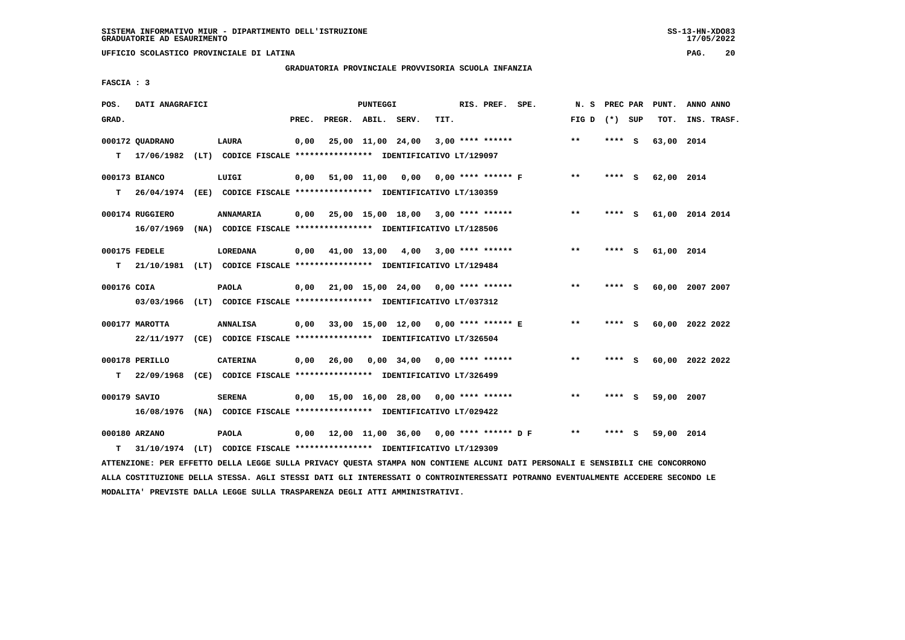# **GRADUATORIA PROVINCIALE PROVVISORIA SCUOLA INFANZIA**

 **FASCIA : 3**

| POS.         | DATI ANAGRAFICI |                                                                          |       |                    | <b>PUNTEGGI</b> |                                           |      | RIS. PREF. SPE.    |                                             | N. S            | PREC PAR |     | PUNT.      | ANNO ANNO       |
|--------------|-----------------|--------------------------------------------------------------------------|-------|--------------------|-----------------|-------------------------------------------|------|--------------------|---------------------------------------------|-----------------|----------|-----|------------|-----------------|
| GRAD.        |                 |                                                                          | PREC. | PREGR. ABIL. SERV. |                 |                                           | TIT. |                    |                                             | FIG D $(*)$ SUP |          |     | TOT.       | INS. TRASF.     |
|              | 000172 QUADRANO | <b>LAURA</b>                                                             | 0,00  |                    |                 | 25,00 11,00 24,00                         |      | $3,00$ **** ****** |                                             | $* *$           | ****     | - S | 63,00 2014 |                 |
| т            |                 | 17/06/1982 (LT) CODICE FISCALE **************** IDENTIFICATIVO LT/129097 |       |                    |                 |                                           |      |                    |                                             |                 |          |     |            |                 |
|              | 000173 BIANCO   | LUIGI                                                                    |       |                    |                 | 0,00 51,00 11,00 0,00 0,00 **** ****** F  |      |                    |                                             | $***$           | $***$ S  |     | 62,00 2014 |                 |
| т            |                 | 26/04/1974 (EE) CODICE FISCALE *************** IDENTIFICATIVO LT/130359  |       |                    |                 |                                           |      |                    |                                             |                 |          |     |            |                 |
|              | 000174 RUGGIERO | ANNAMARIA                                                                |       |                    |                 | $0.00$ 25.00 15.00 18.00 3.00 **** ****** |      |                    |                                             | $**$            | **** S   |     |            | 61,00 2014 2014 |
|              |                 | 16/07/1969 (NA) CODICE FISCALE *************** IDENTIFICATIVO LT/128506  |       |                    |                 |                                           |      |                    |                                             |                 |          |     |            |                 |
|              | 000175 FEDELE   | LOREDANA                                                                 | 0,00  |                    |                 | 41,00 13,00 4,00 3,00 **** ******         |      |                    |                                             | $* *$           | **** S   |     | 61,00 2014 |                 |
| т            |                 | 21/10/1981 (LT) CODICE FISCALE **************** IDENTIFICATIVO LT/129484 |       |                    |                 |                                           |      |                    |                                             |                 |          |     |            |                 |
| 000176 COIA  |                 | <b>PAOLA</b>                                                             |       |                    |                 | $0.00$ 21.00 15.00 24.00 0.00 **** ****** |      |                    |                                             | $***$           | **** S   |     |            | 60,00 2007 2007 |
|              |                 | 03/03/1966 (LT) CODICE FISCALE *************** IDENTIFICATIVO LT/037312  |       |                    |                 |                                           |      |                    |                                             |                 |          |     |            |                 |
|              | 000177 MAROTTA  | <b>ANNALISA</b>                                                          |       |                    |                 | 0,00 33,00 15,00 12,00 0,00 **** ****** E |      |                    |                                             | $\star\star$    | **** S   |     |            | 60,00 2022 2022 |
|              |                 | 22/11/1977 (CE) CODICE FISCALE *************** IDENTIFICATIVO LT/326504  |       |                    |                 |                                           |      |                    |                                             |                 |          |     |            |                 |
|              | 000178 PERILLO  | <b>CATERINA</b>                                                          |       | $0,00$ 26,00       |                 | 0,00 34,00 0,00 **** ******               |      |                    |                                             | $***$           | **** S   |     |            | 60,00 2022 2022 |
| т            | 22/09/1968      | (CE) CODICE FISCALE **************** IDENTIFICATIVO LT/326499            |       |                    |                 |                                           |      |                    |                                             |                 |          |     |            |                 |
| 000179 SAVIO |                 | <b>SERENA</b>                                                            |       |                    |                 | $0,00$ 15,00 16,00 28,00 0,00 **** ****** |      |                    |                                             | $* *$           | ****     | - S | 59,00 2007 |                 |
|              |                 | 16/08/1976 (NA) CODICE FISCALE *************** IDENTIFICATIVO LT/029422  |       |                    |                 |                                           |      |                    |                                             |                 |          |     |            |                 |
|              | 000180 ARZANO   | <b>PAOLA</b>                                                             |       |                    |                 |                                           |      |                    | 0,00 12,00 11,00 36,00 0,00 **** ****** D F | **              |          | - S | 59,00 2014 |                 |
| т            |                 | 31/10/1974 (LT) CODICE FISCALE *************** IDENTIFICATIVO LT/129309  |       |                    |                 |                                           |      |                    |                                             |                 |          |     |            |                 |

 **ATTENZIONE: PER EFFETTO DELLA LEGGE SULLA PRIVACY QUESTA STAMPA NON CONTIENE ALCUNI DATI PERSONALI E SENSIBILI CHE CONCORRONO ALLA COSTITUZIONE DELLA STESSA. AGLI STESSI DATI GLI INTERESSATI O CONTROINTERESSATI POTRANNO EVENTUALMENTE ACCEDERE SECONDO LE MODALITA' PREVISTE DALLA LEGGE SULLA TRASPARENZA DEGLI ATTI AMMINISTRATIVI.**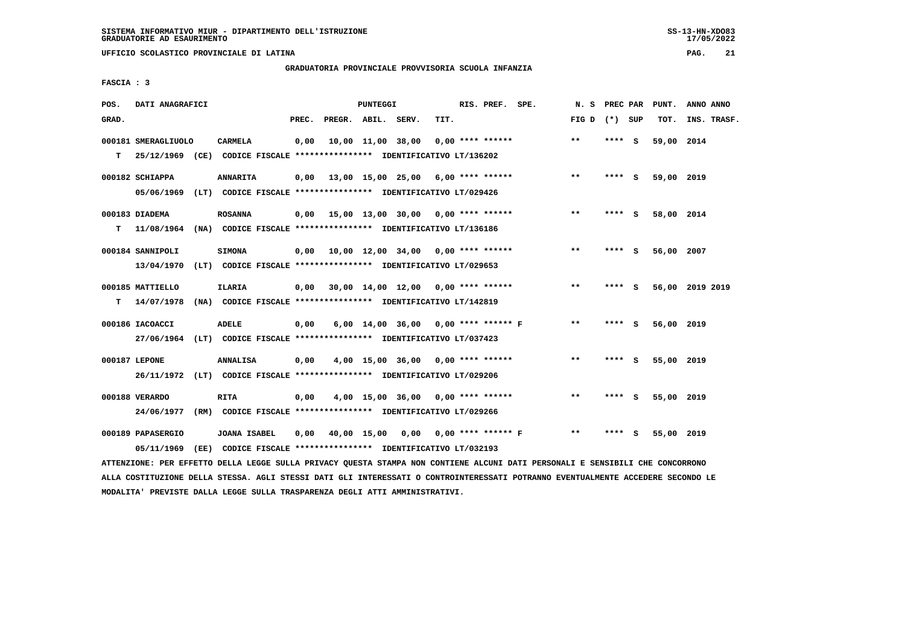# **GRADUATORIA PROVINCIALE PROVVISORIA SCUOLA INFANZIA**

 **FASCIA : 3**

| POS.  | DATI ANAGRAFICI     |                                                                           |       |                    | PUNTEGGI |                   |                                           | RIS. PREF. SPE. | N. S            | PREC PAR |     | PUNT.      | ANNO ANNO       |
|-------|---------------------|---------------------------------------------------------------------------|-------|--------------------|----------|-------------------|-------------------------------------------|-----------------|-----------------|----------|-----|------------|-----------------|
| GRAD. |                     |                                                                           | PREC. | PREGR. ABIL. SERV. |          |                   | TIT.                                      |                 | FIG D $(*)$ SUP |          |     | TOT.       | INS. TRASF.     |
|       | 000181 SMERAGLIUOLO | <b>CARMELA</b>                                                            | 0,00  |                    |          | 10,00 11,00 38,00 | $0.00$ **** ******                        |                 | $* *$           | **** S   |     | 59,00 2014 |                 |
| т     |                     | 25/12/1969 (CE) CODICE FISCALE *************** IDENTIFICATIVO LT/136202   |       |                    |          |                   |                                           |                 |                 |          |     |            |                 |
|       | 000182 SCHIAPPA     | <b>ANNARITA</b>                                                           |       |                    |          |                   | $0,00$ 13,00 15,00 25,00 6,00 **** ****** |                 | $***$           | **** S   |     | 59,00 2019 |                 |
|       |                     | 05/06/1969 (LT) CODICE FISCALE *************** IDENTIFICATIVO LT/029426   |       |                    |          |                   |                                           |                 |                 |          |     |            |                 |
|       | 000183 DIADEMA      | <b>ROSANNA</b>                                                            |       |                    |          |                   | $0,00$ 15,00 13,00 30,00 0,00 **** ****** |                 | $***$           | **** S   |     | 58,00 2014 |                 |
|       |                     | T 11/08/1964 (NA) CODICE FISCALE *************** IDENTIFICATIVO LT/136186 |       |                    |          |                   |                                           |                 |                 |          |     |            |                 |
|       | 000184 SANNIPOLI    | <b>SIMONA</b>                                                             |       |                    |          |                   | $0,00$ 10,00 12,00 34,00 0,00 **** ****** |                 | $* *$           | **** S   |     | 56,00 2007 |                 |
|       | 13/04/1970          | (LT) CODICE FISCALE **************** IDENTIFICATIVO LT/029653             |       |                    |          |                   |                                           |                 |                 |          |     |            |                 |
|       | 000185 MATTIELLO    | ILARIA                                                                    |       |                    |          |                   | $0,00$ 30,00 14,00 12,00 0,00 **** ****** |                 | $**$            | **** S   |     |            | 56,00 2019 2019 |
| т     | 14/07/1978          | (NA) CODICE FISCALE **************** IDENTIFICATIVO LT/142819             |       |                    |          |                   |                                           |                 |                 |          |     |            |                 |
|       | 000186 IACOACCI     | <b>ADELE</b>                                                              | 0,00  |                    |          |                   | 6,00 14,00 36,00 0,00 **** ****** F       |                 | **              | **** S   |     | 56,00 2019 |                 |
|       |                     | 27/06/1964 (LT) CODICE FISCALE *************** IDENTIFICATIVO LT/037423   |       |                    |          |                   |                                           |                 |                 |          |     |            |                 |
|       | 000187 LEPONE       | <b>ANNALISA</b>                                                           | 0.00  |                    |          |                   | $4,00$ 15,00 36,00 0,00 **** ******       |                 | $***$           | **** S   |     | 55,00 2019 |                 |
|       |                     | 26/11/1972 (LT) CODICE FISCALE *************** IDENTIFICATIVO LT/029206   |       |                    |          |                   |                                           |                 |                 |          |     |            |                 |
|       | 000188 VERARDO      | <b>RITA</b>                                                               | 0,00  |                    |          |                   | $4,00$ 15,00 36,00 0,00 **** ******       |                 | $\star\star$    | **** S   |     | 55,00 2019 |                 |
|       | 24/06/1977          | (RM) CODICE FISCALE **************** IDENTIFICATIVO LT/029266             |       |                    |          |                   |                                           |                 |                 |          |     |            |                 |
|       | 000189 PAPASERGIO   | <b>JOANA ISABEL</b>                                                       | 0,00  |                    |          |                   | 40,00 15,00 0,00 0,00 **** ****** F       |                 | **              | ****     | - S | 55,00 2019 |                 |
|       | 05/11/1969          | (EE) CODICE FISCALE **************** IDENTIFICATIVO LT/032193             |       |                    |          |                   |                                           |                 |                 |          |     |            |                 |

 **ATTENZIONE: PER EFFETTO DELLA LEGGE SULLA PRIVACY QUESTA STAMPA NON CONTIENE ALCUNI DATI PERSONALI E SENSIBILI CHE CONCORRONO ALLA COSTITUZIONE DELLA STESSA. AGLI STESSI DATI GLI INTERESSATI O CONTROINTERESSATI POTRANNO EVENTUALMENTE ACCEDERE SECONDO LE MODALITA' PREVISTE DALLA LEGGE SULLA TRASPARENZA DEGLI ATTI AMMINISTRATIVI.**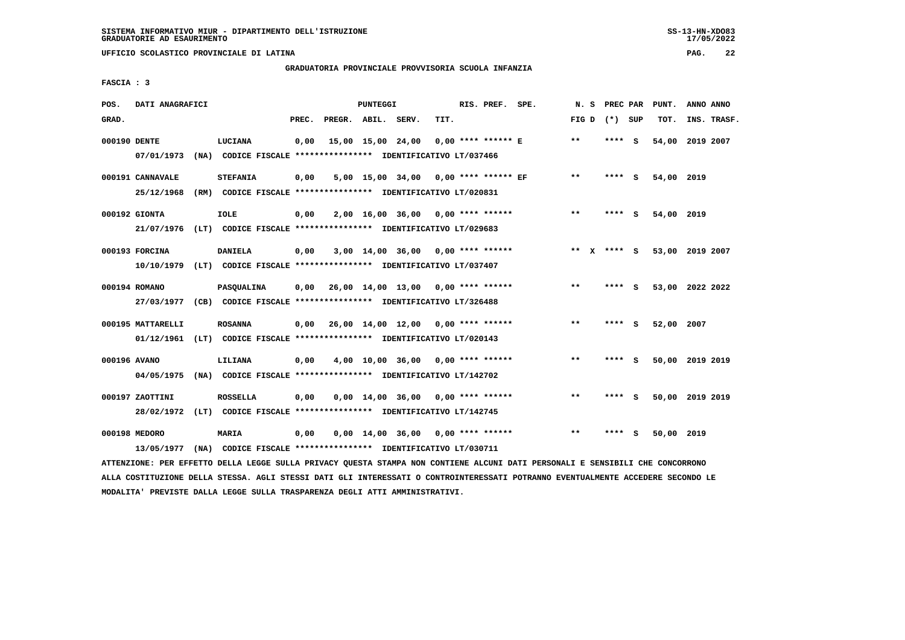**UFFICIO SCOLASTICO PROVINCIALE DI LATINA PAG. 22**

# **GRADUATORIA PROVINCIALE PROVVISORIA SCUOLA INFANZIA**

 **FASCIA : 3**

| POS.         | DATI ANAGRAFICI                                                                              |                 |       |                    | <b>PUNTEGGI</b> |                                                                                                      |      | RIS. PREF. SPE.       | N. S         | PREC PAR        |     | PUNT.           | ANNO ANNO |             |
|--------------|----------------------------------------------------------------------------------------------|-----------------|-------|--------------------|-----------------|------------------------------------------------------------------------------------------------------|------|-----------------------|--------------|-----------------|-----|-----------------|-----------|-------------|
| GRAD.        |                                                                                              |                 | PREC. | PREGR. ABIL. SERV. |                 |                                                                                                      | TIT. |                       |              | FIG D $(*)$ SUP |     | TOT.            |           | INS. TRASF. |
| 000190 DENTE | 07/01/1973                                                                                   | LUCIANA         | 0,00  |                    |                 | 15,00 15,00 24,00<br>(NA) CODICE FISCALE **************** IDENTIFICATIVO LT/037466                   |      | $0.00$ **** ****** E  | $* *$        | **** S          |     | 54,00 2019 2007 |           |             |
|              | 000191 CANNAVALE<br>25/12/1968                                                               | <b>STEFANIA</b> | 0,00  |                    |                 | 5,00 15,00 34,00<br>(RM) CODICE FISCALE **************** IDENTIFICATIVO LT/020831                    |      | $0.00$ **** ****** EF | $\star\star$ | **** S          |     | 54,00 2019      |           |             |
|              | 000192 GIONTA<br>21/07/1976                                                                  | <b>IOLE</b>     | 0,00  |                    |                 | $2,00$ 16,00 36,00 0,00 **** ******<br>(LT) CODICE FISCALE **************** IDENTIFICATIVO LT/029683 |      |                       | $**$         | $***$ S         |     | 54,00 2019      |           |             |
|              | 000193 FORCINA<br>10/10/1979 (LT) CODICE FISCALE *************** IDENTIFICATIVO LT/037407    | <b>DANIELA</b>  | 0,00  |                    |                 | 3,00 14,00 36,00                                                                                     |      | $0.00$ **** ******    |              | ** x **** S     |     | 53,00 2019 2007 |           |             |
|              | 000194 ROMANO<br>27/03/1977 (CB) CODICE FISCALE *************** IDENTIFICATIVO LT/326488     | PASQUALINA      |       |                    |                 | $0,00$ $26,00$ $14,00$ $13,00$ $0,00$ **** ******                                                    |      |                       | $* *$        | ****            | - S | 53,00 2022 2022 |           |             |
|              | 000195 MATTARELLI<br>01/12/1961 (LT) CODICE FISCALE *************** IDENTIFICATIVO LT/020143 | <b>ROSANNA</b>  | 0,00  |                    |                 | 26,00 14,00 12,00 0,00 **** ******                                                                   |      |                       | $* *$        | **** S          |     | 52,00 2007      |           |             |
| 000196 AVANO | 04/05/1975                                                                                   | LILIANA         | 0,00  |                    |                 | 4,00 10,00 36,00<br>(NA) CODICE FISCALE **************** IDENTIFICATIVO LT/142702                    |      | $0.00$ **** ******    | $* *$        | ****            | - S | 50,00 2019 2019 |           |             |
|              | 000197 ZAOTTINI<br>28/02/1972                                                                | <b>ROSSELLA</b> | 0,00  |                    |                 | 0,00 14,00 36,00<br>(LT) CODICE FISCALE **************** IDENTIFICATIVO LT/142745                    |      | 0,00 **** ******      | $***$        | **** S          |     | 50,00 2019 2019 |           |             |
|              | 000198 MEDORO<br>13/05/1977                                                                  | <b>MARIA</b>    | 0.00  |                    |                 | $0.00 \quad 14.00 \quad 36.00$<br>(NA) CODICE FISCALE **************** IDENTIFICATIVO LT/030711      |      | $0.00$ **** ******    | $***$        | ****            | - S | 50,00 2019      |           |             |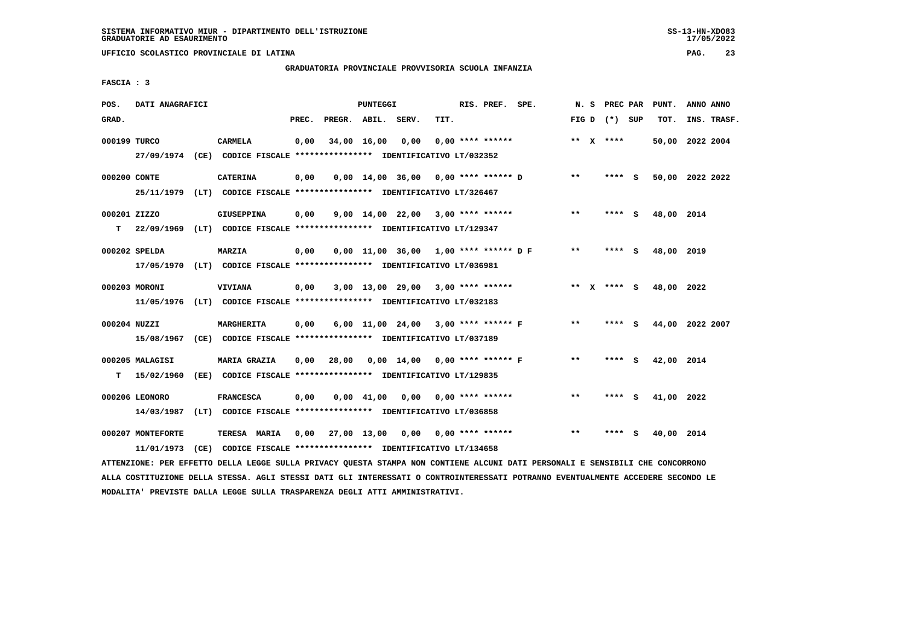# **GRADUATORIA PROVINCIALE PROVVISORIA SCUOLA INFANZIA**

 **FASCIA : 3**

| POS.         | DATI ANAGRAFICI                                                         |      |                   |       |              | PUNTEGGI       |                                                               |      | RIS. PREF. SPE.           |       | N. S | PREC PAR        |     | PUNT.      | ANNO ANNO       |  |
|--------------|-------------------------------------------------------------------------|------|-------------------|-------|--------------|----------------|---------------------------------------------------------------|------|---------------------------|-------|------|-----------------|-----|------------|-----------------|--|
| GRAD.        |                                                                         |      |                   | PREC. | PREGR. ABIL. |                | SERV.                                                         | TIT. |                           |       |      | FIG D $(*)$ SUP |     | TOT.       | INS. TRASF.     |  |
| 000199 TURCO |                                                                         |      | CARMELA           | 0,00  | 34,00 16,00  |                | 0,00                                                          |      | $0.00$ **** ******        |       |      | ** $X$ ****     |     |            | 50,00 2022 2004 |  |
|              | 27/09/1974 (CE) CODICE FISCALE *************** IDENTIFICATIVO LT/032352 |      |                   |       |              |                |                                                               |      |                           |       |      |                 |     |            |                 |  |
| 000200 CONTE |                                                                         |      | <b>CATERINA</b>   | 0,00  |              |                | $0,00$ 14,00 36,00 0,00 **** ****** D                         |      |                           | $* *$ |      | **** S          |     |            | 50,00 2022 2022 |  |
|              | 25/11/1979 (LT) CODICE FISCALE *************** IDENTIFICATIVO LT/326467 |      |                   |       |              |                |                                                               |      |                           |       |      |                 |     |            |                 |  |
| 000201 ZIZZO |                                                                         |      | <b>GIUSEPPINA</b> | 0,00  |              |                | $9,00$ 14,00 22,00 3,00 **** ******                           |      |                           | $***$ |      | **** S          |     | 48,00 2014 |                 |  |
| T.           | 22/09/1969 (LT) CODICE FISCALE *************** IDENTIFICATIVO LT/129347 |      |                   |       |              |                |                                                               |      |                           |       |      |                 |     |            |                 |  |
|              | 000202 SPELDA                                                           |      | <b>MARZIA</b>     | 0,00  |              |                | $0.00$ 11.00 36.00 1.00 **** ****** DF                        |      |                           | $***$ |      | **** S          |     | 48,00 2019 |                 |  |
|              | 17/05/1970 (LT) CODICE FISCALE *************** IDENTIFICATIVO LT/036981 |      |                   |       |              |                |                                                               |      |                           |       |      |                 |     |            |                 |  |
|              |                                                                         |      |                   |       |              |                |                                                               |      |                           |       |      |                 |     |            |                 |  |
|              | 000203 MORONI                                                           |      | <b>VIVIANA</b>    | 0,00  |              |                | 3,00 13,00 29,00 3,00 **** ******                             |      |                           |       |      | ** $X$ **** S   |     | 48,00 2022 |                 |  |
|              | 11/05/1976 (LT) CODICE FISCALE *************** IDENTIFICATIVO LT/032183 |      |                   |       |              |                |                                                               |      |                           |       |      |                 |     |            |                 |  |
| 000204 NUZZI |                                                                         |      | MARGHERITA        | 0,00  |              |                | 6,00 11,00 24,00 3,00 **** ****** F                           |      |                           | $**$  |      | **** S          |     |            | 44,00 2022 2007 |  |
|              | 15/08/1967 (CE) CODICE FISCALE *************** IDENTIFICATIVO LT/037189 |      |                   |       |              |                |                                                               |      |                           |       |      |                 |     |            |                 |  |
|              | 000205 MALAGISI                                                         |      | MARIA GRAZIA      | 0,00  | 28,00        |                | 0,00 14,00 0,00 **** ****** F                                 |      |                           | **    |      | **** S          |     | 42,00 2014 |                 |  |
| т            | 15/02/1960                                                              |      |                   |       |              |                | (EE) CODICE FISCALE **************** IDENTIFICATIVO LT/129835 |      |                           |       |      |                 |     |            |                 |  |
|              |                                                                         |      |                   |       |              |                |                                                               |      |                           |       |      |                 |     |            |                 |  |
|              | 000206 LEONORO                                                          |      | <b>FRANCESCA</b>  | 0,00  |              | $0,00$ $41,00$ |                                                               |      | $0.00$ $0.00$ **** ****** | $**$  |      | **** S          |     | 41,00 2022 |                 |  |
|              | 14/03/1987                                                              |      |                   |       |              |                | (LT) CODICE FISCALE *************** IDENTIFICATIVO LT/036858  |      |                           |       |      |                 |     |            |                 |  |
|              | 000207 MONTEFORTE                                                       |      | TERESA MARIA      | 0,00  | 27,00 13,00  |                |                                                               |      | $0,00$ $0,00$ **** ****** | $* *$ |      | ****            | - S | 40,00 2014 |                 |  |
|              | 11/01/1973                                                              | (CE) |                   |       |              |                | CODICE FISCALE **************** IDENTIFICATIVO LT/134658      |      |                           |       |      |                 |     |            |                 |  |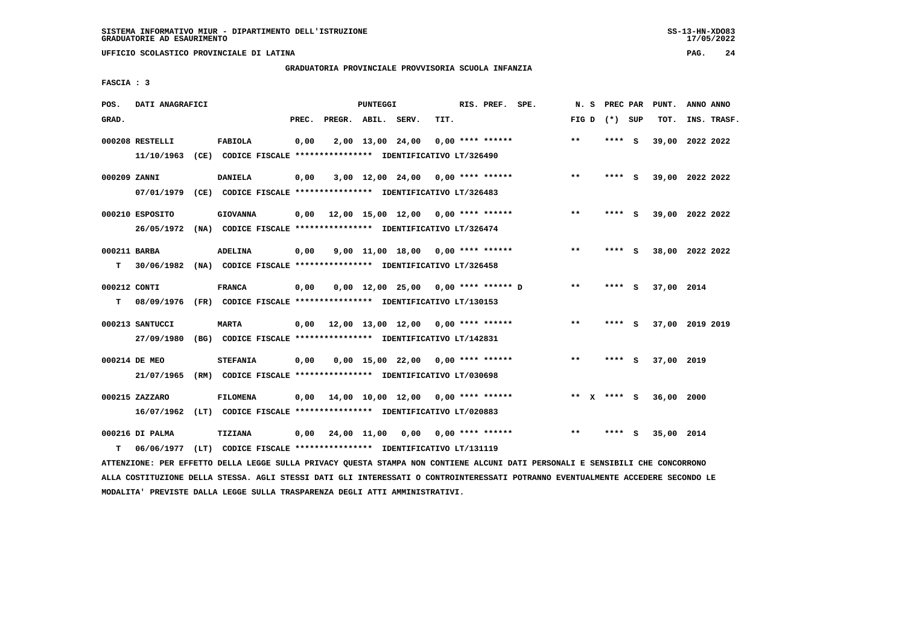**UFFICIO SCOLASTICO PROVINCIALE DI LATINA PAG. 24**

# **GRADUATORIA PROVINCIALE PROVVISORIA SCUOLA INFANZIA**

 **FASCIA : 3**

| POS.               | DATI ANAGRAFICI               |                                                                                            |       |                    | PUNTEGGI |                                           |      | RIS. PREF. SPE.           | N.S   | PREC PAR        |     | PUNT.           | ANNO ANNO |             |
|--------------------|-------------------------------|--------------------------------------------------------------------------------------------|-------|--------------------|----------|-------------------------------------------|------|---------------------------|-------|-----------------|-----|-----------------|-----------|-------------|
| GRAD.              |                               |                                                                                            | PREC. | PREGR. ABIL. SERV. |          |                                           | TIT. |                           |       | FIG D $(*)$ SUP |     | TOT.            |           | INS. TRASF. |
|                    | 000208 RESTELLI<br>11/10/1963 | <b>FABIOLA</b><br>(CE) CODICE FISCALE **************** IDENTIFICATIVO LT/326490            | 0,00  |                    |          | 2,00 13,00 24,00                          |      | $0.00$ **** ******        | $***$ | **** S          |     | 39,00 2022 2022 |           |             |
| 000209 ZANNI       |                               | <b>DANIELA</b><br>07/01/1979 (CE) CODICE FISCALE *************** IDENTIFICATIVO LT/326483  | 0,00  |                    |          | $3,00$ 12,00 24,00 0,00 **** ******       |      |                           | $***$ | **** S          |     | 39,00 2022 2022 |           |             |
|                    | 000210 ESPOSITO               | <b>GIOVANNA</b><br>26/05/1972 (NA) CODICE FISCALE *************** IDENTIFICATIVO LT/326474 | 0,00  |                    |          | 12,00 15,00 12,00 0,00 **** ******        |      |                           | $***$ | **** S          |     | 39,00 2022 2022 |           |             |
| 000211 BARBA<br>T. |                               | <b>ADELINA</b><br>30/06/1982 (NA) CODICE FISCALE **************** IDENTIFICATIVO LT/326458 | 0,00  |                    |          | $9.00$ 11.00 18.00 0.00 **** ******       |      |                           | $* *$ | **** S          |     | 38,00 2022 2022 |           |             |
| 000212 CONTI<br>т  | 08/09/1976                    | <b>FRANCA</b><br>(FR) CODICE FISCALE *************** IDENTIFICATIVO LT/130153              | 0,00  |                    |          | $0.00$ 12.00 25.00 0.00 **** ****** D     |      |                           | $**$  | **** S          |     | 37,00 2014      |           |             |
|                    | 000213 SANTUCCI<br>27/09/1980 | <b>MARTA</b><br>(BG) CODICE FISCALE **************** IDENTIFICATIVO LT/142831              |       |                    |          | $0.00$ 12.00 13.00 12.00 0.00 **** ****** |      |                           | $***$ | ****            | - S | 37,00 2019 2019 |           |             |
|                    | 000214 DE MEO<br>21/07/1965   | <b>STEFANIA</b><br>(RM) CODICE FISCALE **************** IDENTIFICATIVO LT/030698           | 0.00  |                    |          | $0,00$ 15,00 22,00 0,00 **** ******       |      |                           | $***$ | $***$ S         |     | 37,00 2019      |           |             |
|                    | 000215 ZAZZARO                | <b>FILOMENA</b><br>16/07/1962 (LT) CODICE FISCALE *************** IDENTIFICATIVO LT/020883 | 0.00  |                    |          | 14,00 10,00 12,00 0,00 **** ******        |      |                           |       | ** $X$ **** S   |     | 36,00           | 2000      |             |
| т                  | 000216 DI PALMA<br>06/06/1977 | TIZIANA<br>(LT) CODICE FISCALE **************** IDENTIFICATIVO LT/131119                   | 0,00  | 24,00 11,00        |          |                                           |      | $0.00$ $0.00$ **** ****** | $* *$ | ****            | s   | 35,00 2014      |           |             |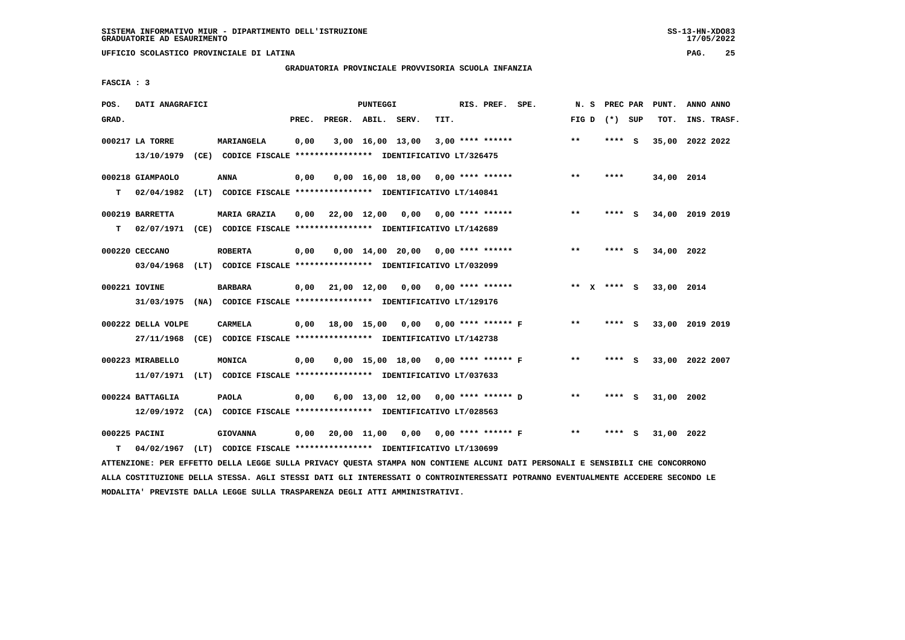**UFFICIO SCOLASTICO PROVINCIALE DI LATINA PAG. 25**

# **GRADUATORIA PROVINCIALE PROVVISORIA SCUOLA INFANZIA**

 **FASCIA : 3**

| POS.  | DATI ANAGRAFICI    |                                                                                                                               |       | PUNTEGGI |                                          |      | RIS. PREF. SPE.    |                                          |                 | N. S PREC PAR | PUNT.      | ANNO ANNO       |  |
|-------|--------------------|-------------------------------------------------------------------------------------------------------------------------------|-------|----------|------------------------------------------|------|--------------------|------------------------------------------|-----------------|---------------|------------|-----------------|--|
| GRAD. |                    |                                                                                                                               | PREC. |          | PREGR. ABIL. SERV.                       | TIT. |                    |                                          | FIG D $(*)$ SUP |               | TOT.       | INS. TRASF.     |  |
|       |                    |                                                                                                                               |       |          |                                          |      |                    |                                          |                 |               |            |                 |  |
|       | 000217 LA TORRE    | <b>MARIANGELA</b>                                                                                                             | 0,00  |          | 3,00 16,00 13,00                         |      | $3,00$ **** ****** |                                          | $* *$           | **** S        |            | 35,00 2022 2022 |  |
|       |                    | 13/10/1979 (CE) CODICE FISCALE *************** IDENTIFICATIVO LT/326475                                                       |       |          |                                          |      |                    |                                          |                 |               |            |                 |  |
|       | 000218 GIAMPAOLO   | <b>ANNA</b>                                                                                                                   | 0,00  |          | $0,00$ 16,00 18,00 0,00 **** ******      |      |                    |                                          | $***$           | ****          | 34,00 2014 |                 |  |
| T.    |                    | 02/04/1982 (LT) CODICE FISCALE *************** IDENTIFICATIVO LT/140841                                                       |       |          |                                          |      |                    |                                          |                 |               |            |                 |  |
|       |                    |                                                                                                                               |       |          |                                          |      |                    |                                          |                 |               |            |                 |  |
|       | 000219 BARRETTA    | <b>MARIA GRAZIA</b>                                                                                                           |       |          | $0,00$ 22,00 12,00 0,00 0,00 **** ****** |      |                    |                                          | $* *$           | **** S        |            | 34,00 2019 2019 |  |
| т     |                    | 02/07/1971 (CE) CODICE FISCALE **************** IDENTIFICATIVO LT/142689                                                      |       |          |                                          |      |                    |                                          |                 |               |            |                 |  |
|       |                    |                                                                                                                               |       |          |                                          |      |                    |                                          |                 |               |            |                 |  |
|       | 000220 CECCANO     | <b>ROBERTA</b>                                                                                                                | 0,00  |          | $0,00$ 14,00 20,00 0,00 **** ******      |      |                    |                                          | $***$           | **** S        | 34,00 2022 |                 |  |
|       |                    | 03/04/1968 (LT) CODICE FISCALE **************** IDENTIFICATIVO LT/032099                                                      |       |          |                                          |      |                    |                                          |                 |               |            |                 |  |
|       | 000221 IOVINE      | <b>BARBARA</b>                                                                                                                |       |          | $0,00$ 21,00 12,00 0,00 0,00 **** ****** |      |                    |                                          | ** x **** S     |               | 33,00 2014 |                 |  |
|       |                    | 31/03/1975 (NA) CODICE FISCALE *************** IDENTIFICATIVO LT/129176                                                       |       |          |                                          |      |                    |                                          |                 |               |            |                 |  |
|       |                    |                                                                                                                               |       |          |                                          |      |                    |                                          |                 |               |            |                 |  |
|       | 000222 DELLA VOLPE | CARMELA                                                                                                                       |       |          | 0,00 18,00 15,00 0,00 0,00 **** ****** F |      |                    |                                          | $***$           | **** S        |            | 33,00 2019 2019 |  |
|       |                    | 27/11/1968 (CE) CODICE FISCALE *************** IDENTIFICATIVO LT/142738                                                       |       |          |                                          |      |                    |                                          |                 |               |            |                 |  |
|       | 000223 MIRABELLO   | MONICA                                                                                                                        | 0,00  |          | 0,00 15,00 18,00 0,00 **** ****** F      |      |                    |                                          | $* *$           | **** S        |            | 33,00 2022 2007 |  |
|       |                    | 11/07/1971 (LT) CODICE FISCALE *************** IDENTIFICATIVO LT/037633                                                       |       |          |                                          |      |                    |                                          |                 |               |            |                 |  |
|       |                    |                                                                                                                               |       |          |                                          |      |                    |                                          |                 |               |            |                 |  |
|       | 000224 BATTAGLIA   | <b>PAOLA</b>                                                                                                                  | 0,00  |          | 6,00 13,00 12,00 0,00 **** ****** D      |      |                    |                                          | $* *$           | **** S        | 31,00 2002 |                 |  |
|       |                    | 12/09/1972 (CA) CODICE FISCALE **************** IDENTIFICATIVO LT/028563                                                      |       |          |                                          |      |                    |                                          |                 |               |            |                 |  |
|       | 000225 PACINI      |                                                                                                                               |       |          |                                          |      |                    | 0,00 20,00 11,00 0,00 0,00 **** ****** F | $***$           | **** S        |            |                 |  |
|       |                    | <b>GIOVANNA</b>                                                                                                               |       |          |                                          |      |                    |                                          |                 |               | 31,00 2022 |                 |  |
| т     | 04/02/1967         | (LT) CODICE FISCALE *************** IDENTIFICATIVO LT/130699                                                                  |       |          |                                          |      |                    |                                          |                 |               |            |                 |  |
|       |                    | ATTENZIONE: PER EFFETTO DELLA LEGGE SULLA PRIVACY QUESTA STAMPA NON CONTIENE ALCUNI DATI PERSONALI E SENSIBILI CHE CONCORRONO |       |          |                                          |      |                    |                                          |                 |               |            |                 |  |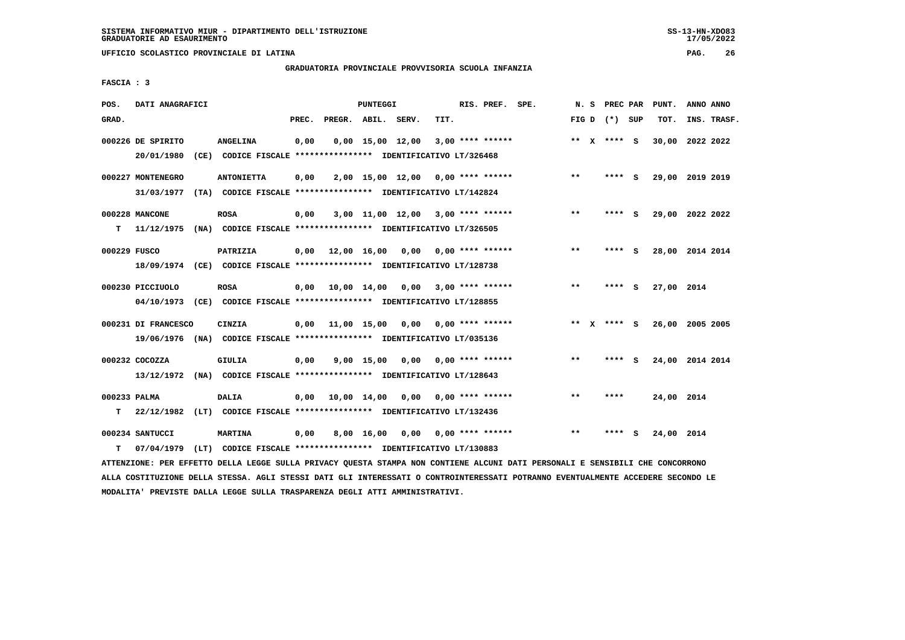# **GRADUATORIA PROVINCIALE PROVVISORIA SCUOLA INFANZIA**

 **FASCIA : 3**

| POS.         | DATI ANAGRAFICI     |                                                                         |       |                                          | PUNTEGGI    |                                   |                           | RIS. PREF. SPE.    |       |                 |   | N. S PREC PAR PUNT. | ANNO ANNO       |  |
|--------------|---------------------|-------------------------------------------------------------------------|-------|------------------------------------------|-------------|-----------------------------------|---------------------------|--------------------|-------|-----------------|---|---------------------|-----------------|--|
| GRAD.        |                     |                                                                         | PREC. | PREGR. ABIL. SERV.                       |             |                                   | TIT.                      |                    |       | FIG D $(*)$ SUP |   | TOT.                | INS. TRASF.     |  |
|              | 000226 DE SPIRITO   | <b>ANGELINA</b>                                                         | 0,00  |                                          |             | $0,00$ 15,00 12,00                |                           | $3,00$ **** ****** |       | ** X **** S     |   |                     | 30,00 2022 2022 |  |
|              | 20/01/1980          | (CE) CODICE FISCALE **************** IDENTIFICATIVO LT/326468           |       |                                          |             |                                   |                           |                    |       |                 |   |                     |                 |  |
|              | 000227 MONTENEGRO   | <b>ANTONIETTA</b>                                                       | 0,00  |                                          |             | 2,00 15,00 12,00 0,00 **** ****** |                           |                    | $***$ | **** S          |   |                     | 29,00 2019 2019 |  |
|              | 31/03/1977          | (TA) CODICE FISCALE **************** IDENTIFICATIVO LT/142824           |       |                                          |             |                                   |                           |                    |       |                 |   |                     |                 |  |
|              | 000228 MANCONE      | <b>ROSA</b>                                                             | 0,00  |                                          |             | 3,00 11,00 12,00 3,00 **** ****** |                           |                    | $* *$ | **** S          |   |                     | 29,00 2022 2022 |  |
| т            | 11/12/1975          | (NA) CODICE FISCALE *************** IDENTIFICATIVO LT/326505            |       |                                          |             |                                   |                           |                    |       |                 |   |                     |                 |  |
| 000229 FUSCO |                     | PATRIZIA                                                                |       | $0,00$ 12,00 16,00 0,00 0,00 **** ****** |             |                                   |                           |                    | $* *$ | **** S          |   |                     | 28,00 2014 2014 |  |
|              |                     | 18/09/1974 (CE) CODICE FISCALE *************** IDENTIFICATIVO LT/128738 |       |                                          |             |                                   |                           |                    |       |                 |   |                     |                 |  |
|              | 000230 PICCIUOLO    | <b>ROSA</b>                                                             | 0,00  | 10,00 14,00 0,00 3,00 **** ******        |             |                                   |                           |                    | $***$ | **** S          |   | 27,00 2014          |                 |  |
|              |                     | 04/10/1973 (CE) CODICE FISCALE *************** IDENTIFICATIVO LT/128855 |       |                                          |             |                                   |                           |                    |       |                 |   |                     |                 |  |
|              | 000231 DI FRANCESCO | CINZIA                                                                  | 0,00  | 11,00 15,00 0,00 0,00 **** ******        |             |                                   |                           |                    |       | ** x **** S     |   |                     | 26,00 2005 2005 |  |
|              |                     | 19/06/1976 (NA) CODICE FISCALE *************** IDENTIFICATIVO LT/035136 |       |                                          |             |                                   |                           |                    |       |                 |   |                     |                 |  |
|              | 000232 COCOZZA      | GIULIA                                                                  | 0,00  |                                          | 9,00 15,00  |                                   | $0,00$ $0,00$ **** ****** |                    | $**$  | **** S          |   |                     | 24,00 2014 2014 |  |
|              |                     | 13/12/1972 (NA) CODICE FISCALE *************** IDENTIFICATIVO LT/128643 |       |                                          |             |                                   |                           |                    |       |                 |   |                     |                 |  |
| 000233 PALMA |                     | DALIA                                                                   | 0,00  |                                          | 10,00 14,00 |                                   | $0,00$ $0,00$ **** ****** |                    | $* *$ | ****            |   | 24,00 2014          |                 |  |
| т            | 22/12/1982          | (LT) CODICE FISCALE **************** IDENTIFICATIVO LT/132436           |       |                                          |             |                                   |                           |                    |       |                 |   |                     |                 |  |
|              | 000234 SANTUCCI     | <b>MARTINA</b>                                                          | 0,00  |                                          | 8,00 16,00  |                                   | $0,00$ $0,00$ **** ****** |                    | $* *$ | ****            | s | 24,00 2014          |                 |  |
| т            | 07/04/1979          | (LT) CODICE FISCALE **************** IDENTIFICATIVO LT/130883           |       |                                          |             |                                   |                           |                    |       |                 |   |                     |                 |  |

 **ATTENZIONE: PER EFFETTO DELLA LEGGE SULLA PRIVACY QUESTA STAMPA NON CONTIENE ALCUNI DATI PERSONALI E SENSIBILI CHE CONCORRONO ALLA COSTITUZIONE DELLA STESSA. AGLI STESSI DATI GLI INTERESSATI O CONTROINTERESSATI POTRANNO EVENTUALMENTE ACCEDERE SECONDO LE MODALITA' PREVISTE DALLA LEGGE SULLA TRASPARENZA DEGLI ATTI AMMINISTRATIVI.**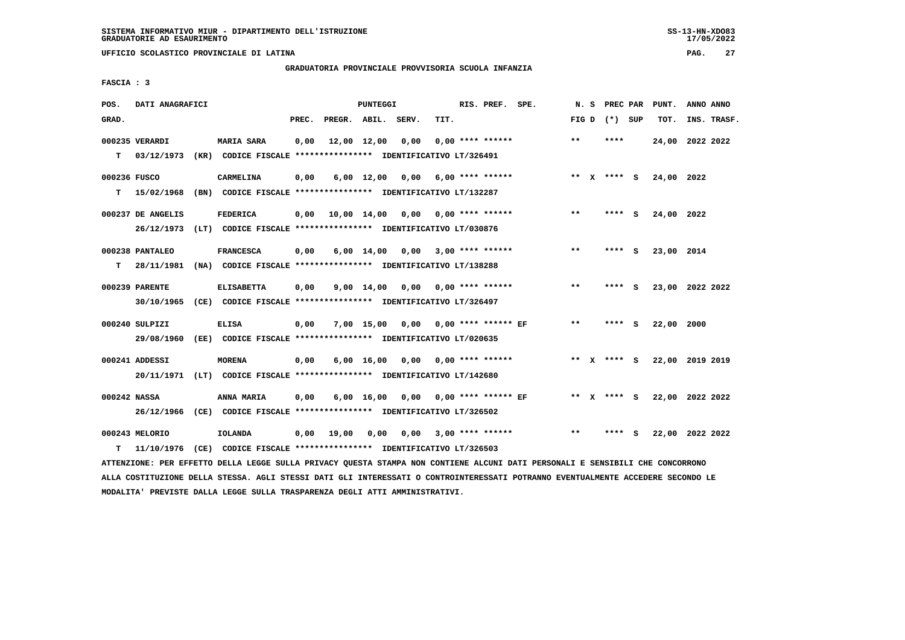## **GRADUATORIA PROVINCIALE PROVVISORIA SCUOLA INFANZIA**

 **FASCIA : 3**

| POS.         | DATI ANAGRAFICI   |                                                                                                                               |       |                    | PUNTEGGI |                                          |      | RIS. PREF. SPE.         |       |                   | N. S PREC PAR PUNT. | ANNO ANNO |             |
|--------------|-------------------|-------------------------------------------------------------------------------------------------------------------------------|-------|--------------------|----------|------------------------------------------|------|-------------------------|-------|-------------------|---------------------|-----------|-------------|
| GRAD.        |                   |                                                                                                                               | PREC. | PREGR. ABIL. SERV. |          |                                          | TIT. |                         |       | FIG $D$ $(*)$ SUP | TOT.                |           | INS. TRASF. |
|              | 000235 VERARDI    | <b>MARIA SARA</b>                                                                                                             | 0,00  | 12,00 12,00 0,00   |          |                                          |      | $0.00$ **** ******      | $* *$ | ****              | 24,00 2022 2022     |           |             |
|              | $T = 03/12/1973$  | (KR) CODICE FISCALE **************** IDENTIFICATIVO LT/326491                                                                 |       |                    |          |                                          |      |                         |       |                   |                     |           |             |
|              |                   |                                                                                                                               |       |                    |          |                                          |      |                         |       |                   |                     |           |             |
| 000236 FUSCO |                   | CARMELINA                                                                                                                     | 0,00  |                    |          | $6,00$ 12,00 0,00 6,00 **** ******       |      |                         |       | ** X **** S       | 24,00 2022          |           |             |
| т            | 15/02/1968        | (BN) CODICE FISCALE **************** IDENTIFICATIVO LT/132287                                                                 |       |                    |          |                                          |      |                         |       |                   |                     |           |             |
|              | 000237 DE ANGELIS | <b>FEDERICA</b>                                                                                                               |       |                    |          | $0,00$ 10,00 14,00 0,00 0,00 **** ****** |      |                         | $***$ | **** S            | 24,00 2022          |           |             |
|              |                   | 26/12/1973 (LT) CODICE FISCALE *************** IDENTIFICATIVO LT/030876                                                       |       |                    |          |                                          |      |                         |       |                   |                     |           |             |
|              |                   |                                                                                                                               |       |                    |          |                                          |      |                         | $***$ |                   |                     |           |             |
|              | 000238 PANTALEO   | <b>FRANCESCA</b>                                                                                                              | 0,00  |                    |          | $6,00$ 14,00 0,00 3,00 **** ******       |      |                         |       | **** S            | 23,00 2014          |           |             |
| T.           | 28/11/1981        | (NA) CODICE FISCALE **************** IDENTIFICATIVO LT/138288                                                                 |       |                    |          |                                          |      |                         |       |                   |                     |           |             |
|              | 000239 PARENTE    | <b>ELISABETTA</b>                                                                                                             | 0,00  |                    |          | $9,00$ 14,00 0,00 0,00 **** ******       |      |                         | $***$ | **** S            | 23,00 2022 2022     |           |             |
|              |                   | 30/10/1965 (CE) CODICE FISCALE *************** IDENTIFICATIVO LT/326497                                                       |       |                    |          |                                          |      |                         |       |                   |                     |           |             |
|              | 000240 SULPIZI    | <b>ELISA</b>                                                                                                                  | 0,00  |                    |          | 7,00 15,00 0,00 0,00 **** ****** EF      |      |                         | $***$ | **** S            | 22,00 2000          |           |             |
|              |                   |                                                                                                                               |       |                    |          |                                          |      |                         |       |                   |                     |           |             |
|              |                   | 29/08/1960 (EE) CODICE FISCALE *************** IDENTIFICATIVO LT/020635                                                       |       |                    |          |                                          |      |                         |       |                   |                     |           |             |
|              | 000241 ADDESSI    | <b>MORENA</b>                                                                                                                 | 0,00  |                    |          | $6,00$ 16,00 0,00 0,00 **** ******       |      |                         |       | ** x **** S       | 22,00 2019 2019     |           |             |
|              | 20/11/1971        | (LT) CODICE FISCALE **************** IDENTIFICATIVO LT/142680                                                                 |       |                    |          |                                          |      |                         |       |                   |                     |           |             |
|              |                   |                                                                                                                               |       |                    |          |                                          |      |                         |       |                   |                     |           |             |
| 000242 NASSA |                   | ANNA MARIA                                                                                                                    | 0,00  |                    |          | 6,00 16,00 0,00 0,00 **** ****** EF      |      |                         |       | ** X **** S       | 22,00 2022 2022     |           |             |
|              |                   | 26/12/1966 (CE) CODICE FISCALE *************** IDENTIFICATIVO LT/326502                                                       |       |                    |          |                                          |      |                         |       |                   |                     |           |             |
|              | 000243 MELORIO    | IOLANDA                                                                                                                       | 0,00  | 19,00              | 0,00     |                                          |      | $0.00$ 3.00 **** ****** | $***$ | **** S            | 22,00 2022 2022     |           |             |
| т            | 11/10/1976        | (CE) CODICE FISCALE *************** IDENTIFICATIVO LT/326503                                                                  |       |                    |          |                                          |      |                         |       |                   |                     |           |             |
|              |                   | ATTENZIONE: PER EFFETTO DELLA LEGGE SULLA PRIVACY QUESTA STAMPA NON CONTIENE ALCUNI DATI PERSONALI E SENSIBILI CHE CONCORRONO |       |                    |          |                                          |      |                         |       |                   |                     |           |             |

 **ALLA COSTITUZIONE DELLA STESSA. AGLI STESSI DATI GLI INTERESSATI O CONTROINTERESSATI POTRANNO EVENTUALMENTE ACCEDERE SECONDO LE MODALITA' PREVISTE DALLA LEGGE SULLA TRASPARENZA DEGLI ATTI AMMINISTRATIVI.**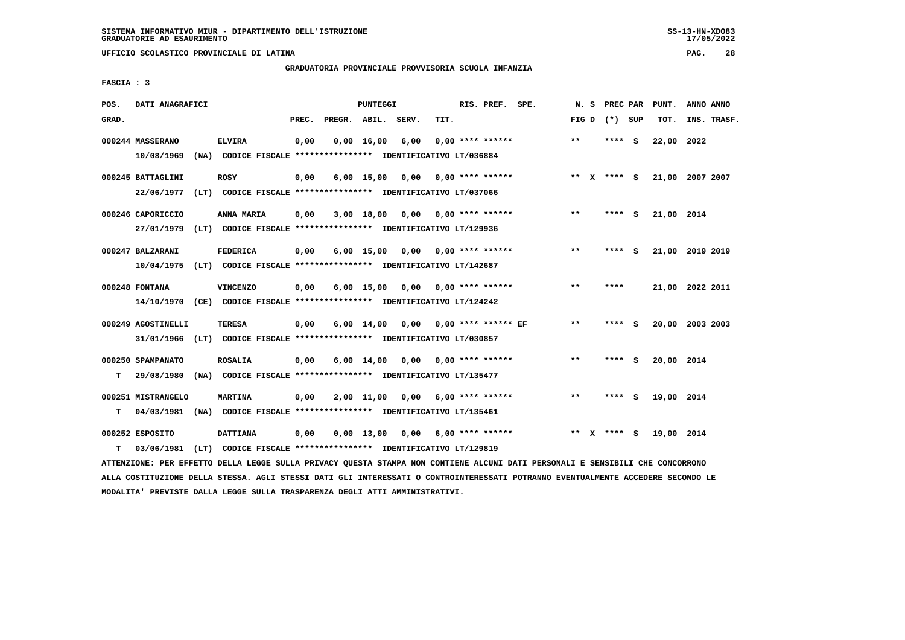**UFFICIO SCOLASTICO PROVINCIALE DI LATINA PAG. 28**

### **GRADUATORIA PROVINCIALE PROVVISORIA SCUOLA INFANZIA**

 **FASCIA : 3**

| POS.  | DATI ANAGRAFICI    |                                                                         |       | PUNTEGGI           |                    |      | RIS. PREF. SPE.           | N.S   | PREC PAR    |          | PUNT.      | ANNO ANNO       |
|-------|--------------------|-------------------------------------------------------------------------|-------|--------------------|--------------------|------|---------------------------|-------|-------------|----------|------------|-----------------|
| GRAD. |                    |                                                                         | PREC. |                    | PREGR. ABIL. SERV. | TIT. |                           | FIG D | (*) SUP     |          | TOT.       | INS. TRASF.     |
|       | 000244 MASSERANO   | <b>ELVIRA</b>                                                           | 0,00  | $0,00 \quad 16,00$ | 6,00               |      | $0.00$ **** ******        | $**$  | ****        | - S      | 22,00 2022 |                 |
|       | 10/08/1969         | (NA) CODICE FISCALE **************** IDENTIFICATIVO LT/036884           |       |                    |                    |      |                           |       |             |          |            |                 |
|       | 000245 BATTAGLINI  | <b>ROSY</b>                                                             | 0,00  | $6,00$ 15,00       | 0,00               |      | $0.00$ **** ******        |       | ** X **** S |          |            | 21,00 2007 2007 |
|       | 22/06/1977         | (LT) CODICE FISCALE **************** IDENTIFICATIVO LT/037066           |       |                    |                    |      |                           |       |             |          |            |                 |
|       | 000246 CAPORICCIO  | ANNA MARIA                                                              | 0,00  | 3,00 18,00         |                    |      | $0,00$ $0,00$ **** ****** | $* *$ | **** S      |          | 21,00 2014 |                 |
|       | 27/01/1979         | (LT) CODICE FISCALE **************** IDENTIFICATIVO LT/129936           |       |                    |                    |      |                           |       |             |          |            |                 |
|       | 000247 BALZARANI   | <b>FEDERICA</b>                                                         | 0,00  | $6,00$ 15,00       |                    |      | $0.00$ $0.00$ **** ****** | $* *$ | ****        | - S      |            | 21,00 2019 2019 |
|       | 10/04/1975         | (LT) CODICE FISCALE *************** IDENTIFICATIVO LT/142687            |       |                    |                    |      |                           |       |             |          |            |                 |
|       | 000248 FONTANA     | <b>VINCENZO</b>                                                         | 0,00  | $6,00$ 15,00       | 0,00               |      | $0.00$ **** ******        | $* *$ | ****        |          |            | 21,00 2022 2011 |
|       |                    | 14/10/1970 (CE) CODICE FISCALE *************** IDENTIFICATIVO LT/124242 |       |                    |                    |      |                           |       |             |          |            |                 |
|       | 000249 AGOSTINELLI | <b>TERESA</b>                                                           | 0,00  | $6,00 \quad 14,00$ | 0,00               |      | 0,00 **** ****** EF       | $**$  | ****        | - S      |            | 20,00 2003 2003 |
|       |                    | 31/01/1966 (LT) CODICE FISCALE *************** IDENTIFICATIVO LT/030857 |       |                    |                    |      |                           |       |             |          |            |                 |
|       | 000250 SPAMPANATO  | <b>ROSALIA</b>                                                          | 0,00  | $6,00 \quad 14,00$ | 0,00               |      | $0.00$ **** ******        | $* *$ | **** S      |          | 20,00 2014 |                 |
| т     | 29/08/1980         | (NA) CODICE FISCALE **************** IDENTIFICATIVO LT/135477           |       |                    |                    |      |                           |       |             |          |            |                 |
|       | 000251 MISTRANGELO | MARTINA                                                                 | 0,00  | 2,00 11,00         | 0,00               |      | 6,00 **** ******          | $* *$ | ****        | <b>S</b> | 19,00 2014 |                 |
| т     | 04/03/1981         | (NA) CODICE FISCALE **************** IDENTIFICATIVO LT/135461           |       |                    |                    |      |                           |       |             |          |            |                 |
|       | 000252 ESPOSITO    | <b>DATTIANA</b>                                                         | 0,00  | $0,00$ 13,00       | 0,00               |      | $6,00$ **** ******        |       | ** x **** S |          | 19,00 2014 |                 |
| т     | 03/06/1981         | (LT) CODICE FISCALE **************** IDENTIFICATIVO LT/129819           |       |                    |                    |      |                           |       |             |          |            |                 |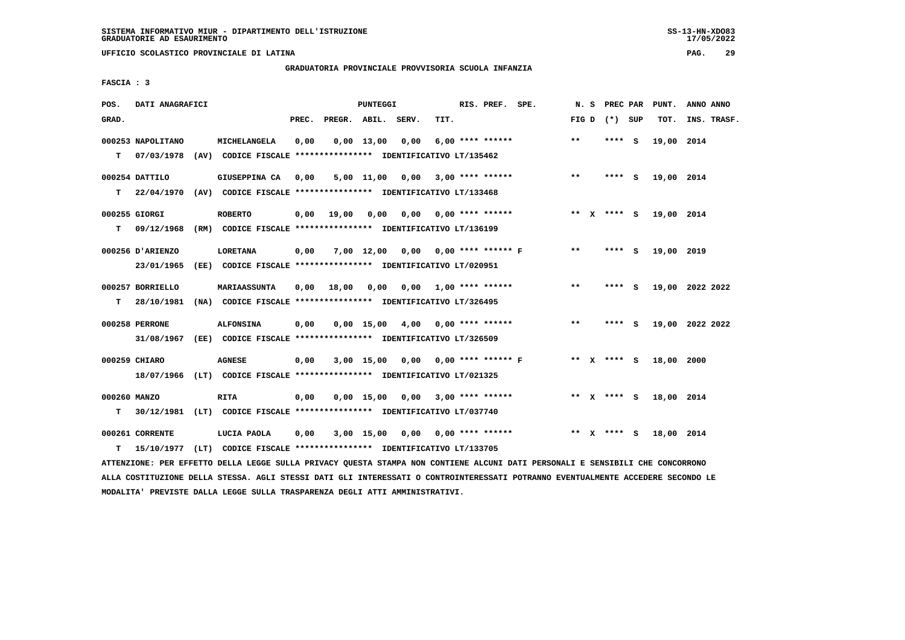**UFFICIO SCOLASTICO PROVINCIALE DI LATINA PAG. 29**

# **GRADUATORIA PROVINCIALE PROVVISORIA SCUOLA INFANZIA**

 **FASCIA : 3**

| POS.         | DATI ANAGRAFICI                 |                                                               |       |                    | PUNTEGGI     |                                      |      | RIS. PREF. SPE.           | N. S  | PREC PAR        | PUNT.      | ANNO ANNO       |
|--------------|---------------------------------|---------------------------------------------------------------|-------|--------------------|--------------|--------------------------------------|------|---------------------------|-------|-----------------|------------|-----------------|
| GRAD.        |                                 |                                                               | PREC. | PREGR. ABIL. SERV. |              |                                      | TIT. |                           |       | FIG D $(*)$ SUP | TOT.       | INS. TRASF.     |
| $\mathbf T$  | 000253 NAPOLITANO<br>07/03/1978 | MICHELANGELA                                                  | 0,00  |                    | $0,00$ 13,00 | 0,00                                 |      | $6.00$ **** ******        | $* *$ | **** S          | 19,00 2014 |                 |
|              |                                 | (AV) CODICE FISCALE **************** IDENTIFICATIVO LT/135462 |       |                    |              |                                      |      |                           |       |                 |            |                 |
|              | 000254 DATTILO                  | GIUSEPPINA CA                                                 | 0,00  |                    |              | $5,00$ 11,00 0,00 3,00 **** ******   |      |                           | $***$ | **** S          | 19,00 2014 |                 |
| T.           | 22/04/1970                      | (AV) CODICE FISCALE **************** IDENTIFICATIVO LT/133468 |       |                    |              |                                      |      |                           |       |                 |            |                 |
|              | 000255 GIORGI                   | <b>ROBERTO</b>                                                |       | 0,00 19,00         | 0,00         |                                      |      | $0,00$ $0,00$ **** ****** |       | ** X **** S     | 19,00 2014 |                 |
| T.           | 09/12/1968                      | (RM) CODICE FISCALE **************** IDENTIFICATIVO LT/136199 |       |                    |              |                                      |      |                           |       |                 |            |                 |
|              | 000256 D'ARIENZO                | LORETANA                                                      | 0,00  |                    |              | 7,00 12,00 0,00 0,00 **** ****** F   |      |                           | **    | **** S          | 19,00 2019 |                 |
|              | 23/01/1965                      | (EE) CODICE FISCALE **************** IDENTIFICATIVO LT/020951 |       |                    |              |                                      |      |                           |       |                 |            |                 |
|              | 000257 BORRIELLO                | <b>MARIAASSUNTA</b>                                           | 0.00  | 18,00              | 0,00         |                                      |      | $0.00$ 1.00 **** ******   | $* *$ | **** S          |            | 19,00 2022 2022 |
| т            | 28/10/1981                      | (NA) CODICE FISCALE **************** IDENTIFICATIVO LT/326495 |       |                    |              |                                      |      |                           |       |                 |            |                 |
|              | 000258 PERRONE                  | <b>ALFONSINA</b>                                              | 0,00  |                    |              | $0,00$ 15,00 4,00 0,00 **** ******   |      |                           | $* *$ | **** S          |            | 19,00 2022 2022 |
|              | 31/08/1967                      | (EE) CODICE FISCALE **************** IDENTIFICATIVO LT/326509 |       |                    |              |                                      |      |                           |       |                 |            |                 |
|              | 000259 CHIARO                   | <b>AGNESE</b>                                                 | 0,00  |                    |              | $3,00$ 15,00 0,00 0,00 **** ****** F |      |                           |       | ** $X$ **** S   | 18,00 2000 |                 |
|              | 18/07/1966                      | (LT) CODICE FISCALE **************** IDENTIFICATIVO LT/021325 |       |                    |              |                                      |      |                           |       |                 |            |                 |
| 000260 MANZO |                                 | RITA                                                          | 0,00  |                    |              | $0,00$ 15,00 0,00 3,00 **** ******   |      |                           |       | ** $X$ **** S   | 18,00 2014 |                 |
| т            | 30/12/1981                      | (LT) CODICE FISCALE *************** IDENTIFICATIVO LT/037740  |       |                    |              |                                      |      |                           |       |                 |            |                 |
|              | 000261 CORRENTE                 | LUCIA PAOLA                                                   | 0,00  |                    |              | $3,00$ 15,00 0,00 0,00 **** ******   |      |                           |       | ** x **** S     | 18,00 2014 |                 |
| т            | 15/10/1977                      | (LT) CODICE FISCALE **************** IDENTIFICATIVO LT/133705 |       |                    |              |                                      |      |                           |       |                 |            |                 |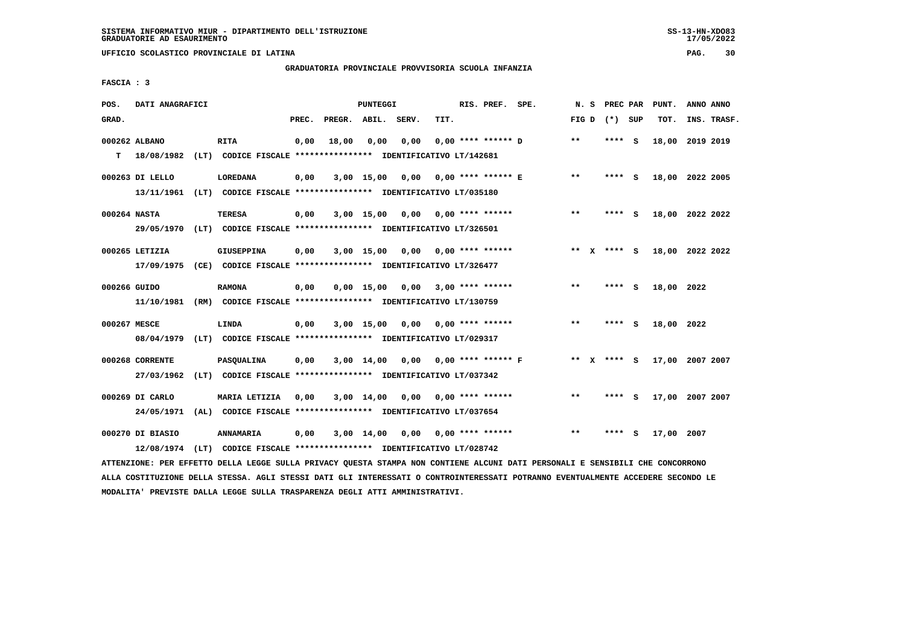# **GRADUATORIA PROVINCIALE PROVVISORIA SCUOLA INFANZIA**

 **FASCIA : 3**

| POS.           | DATI ANAGRAFICI  |                                                               |       |                    | PUNTEGGI       |                               |      | RIS. PREF. SPE.           |                           | N.S   | PREC PAR        |     | PUNT.      | ANNO ANNO       |  |
|----------------|------------------|---------------------------------------------------------------|-------|--------------------|----------------|-------------------------------|------|---------------------------|---------------------------|-------|-----------------|-----|------------|-----------------|--|
| GRAD.          |                  |                                                               | PREC. | PREGR. ABIL. SERV. |                |                               | TIT. |                           |                           |       | FIG D $(*)$ SUP |     | TOT.       | INS. TRASF.     |  |
| 000262 ALBANO  |                  | <b>RITA</b>                                                   | 0,00  | 18,00              | 0.00           | 0,00                          |      | $0.00$ **** ****** D      |                           | $* *$ | **** S          |     |            | 18,00 2019 2019 |  |
| т              | 18/08/1982       | (LT) CODICE FISCALE **************** IDENTIFICATIVO LT/142681 |       |                    |                |                               |      |                           |                           |       |                 |     |            |                 |  |
|                | 000263 DI LELLO  | <b>LOREDANA</b>                                               | 0,00  |                    | $3,00$ 15,00   | 0,00                          |      | 0,00 **** ****** E        |                           | $***$ | **** S          |     |            | 18,00 2022 2005 |  |
|                | 13/11/1961       | (LT) CODICE FISCALE **************** IDENTIFICATIVO LT/035180 |       |                    |                |                               |      |                           |                           |       |                 |     |            |                 |  |
| 000264 NASTA   |                  | TERESA                                                        | 0,00  |                    | 3,00 15,00     |                               |      | $0,00$ $0,00$ **** ****** |                           | $***$ | **** S          |     |            | 18,00 2022 2022 |  |
|                | 29/05/1970       | (LT) CODICE FISCALE *************** IDENTIFICATIVO LT/326501  |       |                    |                |                               |      |                           |                           |       |                 |     |            |                 |  |
| 000265 LETIZIA |                  | <b>GIUSEPPINA</b>                                             | 0,00  |                    | $3,00$ 15,00   | 0,00                          |      | 0,00 **** ******          |                           |       | ** x **** s     |     |            | 18,00 2022 2022 |  |
|                | 17/09/1975       | (CE) CODICE FISCALE *************** IDENTIFICATIVO LT/326477  |       |                    |                |                               |      |                           |                           |       |                 |     |            |                 |  |
| 000266 GUIDO   |                  | <b>RAMONA</b>                                                 | 0,00  |                    |                | $0,00 \quad 15,00 \quad 0,00$ |      | $3,00$ **** ******        |                           | $***$ | **** S          |     | 18,00 2022 |                 |  |
|                | 11/10/1981       | (RM) CODICE FISCALE **************** IDENTIFICATIVO LT/130759 |       |                    |                |                               |      |                           |                           |       |                 |     |            |                 |  |
| 000267 MESCE   |                  | LINDA                                                         | 0,00  |                    | 3,00 15,00     | 0,00                          |      | 0,00 **** ******          |                           | **    | **** S          |     | 18,00 2022 |                 |  |
|                | 08/04/1979       | (LT) CODICE FISCALE **************** IDENTIFICATIVO LT/029317 |       |                    |                |                               |      |                           |                           |       |                 |     |            |                 |  |
|                | 000268 CORRENTE  | <b>PASQUALINA</b>                                             | 0,00  |                    | $3,00$ 14,00   |                               |      |                           | $0,00$ 0,00 **** ****** F |       | ** x **** s     |     |            | 17,00 2007 2007 |  |
|                | 27/03/1962       | (LT) CODICE FISCALE **************** IDENTIFICATIVO LT/037342 |       |                    |                |                               |      |                           |                           |       |                 |     |            |                 |  |
|                | 000269 DI CARLO  | MARIA LETIZIA                                                 | 0,00  |                    | $3,00$ 14,00   | 0,00                          |      | $0.00$ **** ******        |                           | $* *$ | ****            | - S |            | 17,00 2007 2007 |  |
|                | 24/05/1971       | (AL) CODICE FISCALE **************** IDENTIFICATIVO LT/037654 |       |                    |                |                               |      |                           |                           |       |                 |     |            |                 |  |
|                | 000270 DI BIASIO | ANNAMARIA                                                     | 0,00  |                    | $3,00$ $14,00$ | 0,00                          |      | 0,00 **** ******          |                           | $* *$ | ****            | - S | 17,00 2007 |                 |  |
|                | 12/08/1974       | (LT) CODICE FISCALE **************** IDENTIFICATIVO LT/028742 |       |                    |                |                               |      |                           |                           |       |                 |     |            |                 |  |

 **ATTENZIONE: PER EFFETTO DELLA LEGGE SULLA PRIVACY QUESTA STAMPA NON CONTIENE ALCUNI DATI PERSONALI E SENSIBILI CHE CONCORRONO ALLA COSTITUZIONE DELLA STESSA. AGLI STESSI DATI GLI INTERESSATI O CONTROINTERESSATI POTRANNO EVENTUALMENTE ACCEDERE SECONDO LE MODALITA' PREVISTE DALLA LEGGE SULLA TRASPARENZA DEGLI ATTI AMMINISTRATIVI.**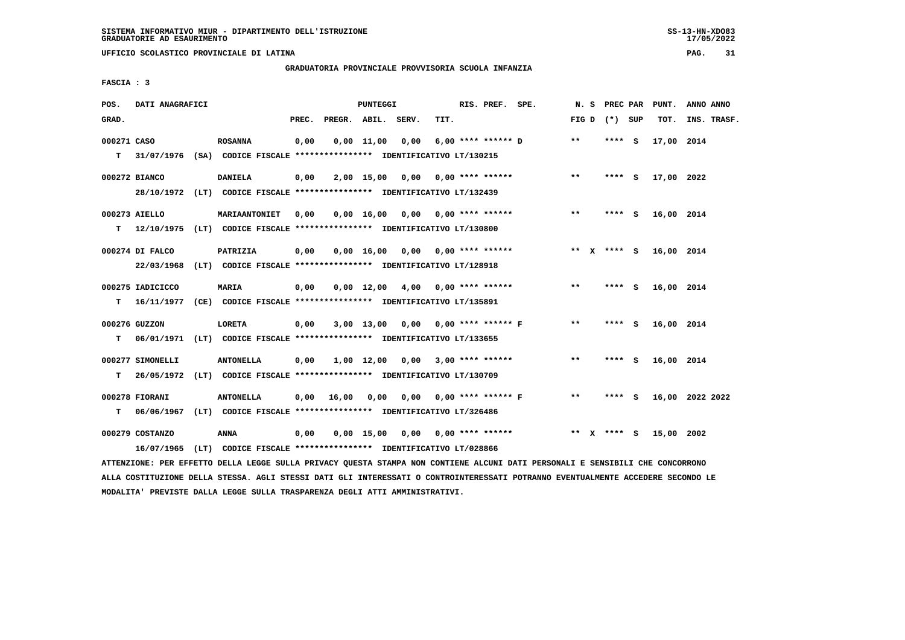**UFFICIO SCOLASTICO PROVINCIALE DI LATINA PAG. 31**

# **GRADUATORIA PROVINCIALE PROVVISORIA SCUOLA INFANZIA**

 **FASCIA : 3**

| POS.        | DATI ANAGRAFICI  |                                                                          |       |                    | PUNTEGGI   |                                          |      | RIS. PREF. SPE.         | N. S    |                 | PREC PAR PUNT. | ANNO ANNO       |
|-------------|------------------|--------------------------------------------------------------------------|-------|--------------------|------------|------------------------------------------|------|-------------------------|---------|-----------------|----------------|-----------------|
| GRAD.       |                  |                                                                          | PREC. | PREGR. ABIL. SERV. |            |                                          | TIT. |                         |         | FIG D $(*)$ SUP | TOT.           | INS. TRASF.     |
| 000271 CASO |                  | <b>ROSANNA</b>                                                           | 0,00  |                    | 0,00 11,00 | 0,00                                     |      | 6,00 **** ****** D      | $**$    | $***$ S         | 17,00 2014     |                 |
| T.          |                  | 31/07/1976 (SA) CODICE FISCALE **************** IDENTIFICATIVO LT/130215 |       |                    |            |                                          |      |                         |         |                 |                |                 |
|             | 000272 BIANCO    | <b>DANIELA</b>                                                           | 0,00  |                    |            | $2,00$ 15,00 0,00 0,00 **** ******       |      |                         | $* *$   | **** S          | 17,00 2022     |                 |
|             |                  | 28/10/1972 (LT) CODICE FISCALE *************** IDENTIFICATIVO LT/132439  |       |                    |            |                                          |      |                         |         |                 |                |                 |
|             | 000273 AIELLO    | MARIAANTONIET                                                            | 0,00  |                    |            | $0,00$ 16,00 0,00 0,00 **** ******       |      |                         | $***$   | **** S          | 16,00 2014     |                 |
| т           |                  | 12/10/1975 (LT) CODICE FISCALE **************** IDENTIFICATIVO LT/130800 |       |                    |            |                                          |      |                         |         |                 |                |                 |
|             | 000274 DI FALCO  | PATRIZIA                                                                 | 0,00  |                    |            | $0,00$ 16,00 0,00 0,00 **** ******       |      |                         |         | ** x **** S     | 16,00 2014     |                 |
|             | 22/03/1968       | (LT) CODICE FISCALE **************** IDENTIFICATIVO LT/128918            |       |                    |            |                                          |      |                         |         |                 |                |                 |
|             | 000275 IADICICCO | <b>MARIA</b>                                                             | 0,00  |                    |            | $0,00$ 12,00 4,00 0,00 **** ******       |      |                         | $***$   | **** S          | 16,00 2014     |                 |
| т           |                  | 16/11/1977 (CE) CODICE FISCALE **************** IDENTIFICATIVO LT/135891 |       |                    |            |                                          |      |                         |         |                 |                |                 |
|             | 000276 GUZZON    | <b>LORETA</b>                                                            | 0,00  |                    |            | 3,00 13,00 0,00 0,00 **** ****** F       |      |                         | $* *$   | **** S          | 16,00 2014     |                 |
| т           |                  | 06/01/1971 (LT) CODICE FISCALE **************** IDENTIFICATIVO LT/133655 |       |                    |            |                                          |      |                         |         |                 |                |                 |
|             | 000277 SIMONELLI | <b>ANTONELLA</b>                                                         | 0,00  |                    |            | $1,00$ $12,00$ $0,00$ $3,00$ **** ****** |      |                         | $* *$   | **** S          | 16,00 2014     |                 |
| т           | 26/05/1972       | (LT) CODICE FISCALE **************** IDENTIFICATIVO LT/130709            |       |                    |            |                                          |      |                         |         |                 |                |                 |
|             | 000278 FIORANI   | <b>ANTONELLA</b>                                                         | 0,00  | 16,00              | 0,00       |                                          |      | 0,00 0,00 **** ****** F | $* *$   | **** S          |                | 16,00 2022 2022 |
| т           | 06/06/1967       | (LT) CODICE FISCALE **************** IDENTIFICATIVO LT/326486            |       |                    |            |                                          |      |                         |         |                 |                |                 |
|             | 000279 COSTANZO  | ANNA                                                                     | 0,00  |                    |            | $0,00$ 15,00 0,00 0,00 **** ******       |      |                         | $***$ X | **** S          | 15,00 2002     |                 |
|             | 16/07/1965       | (LT) CODICE FISCALE **************** IDENTIFICATIVO LT/028866            |       |                    |            |                                          |      |                         |         |                 |                |                 |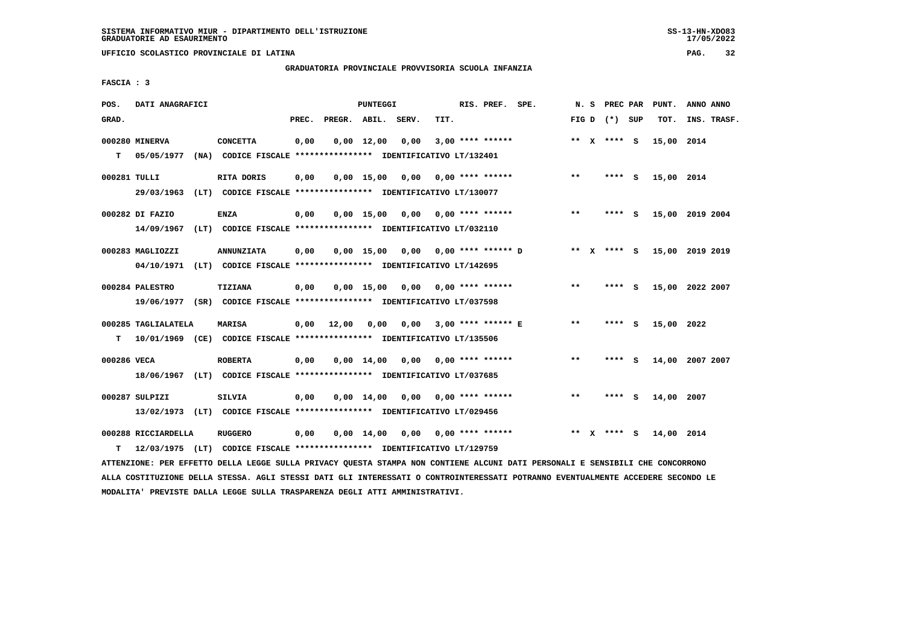### **GRADUATORIA PROVINCIALE PROVVISORIA SCUOLA INFANZIA**

 $17/05/2022$ 

 **FASCIA : 3**

| POS.              | DATI ANAGRAFICI                                                                                 |                   |       |                    | <b>PUNTEGGI</b> |                                                                                                     |      | RIS. PREF. SPE.    |                                                  |        | N. S PREC PAR   | PUNT.           | ANNO ANNO |             |
|-------------------|-------------------------------------------------------------------------------------------------|-------------------|-------|--------------------|-----------------|-----------------------------------------------------------------------------------------------------|------|--------------------|--------------------------------------------------|--------|-----------------|-----------------|-----------|-------------|
| GRAD.             |                                                                                                 |                   | PREC. | PREGR. ABIL. SERV. |                 |                                                                                                     | TIT. |                    |                                                  |        | FIG D $(*)$ SUP | тот.            |           | INS. TRASF. |
| T.                | 000280 MINERVA<br>05/05/1977 (NA) CODICE FISCALE **************** IDENTIFICATIVO LT/132401      | <b>CONCETTA</b>   | 0,00  |                    | $0,00$ 12,00    | 0,00                                                                                                |      | $3,00$ **** ****** |                                                  |        | ** $X$ **** S   | 15,00 2014      |           |             |
| 000281 TULLI      | 29/03/1963                                                                                      | RITA DORIS        | 0,00  |                    |                 | 0,00 15,00 0,00<br>(LT) CODICE FISCALE **************** IDENTIFICATIVO LT/130077                    |      | $0.00$ **** ****** |                                                  | $***$  | $***$ S         | 15,00 2014      |           |             |
|                   | 000282 DI FAZIO<br>14/09/1967                                                                   | <b>ENZA</b>       | 0,00  |                    |                 | $0,00$ 15,00 0,00 0,00 **** ******<br>(LT) CODICE FISCALE **************** IDENTIFICATIVO LT/032110 |      |                    |                                                  | $***$  | **** S          | 15,00 2019 2004 |           |             |
|                   | 000283 MAGLIOZZI<br>04/10/1971 (LT) CODICE FISCALE *************** IDENTIFICATIVO LT/142695     | <b>ANNUNZIATA</b> | 0,00  |                    |                 |                                                                                                     |      |                    | $0.00$ 15.00 0.00 0.00 **** ****** D ** X **** S |        |                 | 15,00 2019 2019 |           |             |
|                   | 000284 PALESTRO                                                                                 | TIZIANA           | 0,00  |                    |                 | $0.00$ 15,00 0.00 0.00 **** ******                                                                  |      |                    |                                                  | **     | **** S          | 15,00 2022 2007 |           |             |
|                   | 19/06/1977 (SR) CODICE FISCALE *************** IDENTIFICATIVO LT/037598<br>000285 TAGLIALATELA  | <b>MARISA</b>     |       | $0,00$ 12,00       | 0,00            | 0,00                                                                                                |      |                    | 3,00 **** ****** E                               | $* *$  | **** S          | 15,00 2022      |           |             |
| T.<br>000286 VECA | 10/01/1969 (CE) CODICE FISCALE **************** IDENTIFICATIVO LT/135506                        | <b>ROBERTA</b>    | 0,00  |                    |                 | $0,00$ 14,00 0,00 0,00 **** ******                                                                  |      |                    |                                                  | **     | $***$ S         | 14,00 2007 2007 |           |             |
|                   | 18/06/1967 (LT) CODICE FISCALE *************** IDENTIFICATIVO LT/037685<br>000287 SULPIZI       | <b>SILVIA</b>     | 0,00  |                    |                 | $0,00$ 14,00 0,00 0,00 **** ******                                                                  |      |                    |                                                  | **     | **** S          | 14,00 2007      |           |             |
|                   | 13/02/1973 (LT) CODICE FISCALE **************** IDENTIFICATIVO LT/029456<br>000288 RICCIARDELLA | <b>RUGGERO</b>    | 0,00  |                    |                 | $0,00$ 14,00 0,00 0,00 **** ******                                                                  |      |                    |                                                  | ** $X$ | **** S          | 14,00 2014      |           |             |
| т                 | 12/03/1975 (LT) CODICE FISCALE **************** IDENTIFICATIVO LT/129759                        |                   |       |                    |                 |                                                                                                     |      |                    |                                                  |        |                 |                 |           |             |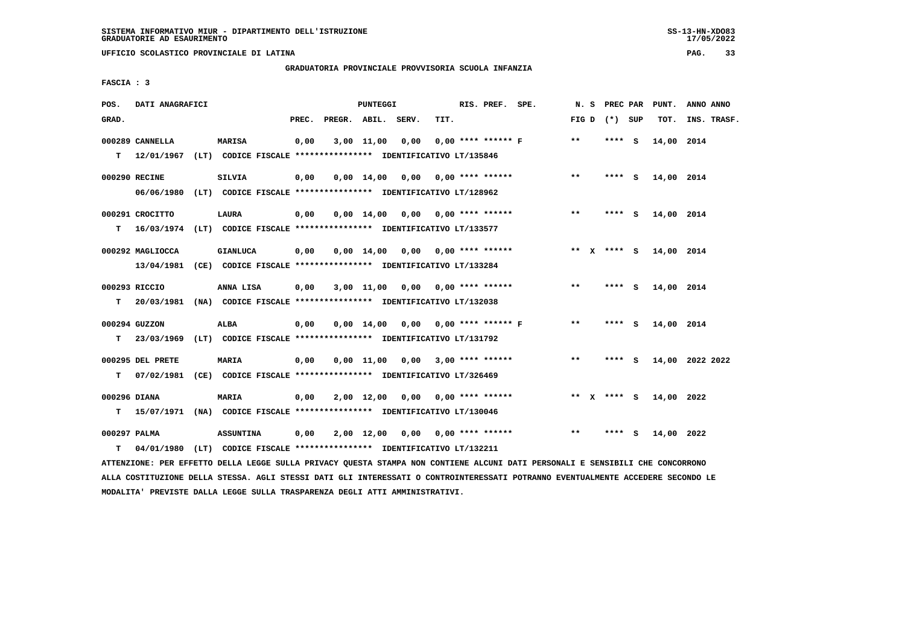**UFFICIO SCOLASTICO PROVINCIALE DI LATINA PAG. 33**

# **GRADUATORIA PROVINCIALE PROVVISORIA SCUOLA INFANZIA**

 **FASCIA : 3**

| POS.         | DATI ANAGRAFICI  |                                                                                                                                    |       |                    | PUNTEGGI       |                                      |      | RIS. PREF. SPE.    |                         |       |                 | N. S PREC PAR PUNT. | ANNO ANNO       |
|--------------|------------------|------------------------------------------------------------------------------------------------------------------------------------|-------|--------------------|----------------|--------------------------------------|------|--------------------|-------------------------|-------|-----------------|---------------------|-----------------|
| GRAD.        |                  |                                                                                                                                    | PREC. | PREGR. ABIL. SERV. |                |                                      | TIT. |                    |                         |       | FIG D $(*)$ SUP | TOT.                | INS. TRASF.     |
|              | 000289 CANNELLA  | MARISA                                                                                                                             | 0,00  |                    | $3,00$ $11,00$ | 0,00                                 |      |                    | $0.00$ **** ****** F    | $**$  | **** S          | 14,00 2014          |                 |
| т            |                  | 12/01/1967 (LT) CODICE FISCALE **************** IDENTIFICATIVO LT/135846                                                           |       |                    |                |                                      |      |                    |                         |       |                 |                     |                 |
|              | 000290 RECINE    | <b>SILVIA</b>                                                                                                                      | 0,00  |                    |                | $0.00$ 14.00 0.00 0.00 **** ******   |      |                    |                         | $***$ | **** S          | 14,00 2014          |                 |
|              |                  | 06/06/1980 (LT) CODICE FISCALE *************** IDENTIFICATIVO LT/128962                                                            |       |                    |                |                                      |      |                    |                         |       |                 |                     |                 |
|              | 000291 CROCITTO  | <b>LAURA</b>                                                                                                                       | 0,00  |                    | 0,00 14,00     | 0,00                                 |      | $0.00$ **** ****** |                         | $***$ | **** S          | 14,00 2014          |                 |
| т            |                  | 16/03/1974 (LT) CODICE FISCALE *************** IDENTIFICATIVO LT/133577                                                            |       |                    |                |                                      |      |                    |                         |       |                 |                     |                 |
|              | 000292 MAGLIOCCA | <b>GIANLUCA</b>                                                                                                                    | 0,00  |                    | $0.00$ 14.00   | 0,00                                 |      | $0.00$ **** ****** |                         |       | ** $X$ **** S   | 14,00 2014          |                 |
|              |                  | 13/04/1981 (CE) CODICE FISCALE *************** IDENTIFICATIVO LT/133284                                                            |       |                    |                |                                      |      |                    |                         |       |                 |                     |                 |
|              |                  |                                                                                                                                    |       |                    |                |                                      |      |                    |                         |       |                 |                     |                 |
|              | 000293 RICCIO    | ANNA LISA                                                                                                                          | 0,00  |                    |                | 3,00 11,00 0,00 0,00 **** ******     |      |                    |                         | $**$  | **** S          | 14,00 2014          |                 |
| т            |                  | 20/03/1981 (NA) CODICE FISCALE **************** IDENTIFICATIVO LT/132038                                                           |       |                    |                |                                      |      |                    |                         |       |                 |                     |                 |
|              | 000294 GUZZON    | <b>ALBA</b>                                                                                                                        | 0,00  |                    |                | $0,00$ 14,00 0,00 0,00 **** ****** F |      |                    |                         | $**$  | **** S          | 14,00 2014          |                 |
| т            |                  | 23/03/1969 (LT) CODICE FISCALE *************** IDENTIFICATIVO LT/131792                                                            |       |                    |                |                                      |      |                    |                         |       |                 |                     |                 |
|              | 000295 DEL PRETE | MARIA                                                                                                                              | 0,00  |                    | $0,00$ 11,00   |                                      |      |                    | $0,00$ 3,00 **** ****** | $**$  | $***$ S         |                     | 14,00 2022 2022 |
| т            | 07/02/1981       | (CE) CODICE FISCALE **************** IDENTIFICATIVO LT/326469                                                                      |       |                    |                |                                      |      |                    |                         |       |                 |                     |                 |
|              |                  |                                                                                                                                    |       |                    |                |                                      |      |                    |                         |       |                 |                     |                 |
| 000296 DIANA |                  | <b>MARIA</b>                                                                                                                       | 0,00  |                    | 2,00 12,00     | 0,00                                 |      | $0.00$ **** ****** |                         |       | ** $X$ **** S   | 14,00 2022          |                 |
| т            |                  | 15/07/1971 (NA) CODICE FISCALE **************** IDENTIFICATIVO LT/130046                                                           |       |                    |                |                                      |      |                    |                         |       |                 |                     |                 |
| 000297 PALMA |                  | <b>ASSUNTINA</b>                                                                                                                   | 0,00  |                    |                | $2,00$ 12,00 0,00 0,00 **** ******   |      |                    |                         | $* *$ | **** S          | 14,00 2022          |                 |
| т            |                  | 04/01/1980 (LT) CODICE FISCALE **************** IDENTIFICATIVO LT/132211                                                           |       |                    |                |                                      |      |                    |                         |       |                 |                     |                 |
|              |                  | MARINEZAIR DED PERSANA DRIIS IRAAR 411115 DRIILAU AUGARI 481161 JAIL 40187010 JIANIE DJAF DROAAILII A 4014-0017 4110 4014-00000014 |       |                    |                |                                      |      |                    |                         |       |                 |                     |                 |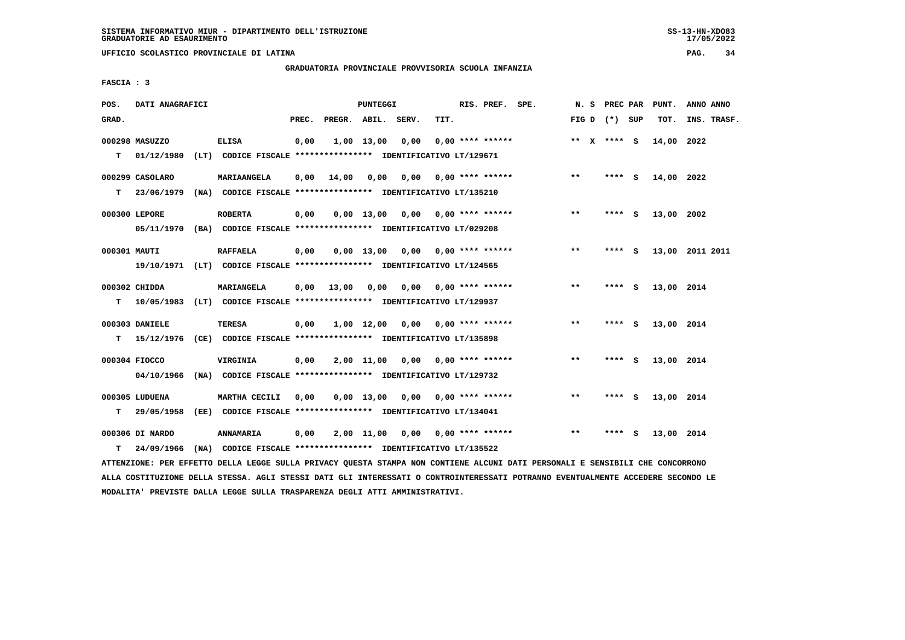# **GRADUATORIA PROVINCIALE PROVVISORIA SCUOLA INFANZIA**

 $17/05/2022$ 

 **FASCIA : 3**

| POS.         | DATI ANAGRAFICI |                                                                           |       |                               | <b>PUNTEGGI</b> |                                                |                       | RIS. PREF. SPE.    |       | N. S PREC PAR   |     | PUNT.      | ANNO ANNO       |  |
|--------------|-----------------|---------------------------------------------------------------------------|-------|-------------------------------|-----------------|------------------------------------------------|-----------------------|--------------------|-------|-----------------|-----|------------|-----------------|--|
| GRAD.        |                 |                                                                           | PREC. | PREGR. ABIL. SERV.            |                 |                                                | TIT.                  |                    |       | FIG D $(*)$ SUP |     | TOT.       | INS. TRASF.     |  |
|              | 000298 MASUZZO  | <b>ELISA</b>                                                              | 0,00  |                               | 1,00 13,00      | 0,00                                           |                       | $0.00$ **** ****** |       | ** $X$ **** S   |     | 14,00 2022 |                 |  |
|              |                 | T 01/12/1980 (LT) CODICE FISCALE *************** IDENTIFICATIVO LT/129671 |       |                               |                 |                                                |                       |                    |       |                 |     |            |                 |  |
|              | 000299 CASOLARO | MARIAANGELA                                                               | 0,00  |                               |                 |                                                |                       |                    | $***$ | $***$ S         |     | 14,00 2022 |                 |  |
| T.           |                 | 23/06/1979 (NA) CODICE FISCALE *************** IDENTIFICATIVO LT/135210   |       |                               |                 |                                                |                       |                    |       |                 |     |            |                 |  |
|              | 000300 LEPORE   | <b>ROBERTA</b>                                                            | 0,00  |                               |                 | $0,00$ 13,00 0,00 0,00 **** ******             |                       |                    | $* *$ | **** S          |     | 13,00 2002 |                 |  |
|              |                 | 05/11/1970 (BA) CODICE FISCALE *************** IDENTIFICATIVO LT/029208   |       |                               |                 |                                                |                       |                    |       |                 |     |            |                 |  |
| 000301 MAUTI |                 | <b>RAFFAELA</b>                                                           | 0,00  |                               |                 | $0,00$ 13,00 0,00 0,00 **** ******             |                       |                    | $***$ | **** S          |     |            | 13,00 2011 2011 |  |
|              |                 | 19/10/1971 (LT) CODICE FISCALE *************** IDENTIFICATIVO LT/124565   |       |                               |                 |                                                |                       |                    |       |                 |     |            |                 |  |
|              | 000302 CHIDDA   | <b>MARIANGELA</b>                                                         |       | $0.00 \quad 13.00 \quad 0.00$ |                 |                                                | 0,00 0,00 **** ****** |                    | $* *$ | **** S          |     | 13,00 2014 |                 |  |
| T.           |                 | 10/05/1983 (LT) CODICE FISCALE *************** IDENTIFICATIVO LT/129937   |       |                               |                 |                                                |                       |                    |       |                 |     |            |                 |  |
|              | 000303 DANIELE  | TERESA                                                                    | 0,00  |                               |                 | $1,00$ $12,00$ $0,00$ $0,00$ $***$ **** ****** |                       |                    | $***$ | **** S          |     | 13,00 2014 |                 |  |
|              |                 | T 15/12/1976 (CE) CODICE FISCALE *************** IDENTIFICATIVO LT/135898 |       |                               |                 |                                                |                       |                    |       |                 |     |            |                 |  |
|              | 000304 FIOCCO   | VIRGINIA                                                                  | 0,00  |                               |                 | $2,00$ 11,00 0,00 0,00 **** ******             |                       |                    | $***$ | **** S          |     | 13,00 2014 |                 |  |
|              |                 | 04/10/1966 (NA) CODICE FISCALE *************** IDENTIFICATIVO LT/129732   |       |                               |                 |                                                |                       |                    |       |                 |     |            |                 |  |
|              | 000305 LUDUENA  | MARTHA CECILI                                                             | 0.00  |                               |                 | $0.00$ 13.00 0.00 0.00 **** ******             |                       |                    | **    | **** S          |     | 13,00 2014 |                 |  |
| T.           |                 | 29/05/1958 (EE) CODICE FISCALE *************** IDENTIFICATIVO LT/134041   |       |                               |                 |                                                |                       |                    |       |                 |     |            |                 |  |
|              | 000306 DI NARDO | <b>ANNAMARIA</b>                                                          | 0,00  |                               |                 | $2,00$ 11,00 0,00 0,00 **** ******             |                       |                    | $* *$ | ****            | - 5 | 13,00 2014 |                 |  |
| T.           | 24/09/1966      | (NA) CODICE FISCALE **************** IDENTIFICATIVO LT/135522             |       |                               |                 |                                                |                       |                    |       |                 |     |            |                 |  |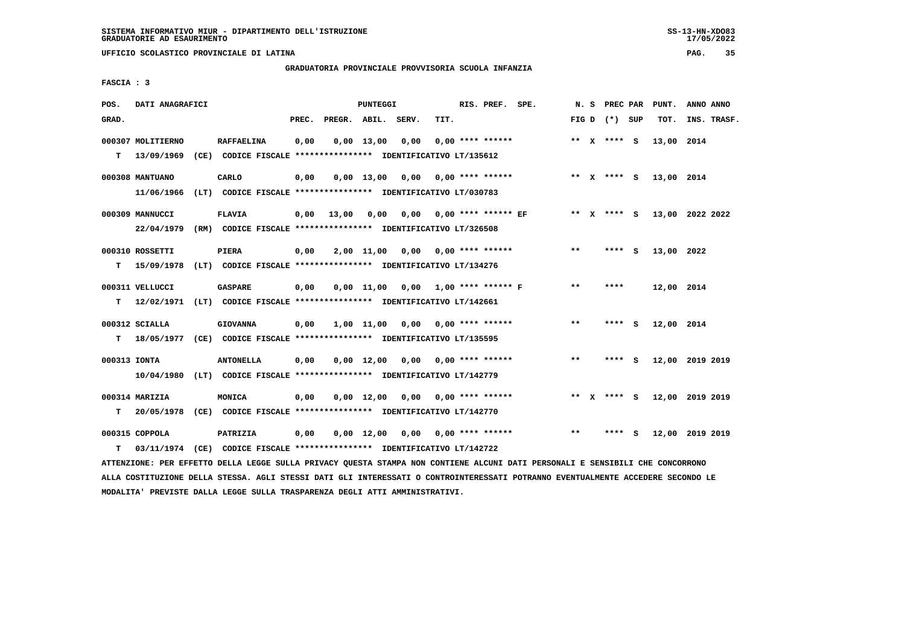**UFFICIO SCOLASTICO PROVINCIALE DI LATINA PAG. 35**

# **GRADUATORIA PROVINCIALE PROVVISORIA SCUOLA INFANZIA**

 **FASCIA : 3**

| POS.         | DATI ANAGRAFICI   |                                                                                                                               |       |                    | PUNTEGGI   |                                                |      | RIS. PREF. SPE.            | N.S   | PREC PAR        |     | PUNT.                       | ANNO ANNO |             |
|--------------|-------------------|-------------------------------------------------------------------------------------------------------------------------------|-------|--------------------|------------|------------------------------------------------|------|----------------------------|-------|-----------------|-----|-----------------------------|-----------|-------------|
| GRAD.        |                   |                                                                                                                               | PREC. | PREGR. ABIL. SERV. |            |                                                | TIT. |                            |       | FIG D $(*)$ SUP |     | тот.                        |           | INS. TRASF. |
|              | 000307 MOLITIERNO | <b>RAFFAELINA</b>                                                                                                             | 0,00  |                    | 0,00 13,00 | 0,00                                           |      | $0.00$ **** ******         |       | ** x **** S     |     | 13,00 2014                  |           |             |
| т            | 13/09/1969        | (CE) CODICE FISCALE **************** IDENTIFICATIVO LT/135612                                                                 |       |                    |            |                                                |      |                            |       |                 |     |                             |           |             |
|              | 000308 MANTUANO   | CARLO                                                                                                                         | 0,00  |                    |            | $0,00$ 13,00 0,00 0,00 **** ******             |      |                            |       |                 |     | ** X **** S 13,00 2014      |           |             |
|              | 11/06/1966        | (LT) CODICE FISCALE *************** IDENTIFICATIVO LT/030783                                                                  |       |                    |            |                                                |      |                            |       |                 |     |                             |           |             |
|              | 000309 MANNUCCI   | <b>FLAVIA</b>                                                                                                                 | 0,00  | 13,00              | 0,00       |                                                |      | $0,00$ 0,00 **** ****** EF |       | ** X **** S     |     | 13,00 2022 2022             |           |             |
|              | 22/04/1979        | (RM) CODICE FISCALE **************** IDENTIFICATIVO LT/326508                                                                 |       |                    |            |                                                |      |                            |       |                 |     |                             |           |             |
|              | 000310 ROSSETTI   | PIERA                                                                                                                         | 0,00  |                    |            | $2,00$ 11,00 0,00 0,00 **** ******             |      |                            | $* *$ | **** S          |     | 13,00 2022                  |           |             |
| т            | 15/09/1978        | (LT) CODICE FISCALE **************** IDENTIFICATIVO LT/134276                                                                 |       |                    |            |                                                |      |                            |       |                 |     |                             |           |             |
|              | 000311 VELLUCCI   | <b>GASPARE</b>                                                                                                                | 0,00  |                    |            | $0,00$ 11,00 0,00 1,00 **** ****** F           |      |                            | $***$ | ****            |     | 12,00 2014                  |           |             |
| т            | 12/02/1971        | (LT) CODICE FISCALE **************** IDENTIFICATIVO LT/142661                                                                 |       |                    |            |                                                |      |                            |       |                 |     |                             |           |             |
|              | $000312$ SCIALLA  | <b>GIOVANNA</b>                                                                                                               | 0,00  |                    |            | $1,00$ $11,00$ $0,00$ $0,00$ $***$ **** ****** |      |                            | $* *$ | ****            | - S | 12,00 2014                  |           |             |
| т            |                   | 18/05/1977 (CE) CODICE FISCALE *************** IDENTIFICATIVO LT/135595                                                       |       |                    |            |                                                |      |                            |       |                 |     |                             |           |             |
| 000313 IONTA |                   | <b>ANTONELLA</b>                                                                                                              | 0,00  |                    |            | $0,00$ 12,00 0,00 0,00 **** ******             |      |                            | $***$ | **** S          |     | 12,00 2019 2019             |           |             |
|              |                   | 10/04/1980 (LT) CODICE FISCALE *************** IDENTIFICATIVO LT/142779                                                       |       |                    |            |                                                |      |                            |       |                 |     |                             |           |             |
|              | 000314 MARIZIA    | MONICA                                                                                                                        | 0,00  |                    |            | $0.00$ 12.00 0.00 0.00 **** ******             |      |                            |       |                 |     | ** X **** S 12,00 2019 2019 |           |             |
| T.           | 20/05/1978        | (CE) CODICE FISCALE *************** IDENTIFICATIVO LT/142770                                                                  |       |                    |            |                                                |      |                            |       |                 |     |                             |           |             |
|              | 000315 COPPOLA    | PATRIZIA                                                                                                                      | 0,00  |                    |            | $0,00$ 12,00 0,00 0,00 **** ******             |      |                            | $* *$ | **** S          |     | 12,00 2019 2019             |           |             |
| т            |                   | 03/11/1974 (CE) CODICE FISCALE **************** IDENTIFICATIVO LT/142722                                                      |       |                    |            |                                                |      |                            |       |                 |     |                             |           |             |
|              |                   | ATTENZIONE: PER EFFETTO DELLA LEGGE SULLA PRIVACY QUESTA STAMPA NON CONTIENE ALCUNI DATI PERSONALI E SENSIBILI CHE CONCORRONO |       |                    |            |                                                |      |                            |       |                 |     |                             |           |             |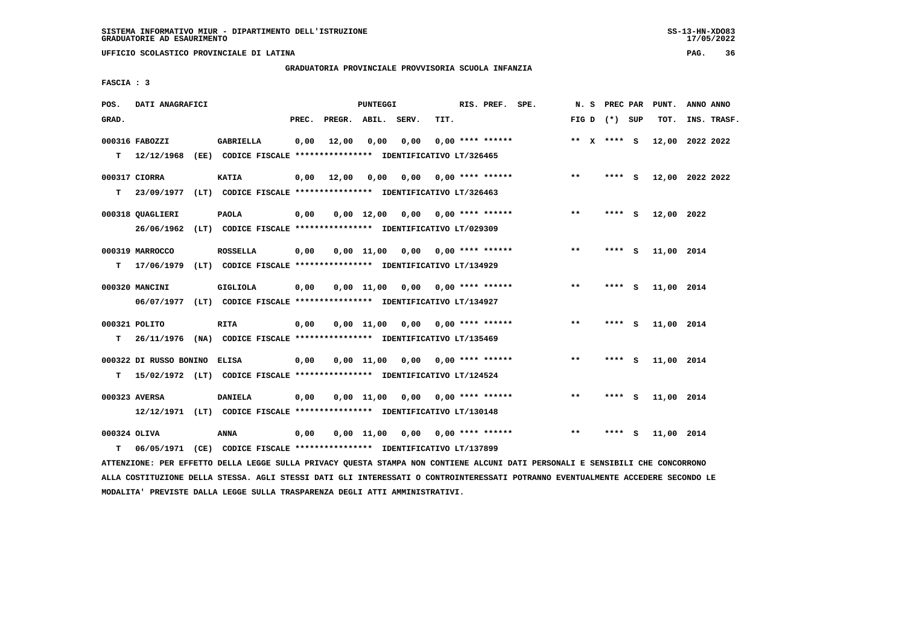## **GRADUATORIA PROVINCIALE PROVVISORIA SCUOLA INFANZIA**

 **FASCIA : 3**

| POS.         | DATI ANAGRAFICI        |                                                                          |       |                    | <b>PUNTEGGI</b>    |      |                                    | RIS. PREF. SPE. | N.S   | PREC PAR        |     | PUNT.      | ANNO ANNO       |
|--------------|------------------------|--------------------------------------------------------------------------|-------|--------------------|--------------------|------|------------------------------------|-----------------|-------|-----------------|-----|------------|-----------------|
| GRAD.        |                        |                                                                          | PREC. | PREGR. ABIL. SERV. |                    |      | TIT.                               |                 |       | FIG D $(*)$ SUP |     | TOT.       | INS. TRASF.     |
|              | 000316 FABOZZI         | <b>GABRIELLA</b>                                                         | 0,00  | 12,00              | 0,00               | 0,00 | $0.00$ **** ******                 |                 |       | ** $X$ **** S   |     |            | 12,00 2022 2022 |
| т            | 12/12/1968<br>(EE)     | CODICE FISCALE **************** IDENTIFICATIVO LT/326465                 |       |                    |                    |      |                                    |                 |       |                 |     |            |                 |
|              | 000317 CIORRA          | <b>KATIA</b>                                                             | 0,00  | 12,00              | 0,00               | 0,00 | 0,00 **** ******                   |                 | $* *$ | ****            | - S |            | 12,00 2022 2022 |
| т            | 23/09/1977             | (LT) CODICE FISCALE **************** IDENTIFICATIVO LT/326463            |       |                    |                    |      |                                    |                 |       |                 |     |            |                 |
|              | 000318 QUAGLIERI       | <b>PAOLA</b>                                                             | 0,00  |                    | $0,00 \quad 12,00$ |      | $0.00$ $0.00$ $***$ **** ******    |                 | $***$ | ****            | - S | 12,00 2022 |                 |
|              | 26/06/1962             | (LT) CODICE FISCALE **************** IDENTIFICATIVO LT/029309            |       |                    |                    |      |                                    |                 |       |                 |     |            |                 |
|              | 000319 MARROCCO        | <b>ROSSELLA</b>                                                          | 0,00  |                    | 0,00 11,00         |      | $0.00$ $0.00$ $***$ **** ******    |                 | $***$ | ****            | - S | 11,00 2014 |                 |
| т            |                        | 17/06/1979 (LT) CODICE FISCALE *************** IDENTIFICATIVO LT/134929  |       |                    |                    |      |                                    |                 |       |                 |     |            |                 |
|              | 000320 MANCINI         | <b>GIGLIOLA</b>                                                          | 0,00  |                    | 0,00 11,00         |      | $0.00$ $0.00$ **** ******          |                 | $***$ | ****            | - 5 | 11,00 2014 |                 |
|              |                        | 06/07/1977 (LT) CODICE FISCALE *************** IDENTIFICATIVO LT/134927  |       |                    |                    |      |                                    |                 |       |                 |     |            |                 |
|              | 000321 POLITO          | RITA                                                                     | 0,00  |                    |                    |      | $0,00$ 11,00 0,00 0,00 **** ****** |                 | **    | **** $S$        |     | 11,00 2014 |                 |
| т            |                        | 26/11/1976 (NA) CODICE FISCALE *************** IDENTIFICATIVO LT/135469  |       |                    |                    |      |                                    |                 |       |                 |     |            |                 |
|              | 000322 DI RUSSO BONINO | ELISA                                                                    | 0,00  |                    | 0,00 11,00         | 0,00 | 0,00 **** ******                   |                 | $* *$ | ****            | - S | 11,00 2014 |                 |
| T.           |                        | 15/02/1972 (LT) CODICE FISCALE **************** IDENTIFICATIVO LT/124524 |       |                    |                    |      |                                    |                 |       |                 |     |            |                 |
|              |                        |                                                                          |       |                    |                    |      |                                    |                 |       |                 |     |            |                 |
|              | 000323 AVERSA          | <b>DANIELA</b>                                                           | 0,00  |                    | 0,00 11,00         | 0,00 | $0.00$ **** ******                 |                 | $* *$ | **** S          |     | 11,00 2014 |                 |
|              |                        | 12/12/1971 (LT) CODICE FISCALE *************** IDENTIFICATIVO LT/130148  |       |                    |                    |      |                                    |                 |       |                 |     |            |                 |
| 000324 OLIVA |                        | ANNA                                                                     | 0,00  |                    | 0,00 11,00         |      | $0,00$ $0,00$ **** ******          |                 | $***$ | ****            | - S | 11,00 2014 |                 |
| т            | 06/05/1971             | (CE) CODICE FISCALE **************** IDENTIFICATIVO LT/137899            |       |                    |                    |      |                                    |                 |       |                 |     |            |                 |

 **ATTENZIONE: PER EFFETTO DELLA LEGGE SULLA PRIVACY QUESTA STAMPA NON CONTIENE ALCUNI DATI PERSONALI E SENSIBILI CHE CONCORRONO ALLA COSTITUZIONE DELLA STESSA. AGLI STESSI DATI GLI INTERESSATI O CONTROINTERESSATI POTRANNO EVENTUALMENTE ACCEDERE SECONDO LE MODALITA' PREVISTE DALLA LEGGE SULLA TRASPARENZA DEGLI ATTI AMMINISTRATIVI.**